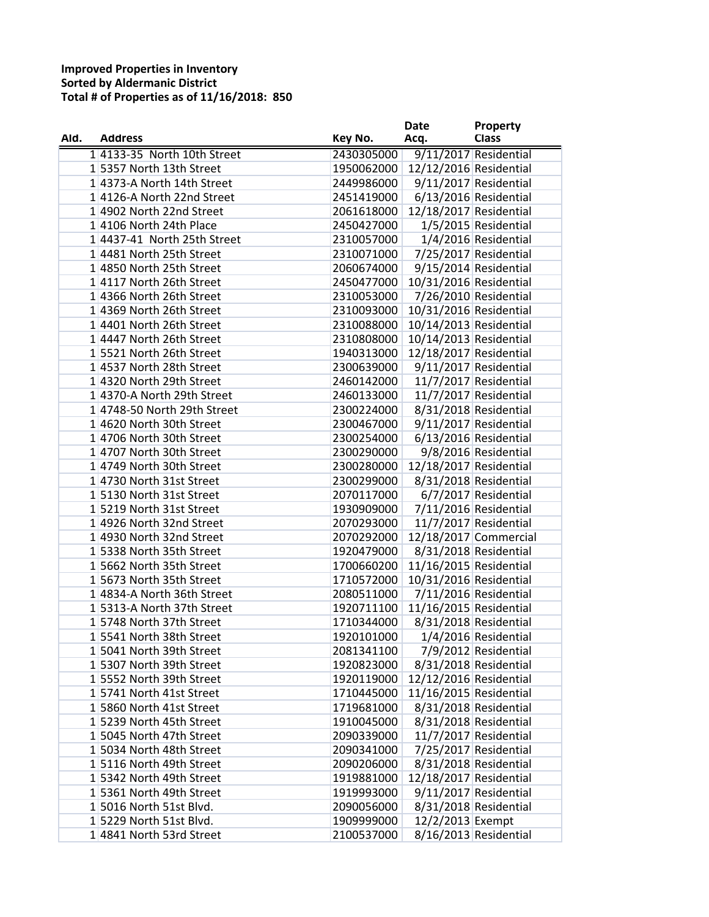|      |                             |            | Date                   | Property              |
|------|-----------------------------|------------|------------------------|-----------------------|
| Ald. | <b>Address</b>              | Key No.    | Acq.                   | <b>Class</b>          |
|      | 1 4133-35 North 10th Street | 2430305000 |                        | 9/11/2017 Residential |
|      | 15357 North 13th Street     | 1950062000 | 12/12/2016 Residential |                       |
|      | 14373-A North 14th Street   | 2449986000 |                        | 9/11/2017 Residential |
|      | 14126-A North 22nd Street   | 2451419000 |                        | 6/13/2016 Residential |
|      | 14902 North 22nd Street     | 2061618000 | 12/18/2017 Residential |                       |
|      | 14106 North 24th Place      | 2450427000 |                        | 1/5/2015 Residential  |
|      | 14437-41 North 25th Street  | 2310057000 |                        | 1/4/2016 Residential  |
|      | 14481 North 25th Street     | 2310071000 |                        | 7/25/2017 Residential |
|      | 14850 North 25th Street     | 2060674000 |                        | 9/15/2014 Residential |
|      | 14117 North 26th Street     | 2450477000 | 10/31/2016 Residential |                       |
|      | 1 4366 North 26th Street    | 2310053000 |                        | 7/26/2010 Residential |
|      | 1 4369 North 26th Street    | 2310093000 | 10/31/2016 Residential |                       |
|      | 14401 North 26th Street     | 2310088000 | 10/14/2013 Residential |                       |
|      | 1 4447 North 26th Street    | 2310808000 | 10/14/2013 Residential |                       |
|      | 15521 North 26th Street     | 1940313000 | 12/18/2017 Residential |                       |
|      | 14537 North 28th Street     | 2300639000 |                        | 9/11/2017 Residential |
|      | 1 4320 North 29th Street    | 2460142000 |                        | 11/7/2017 Residential |
|      | 14370-A North 29th Street   | 2460133000 |                        | 11/7/2017 Residential |
|      | 1 4748-50 North 29th Street | 2300224000 |                        | 8/31/2018 Residential |
|      | 14620 North 30th Street     | 2300467000 |                        | 9/11/2017 Residential |
|      | 14706 North 30th Street     | 2300254000 |                        | 6/13/2016 Residential |
|      | 1 4707 North 30th Street    | 2300290000 |                        | 9/8/2016 Residential  |
|      | 1 4749 North 30th Street    | 2300280000 | 12/18/2017 Residential |                       |
|      | 14730 North 31st Street     | 2300299000 |                        | 8/31/2018 Residential |
|      | 15130 North 31st Street     | 2070117000 |                        | 6/7/2017 Residential  |
|      | 15219 North 31st Street     | 1930909000 |                        | 7/11/2016 Residential |
|      | 14926 North 32nd Street     | 2070293000 |                        | 11/7/2017 Residential |
|      | 14930 North 32nd Street     | 2070292000 |                        | 12/18/2017 Commercial |
|      | 15338 North 35th Street     | 1920479000 |                        | 8/31/2018 Residential |
|      | 15662 North 35th Street     | 1700660200 | 11/16/2015 Residential |                       |
|      | 15673 North 35th Street     | 1710572000 | 10/31/2016 Residential |                       |
|      | 1 4834-A North 36th Street  | 2080511000 |                        | 7/11/2016 Residential |
|      | 15313-A North 37th Street   | 1920711100 | 11/16/2015 Residential |                       |
|      | 15748 North 37th Street     | 1710344000 |                        | 8/31/2018 Residential |
|      | 15541 North 38th Street     | 1920101000 | 1/4/2016 Residential   |                       |
|      | 15041 North 39th Street     | 2081341100 |                        | 7/9/2012 Residential  |
|      | 1 5307 North 39th Street    | 1920823000 |                        | 8/31/2018 Residential |
|      | 15552 North 39th Street     | 1920119000 | 12/12/2016 Residential |                       |
|      | 15741 North 41st Street     | 1710445000 | 11/16/2015 Residential |                       |
|      | 15860 North 41st Street     | 1719681000 |                        | 8/31/2018 Residential |
|      | 1 5239 North 45th Street    | 1910045000 |                        | 8/31/2018 Residential |
|      | 15045 North 47th Street     | 2090339000 |                        | 11/7/2017 Residential |
|      | 1 5034 North 48th Street    | 2090341000 |                        | 7/25/2017 Residential |
|      | 15116 North 49th Street     | 2090206000 |                        | 8/31/2018 Residential |
|      | 1 5342 North 49th Street    | 1919881000 | 12/18/2017 Residential |                       |
|      | 15361 North 49th Street     | 1919993000 |                        | 9/11/2017 Residential |
|      | 15016 North 51st Blvd.      | 2090056000 |                        | 8/31/2018 Residential |
|      | 15229 North 51st Blvd.      | 1909999000 | 12/2/2013 Exempt       |                       |
|      | 14841 North 53rd Street     | 2100537000 |                        | 8/16/2013 Residential |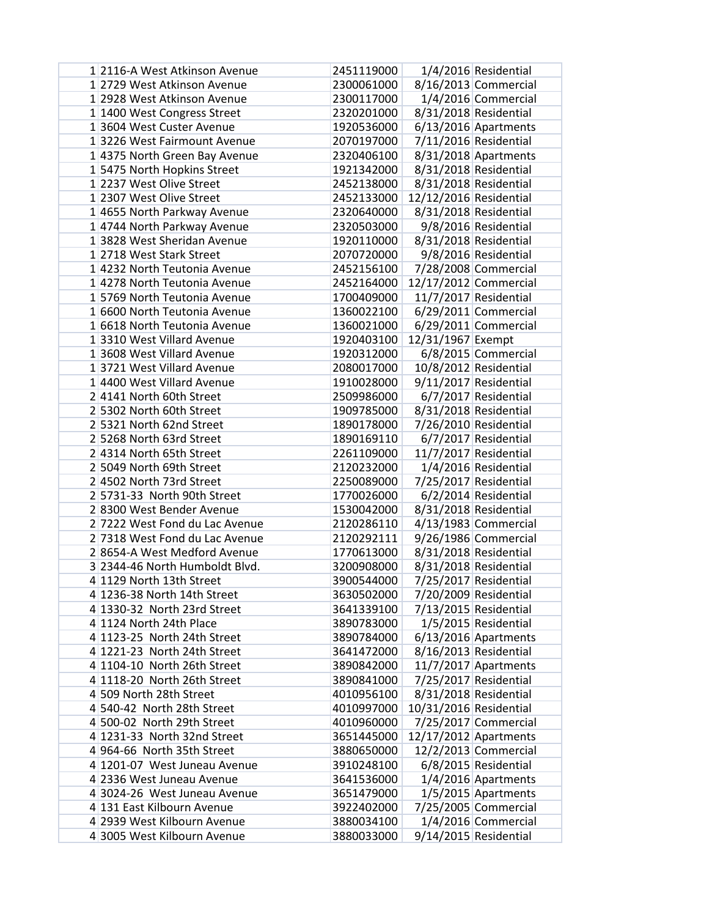| 1 2116-A West Atkinson Avenue                         | 2451119000               |                        | 1/4/2016 Residential                           |
|-------------------------------------------------------|--------------------------|------------------------|------------------------------------------------|
| 1 2729 West Atkinson Avenue                           | 2300061000               |                        | 8/16/2013 Commercial                           |
| 1 2928 West Atkinson Avenue                           | 2300117000               |                        | 1/4/2016 Commercial                            |
| 1 1400 West Congress Street                           | 2320201000               |                        | 8/31/2018 Residential                          |
| 13604 West Custer Avenue                              | 1920536000               |                        | $6/13/2016$ Apartments                         |
| 13226 West Fairmount Avenue                           | 2070197000               |                        | 7/11/2016 Residential                          |
| 1 4375 North Green Bay Avenue                         | 2320406100               |                        | 8/31/2018 Apartments                           |
| 15475 North Hopkins Street                            | 1921342000               |                        | 8/31/2018 Residential                          |
| 1 2237 West Olive Street                              | 2452138000               |                        | 8/31/2018 Residential                          |
| 1 2307 West Olive Street                              | 2452133000               | 12/12/2016 Residential |                                                |
| 14655 North Parkway Avenue                            | 2320640000               |                        | 8/31/2018 Residential                          |
| 14744 North Parkway Avenue                            | 2320503000               |                        | 9/8/2016 Residential                           |
| 13828 West Sheridan Avenue                            | 1920110000               |                        | 8/31/2018 Residential                          |
| 1 2718 West Stark Street                              | 2070720000               |                        | 9/8/2016 Residential                           |
| 1 4232 North Teutonia Avenue                          | 2452156100               |                        | 7/28/2008 Commercial                           |
| 1 4278 North Teutonia Avenue                          | 2452164000               |                        | 12/17/2012 Commercial                          |
| 15769 North Teutonia Avenue                           | 1700409000               |                        | 11/7/2017 Residential                          |
| 16600 North Teutonia Avenue                           | 1360022100               |                        | $6/29/2011$ Commercial                         |
| 1 6618 North Teutonia Avenue                          | 1360021000               |                        | $6/29/2011$ Commercial                         |
| 13310 West Villard Avenue                             | 1920403100               | 12/31/1967 Exempt      |                                                |
| 13608 West Villard Avenue                             | 1920312000               |                        | 6/8/2015 Commercial                            |
| 13721 West Villard Avenue                             | 2080017000               |                        | 10/8/2012 Residential                          |
| 1 4400 West Villard Avenue<br>24141 North 60th Street | 1910028000               |                        | 9/11/2017 Residential                          |
| 2 5302 North 60th Street                              | 2509986000<br>1909785000 |                        | 6/7/2017 Residential                           |
| 2 5321 North 62nd Street                              | 1890178000               |                        | 8/31/2018 Residential<br>7/26/2010 Residential |
| 2 5268 North 63rd Street                              | 1890169110               |                        | 6/7/2017 Residential                           |
| 24314 North 65th Street                               | 2261109000               |                        | 11/7/2017 Residential                          |
| 2 5049 North 69th Street                              | 2120232000               |                        | 1/4/2016 Residential                           |
| 24502 North 73rd Street                               | 2250089000               |                        | 7/25/2017 Residential                          |
| 2 5731-33 North 90th Street                           | 1770026000               |                        | 6/2/2014 Residential                           |
| 28300 West Bender Avenue                              | 1530042000               |                        | 8/31/2018 Residential                          |
| 2 7222 West Fond du Lac Avenue                        | 2120286110               |                        | $4/13/1983$ Commercial                         |
| 2 7318 West Fond du Lac Avenue                        | 2120292111               |                        | 9/26/1986 Commercial                           |
| 28654-A West Medford Avenue                           | 1770613000               |                        | 8/31/2018 Residential                          |
| 3 2344-46 North Humboldt Blvd.                        | 3200908000               |                        | 8/31/2018 Residential                          |
| 4 1129 North 13th Street                              | 3900544000               |                        | 7/25/2017 Residential                          |
| 4 1236-38 North 14th Street                           | 3630502000               | 7/20/2009 Residential  |                                                |
| 4 1330-32 North 23rd Street                           | 3641339100               |                        | 7/13/2015 Residential                          |
| 4 1124 North 24th Place                               | 3890783000               |                        | 1/5/2015 Residential                           |
| 4 1123-25 North 24th Street                           | 3890784000               |                        | 6/13/2016 Apartments                           |
| $4 1221-23$ North 24th Street                         | 3641472000               |                        | 8/16/2013 Residential                          |
| 4 1104-10 North 26th Street                           | 3890842000               |                        | $11/7/2017$ Apartments                         |
| 4 1118-20 North 26th Street                           | 3890841000               |                        | 7/25/2017 Residential                          |
| 4 509 North 28th Street                               | 4010956100               |                        | 8/31/2018 Residential                          |
| 4 540-42 North 28th Street                            | 4010997000               | 10/31/2016 Residential |                                                |
| 4 500-02 North 29th Street                            | 4010960000               |                        | 7/25/2017 Commercial                           |
| 4 1231-33 North 32nd Street                           | 3651445000               | 12/17/2012 Apartments  |                                                |
| 4 964-66 North 35th Street                            | 3880650000               |                        | 12/2/2013 Commercial                           |
| 4 1201-07 West Juneau Avenue                          | 3910248100               |                        | 6/8/2015 Residential                           |
| 4 2336 West Juneau Avenue                             | 3641536000               |                        | 1/4/2016 Apartments                            |
| 4 3024-26 West Juneau Avenue                          | 3651479000               |                        | 1/5/2015 Apartments                            |
| 4 131 East Kilbourn Avenue                            | 3922402000               |                        | 7/25/2005 Commercial                           |
| 4 2939 West Kilbourn Avenue                           | 3880034100               |                        | 1/4/2016 Commercial                            |
| 4 3005 West Kilbourn Avenue                           | 3880033000               |                        | 9/14/2015 Residential                          |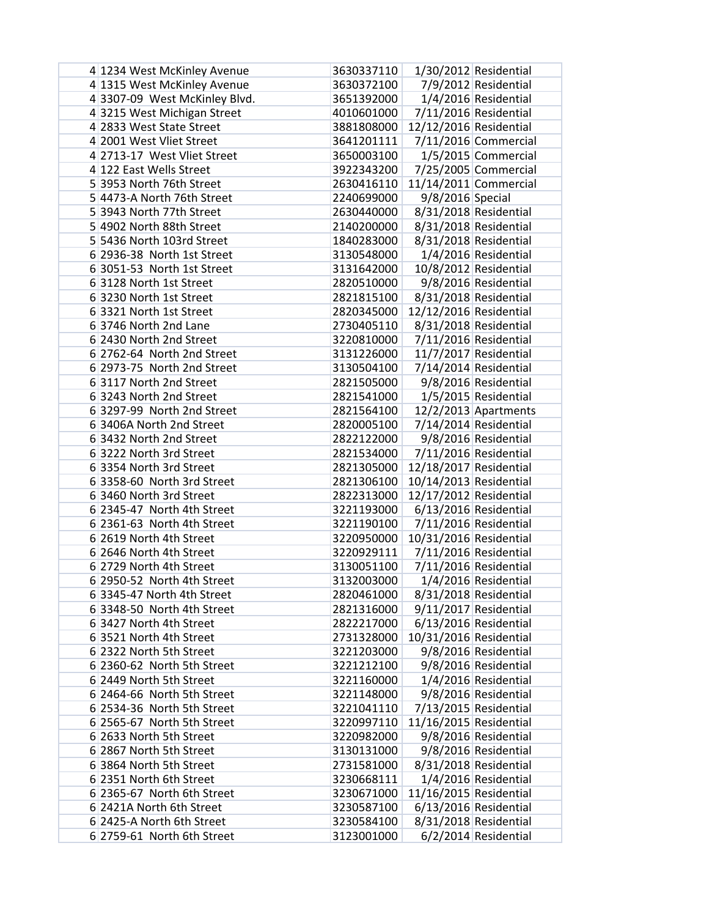| 4 1234 West McKinley Avenue   | 3630337110 |                        | 1/30/2012 Residential |
|-------------------------------|------------|------------------------|-----------------------|
| 4 1315 West McKinley Avenue   | 3630372100 |                        | 7/9/2012 Residential  |
| 4 3307-09 West McKinley Blvd. | 3651392000 |                        | 1/4/2016 Residential  |
| 43215 West Michigan Street    | 4010601000 |                        | 7/11/2016 Residential |
| 4 2833 West State Street      | 3881808000 | 12/12/2016 Residential |                       |
| 4 2001 West Vliet Street      | 3641201111 |                        | 7/11/2016 Commercial  |
| 4 2713-17 West Vliet Street   | 3650003100 |                        | 1/5/2015 Commercial   |
| 4 122 East Wells Street       | 3922343200 |                        | 7/25/2005 Commercial  |
| 5 3953 North 76th Street      | 2630416110 |                        | 11/14/2011 Commercial |
| 54473-A North 76th Street     | 2240699000 | 9/8/2016 Special       |                       |
| 5 3943 North 77th Street      | 2630440000 |                        | 8/31/2018 Residential |
| 5 4902 North 88th Street      | 2140200000 |                        | 8/31/2018 Residential |
| 5 5436 North 103rd Street     | 1840283000 |                        | 8/31/2018 Residential |
| 6 2936-38 North 1st Street    | 3130548000 |                        | 1/4/2016 Residential  |
| 6 3051-53 North 1st Street    | 3131642000 |                        | 10/8/2012 Residential |
| 63128 North 1st Street        | 2820510000 |                        | 9/8/2016 Residential  |
| 6 3230 North 1st Street       | 2821815100 |                        | 8/31/2018 Residential |
| 6 3321 North 1st Street       | 2820345000 | 12/12/2016 Residential |                       |
| 63746 North 2nd Lane          | 2730405110 |                        | 8/31/2018 Residential |
| 6 2430 North 2nd Street       | 3220810000 |                        | 7/11/2016 Residential |
| 6 2762-64 North 2nd Street    | 3131226000 |                        | 11/7/2017 Residential |
| 6 2973-75 North 2nd Street    | 3130504100 |                        | 7/14/2014 Residential |
| 63117 North 2nd Street        | 2821505000 |                        | 9/8/2016 Residential  |
| 63243 North 2nd Street        | 2821541000 |                        | 1/5/2015 Residential  |
| 6 3297-99 North 2nd Street    | 2821564100 |                        | 12/2/2013 Apartments  |
| 6 3406A North 2nd Street      | 2820005100 |                        | 7/14/2014 Residential |
| 6 3432 North 2nd Street       | 2822122000 |                        | 9/8/2016 Residential  |
| 63222 North 3rd Street        | 2821534000 |                        | 7/11/2016 Residential |
| 6 3354 North 3rd Street       | 2821305000 | 12/18/2017 Residential |                       |
| 6 3358-60 North 3rd Street    | 2821306100 | 10/14/2013 Residential |                       |
| 6 3460 North 3rd Street       | 2822313000 | 12/17/2012 Residential |                       |
| 6 2345-47 North 4th Street    | 3221193000 |                        | 6/13/2016 Residential |
| 6 2361-63 North 4th Street    | 3221190100 |                        | 7/11/2016 Residential |
| 6 2619 North 4th Street       | 3220950000 | 10/31/2016 Residential |                       |
| 6 2646 North 4th Street       | 3220929111 |                        | 7/11/2016 Residential |
| 6 2729 North 4th Street       | 3130051100 |                        | 7/11/2016 Residential |
| 6 2950-52 North 4th Street    | 3132003000 |                        | 1/4/2016 Residential  |
| 6 3345-47 North 4th Street    | 2820461000 |                        | 8/31/2018 Residential |
| 6 3348-50 North 4th Street    | 2821316000 |                        | 9/11/2017 Residential |
| 6 3427 North 4th Street       | 2822217000 |                        | 6/13/2016 Residential |
| 63521 North 4th Street        | 2731328000 | 10/31/2016 Residential |                       |
| 6 2322 North 5th Street       | 3221203000 |                        | 9/8/2016 Residential  |
| 6 2360-62 North 5th Street    | 3221212100 |                        | 9/8/2016 Residential  |
| 6 2449 North 5th Street       | 3221160000 |                        | 1/4/2016 Residential  |
| 6 2464-66 North 5th Street    | 3221148000 |                        | 9/8/2016 Residential  |
| 6 2534-36 North 5th Street    | 3221041110 |                        | 7/13/2015 Residential |
| 6 2565-67 North 5th Street    | 3220997110 | 11/16/2015 Residential |                       |
| 6 2633 North 5th Street       | 3220982000 |                        | 9/8/2016 Residential  |
| 6 2867 North 5th Street       | 3130131000 |                        | 9/8/2016 Residential  |
| 6 3864 North 5th Street       | 2731581000 |                        | 8/31/2018 Residential |
| 6 2351 North 6th Street       | 3230668111 |                        | 1/4/2016 Residential  |
| 6 2365-67 North 6th Street    | 3230671000 | 11/16/2015 Residential |                       |
| 6 2421A North 6th Street      | 3230587100 |                        | 6/13/2016 Residential |
| 6 2425-A North 6th Street     | 3230584100 |                        | 8/31/2018 Residential |
| 6 2759-61 North 6th Street    | 3123001000 |                        | 6/2/2014 Residential  |
|                               |            |                        |                       |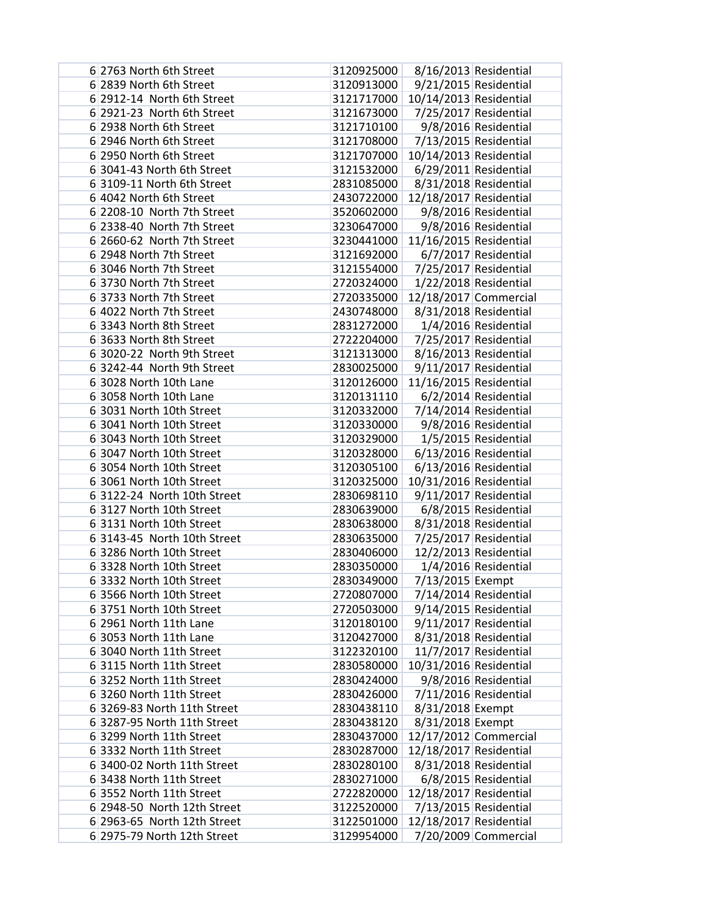| 6 2763 North 6th Street     | 3120925000 |                         | 8/16/2013 Residential   |
|-----------------------------|------------|-------------------------|-------------------------|
| 6 2839 North 6th Street     | 3120913000 |                         | 9/21/2015 Residential   |
| 6 2912-14 North 6th Street  | 3121717000 | 10/14/2013 Residential  |                         |
| 6 2921-23 North 6th Street  | 3121673000 |                         | 7/25/2017 Residential   |
| 6 2938 North 6th Street     | 3121710100 |                         | 9/8/2016 Residential    |
| 6 2946 North 6th Street     | 3121708000 |                         | 7/13/2015 Residential   |
| 6 2950 North 6th Street     | 3121707000 | 10/14/2013 Residential  |                         |
| 6 3041-43 North 6th Street  | 3121532000 |                         | $6/29/2011$ Residential |
| 6 3109-11 North 6th Street  | 2831085000 |                         | 8/31/2018 Residential   |
| 6 4042 North 6th Street     | 2430722000 | 12/18/2017 Residential  |                         |
| 6 2208-10 North 7th Street  | 3520602000 |                         | 9/8/2016 Residential    |
| 6 2338-40 North 7th Street  | 3230647000 |                         | 9/8/2016 Residential    |
| 6 2660-62 North 7th Street  | 3230441000 | 11/16/2015 Residential  |                         |
| 6 2948 North 7th Street     | 3121692000 |                         | 6/7/2017 Residential    |
| 6 3046 North 7th Street     | 3121554000 |                         | 7/25/2017 Residential   |
| 63730 North 7th Street      | 2720324000 |                         | 1/22/2018 Residential   |
| 6 3733 North 7th Street     | 2720335000 |                         | 12/18/2017 Commercial   |
| 6 4022 North 7th Street     | 2430748000 |                         | 8/31/2018 Residential   |
| 6 3343 North 8th Street     | 2831272000 |                         | 1/4/2016 Residential    |
| 6 3633 North 8th Street     | 2722204000 |                         | 7/25/2017 Residential   |
| 6 3020-22 North 9th Street  | 3121313000 |                         | 8/16/2013 Residential   |
| 6 3242-44 North 9th Street  | 2830025000 |                         | 9/11/2017 Residential   |
| 6 3028 North 10th Lane      | 3120126000 | 11/16/2015 Residential  |                         |
| 6 3058 North 10th Lane      | 3120131110 |                         | 6/2/2014 Residential    |
| 6 3031 North 10th Street    | 3120332000 |                         | 7/14/2014 Residential   |
| 6 3041 North 10th Street    | 3120330000 |                         | 9/8/2016 Residential    |
| 6 3043 North 10th Street    | 3120329000 |                         | 1/5/2015 Residential    |
| 6 3047 North 10th Street    | 3120328000 |                         | 6/13/2016 Residential   |
| 6 3054 North 10th Street    | 3120305100 |                         | 6/13/2016 Residential   |
| 6 3061 North 10th Street    | 3120325000 | 10/31/2016 Residential  |                         |
| 6 3122-24 North 10th Street | 2830698110 |                         | 9/11/2017 Residential   |
| 63127 North 10th Street     | 2830639000 |                         | 6/8/2015 Residential    |
| 63131 North 10th Street     | 2830638000 |                         | 8/31/2018 Residential   |
| 6 3143-45 North 10th Street | 2830635000 |                         | 7/25/2017 Residential   |
| 6 3286 North 10th Street    | 2830406000 |                         | 12/2/2013 Residential   |
| 6 3328 North 10th Street    | 2830350000 |                         | 1/4/2016 Residential    |
| 6 3332 North 10th Street    | 2830349000 | 7/13/2015 Exempt        |                         |
| 6 3566 North 10th Street    | 2720807000 | $7/14/2014$ Residential |                         |
| 63751 North 10th Street     | 2720503000 |                         | 9/14/2015 Residential   |
| 6 2961 North 11th Lane      | 3120180100 |                         | 9/11/2017 Residential   |
| $6$ 3053 North 11th Lane    | 3120427000 |                         | 8/31/2018 Residential   |
| 6 3040 North 11th Street    | 3122320100 |                         | 11/7/2017 Residential   |
| 63115 North 11th Street     | 2830580000 | 10/31/2016 Residential  |                         |
| 63252 North 11th Street     | 2830424000 |                         | 9/8/2016 Residential    |
| 6 3260 North 11th Street    | 2830426000 |                         | 7/11/2016 Residential   |
| 6 3269-83 North 11th Street | 2830438110 | 8/31/2018 Exempt        |                         |
| 6 3287-95 North 11th Street | 2830438120 | 8/31/2018 Exempt        |                         |
| 6 3299 North 11th Street    | 2830437000 |                         | 12/17/2012 Commercial   |
| 6 3332 North 11th Street    | 2830287000 | 12/18/2017 Residential  |                         |
| 6 3400-02 North 11th Street | 2830280100 |                         | 8/31/2018 Residential   |
| 6 3438 North 11th Street    | 2830271000 |                         | 6/8/2015 Residential    |
| 6 3552 North 11th Street    | 2722820000 | 12/18/2017 Residential  |                         |
| 6 2948-50 North 12th Street | 3122520000 |                         | 7/13/2015 Residential   |
| 6 2963-65 North 12th Street | 3122501000 | 12/18/2017 Residential  |                         |
| 6 2975-79 North 12th Street | 3129954000 |                         | 7/20/2009 Commercial    |
|                             |            |                         |                         |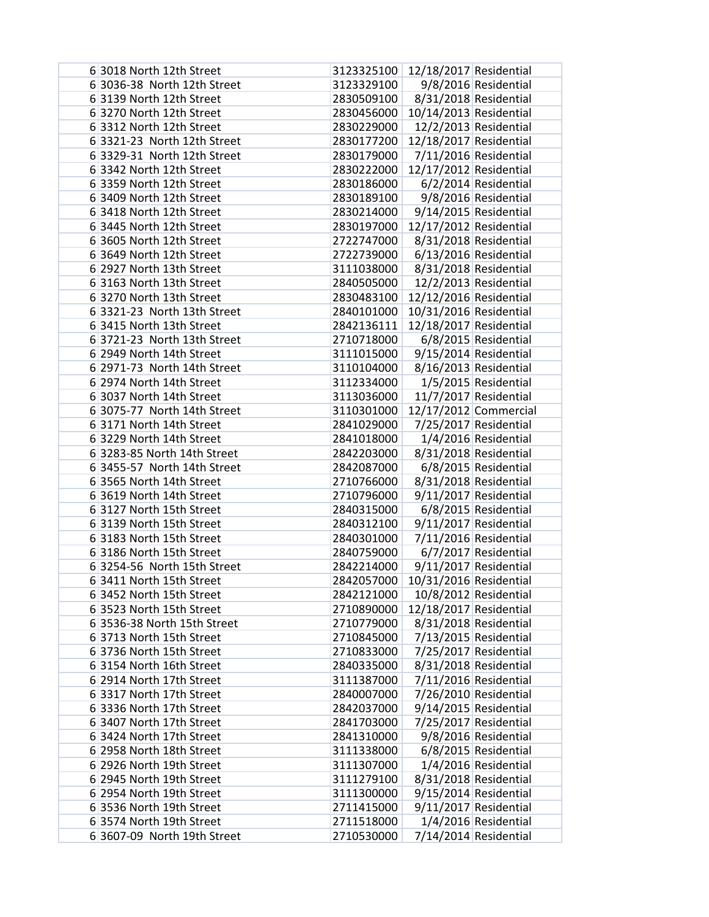| 6 3018 North 12th Street    | 3123325100                          | 12/18/2017 Residential |                                                  |
|-----------------------------|-------------------------------------|------------------------|--------------------------------------------------|
| 6 3036-38 North 12th Street | 3123329100                          |                        | 9/8/2016 Residential                             |
| 63139 North 12th Street     | 2830509100                          |                        | 8/31/2018 Residential                            |
| 63270 North 12th Street     | 2830456000                          | 10/14/2013 Residential |                                                  |
| 6 3312 North 12th Street    | 2830229000                          |                        | 12/2/2013 Residential                            |
| 6 3321-23 North 12th Street | 2830177200                          | 12/18/2017 Residential |                                                  |
| 6 3329-31 North 12th Street | 2830179000                          |                        | 7/11/2016 Residential                            |
| 6 3342 North 12th Street    | 2830222000                          | 12/17/2012 Residential |                                                  |
| 6 3359 North 12th Street    | 2830186000                          |                        | 6/2/2014 Residential                             |
| 6 3409 North 12th Street    | 2830189100                          |                        | 9/8/2016 Residential                             |
| 6 3418 North 12th Street    | 2830214000                          |                        | 9/14/2015 Residential                            |
| 6 3445 North 12th Street    | 2830197000                          | 12/17/2012 Residential |                                                  |
| 6 3605 North 12th Street    | 2722747000                          |                        | 8/31/2018 Residential                            |
| 6 3649 North 12th Street    | 2722739000                          |                        | 6/13/2016 Residential                            |
| 6 2927 North 13th Street    | 3111038000                          |                        | 8/31/2018 Residential                            |
| 6 3163 North 13th Street    | 2840505000                          |                        | 12/2/2013 Residential                            |
| 63270 North 13th Street     | 2830483100                          | 12/12/2016 Residential |                                                  |
| 6 3321-23 North 13th Street | 2840101000                          | 10/31/2016 Residential |                                                  |
| 6 3415 North 13th Street    | 2842136111                          | 12/18/2017 Residential |                                                  |
| 6 3721-23 North 13th Street | 2710718000                          |                        | 6/8/2015 Residential                             |
| 6 2949 North 14th Street    | 3111015000                          |                        |                                                  |
| 6 2971-73 North 14th Street | 3110104000                          |                        | $9/15/2014$ Residential<br>8/16/2013 Residential |
| 6 2974 North 14th Street    | 3112334000                          |                        | 1/5/2015 Residential                             |
|                             | 3113036000                          |                        |                                                  |
| 6 3037 North 14th Street    |                                     |                        | 11/7/2017 Residential                            |
| 6 3075-77 North 14th Street | 3110301000                          |                        | 12/17/2012 Commercial                            |
| 6 3171 North 14th Street    | 2841029000                          |                        | 7/25/2017 Residential                            |
| 6 3229 North 14th Street    | 2841018000                          |                        | 1/4/2016 Residential                             |
| 6 3283-85 North 14th Street | 2842203000                          |                        | 8/31/2018 Residential                            |
| 6 3455-57 North 14th Street | 2842087000                          |                        | 6/8/2015 Residential                             |
| 6 3565 North 14th Street    | 2710766000                          |                        | 8/31/2018 Residential                            |
| 6 3619 North 14th Street    | 2710796000                          |                        | 9/11/2017 Residential                            |
| 6 3127 North 15th Street    | 2840315000                          |                        | 6/8/2015 Residential                             |
| 63139 North 15th Street     | 2840312100                          |                        | 9/11/2017 Residential                            |
| 6 3183 North 15th Street    | 2840301000                          |                        | 7/11/2016 Residential                            |
| 63186 North 15th Street     | 2840759000                          |                        | 6/7/2017 Residential                             |
| 6 3254-56 North 15th Street | 2842214000                          |                        | 9/11/2017 Residential                            |
| 6 3411 North 15th Street    | 2842057000   10/31/2016 Residential |                        |                                                  |
| 6 3452 North 15th Street    | 2842121000                          |                        | 10/8/2012 Residential                            |
| 6 3523 North 15th Street    | 2710890000                          | 12/18/2017 Residential |                                                  |
| 6 3536-38 North 15th Street | 2710779000                          |                        | 8/31/2018 Residential                            |
| 6 3713 North 15th Street    | 2710845000                          |                        | 7/13/2015 Residential                            |
| 63736 North 15th Street     | 2710833000                          |                        | 7/25/2017 Residential                            |
| 6 3154 North 16th Street    | 2840335000                          |                        | 8/31/2018 Residential                            |
| 6 2914 North 17th Street    | 3111387000                          |                        | 7/11/2016 Residential                            |
| 6 3317 North 17th Street    | 2840007000                          |                        | 7/26/2010 Residential                            |
| 6 3336 North 17th Street    | 2842037000                          |                        | 9/14/2015 Residential                            |
| 6 3407 North 17th Street    | 2841703000                          |                        | 7/25/2017 Residential                            |
| 6 3424 North 17th Street    | 2841310000                          |                        | 9/8/2016 Residential                             |
| 6 2958 North 18th Street    | 3111338000                          |                        | 6/8/2015 Residential                             |
| 6 2926 North 19th Street    | 3111307000                          |                        | 1/4/2016 Residential                             |
| 6 2945 North 19th Street    | 3111279100                          |                        | 8/31/2018 Residential                            |
| 6 2954 North 19th Street    | 3111300000                          |                        | 9/15/2014 Residential                            |
| 6 3536 North 19th Street    | 2711415000                          |                        | 9/11/2017 Residential                            |
| 6 3574 North 19th Street    | 2711518000                          |                        | 1/4/2016 Residential                             |
| 6 3607-09 North 19th Street | 2710530000                          |                        | 7/14/2014 Residential                            |
|                             |                                     |                        |                                                  |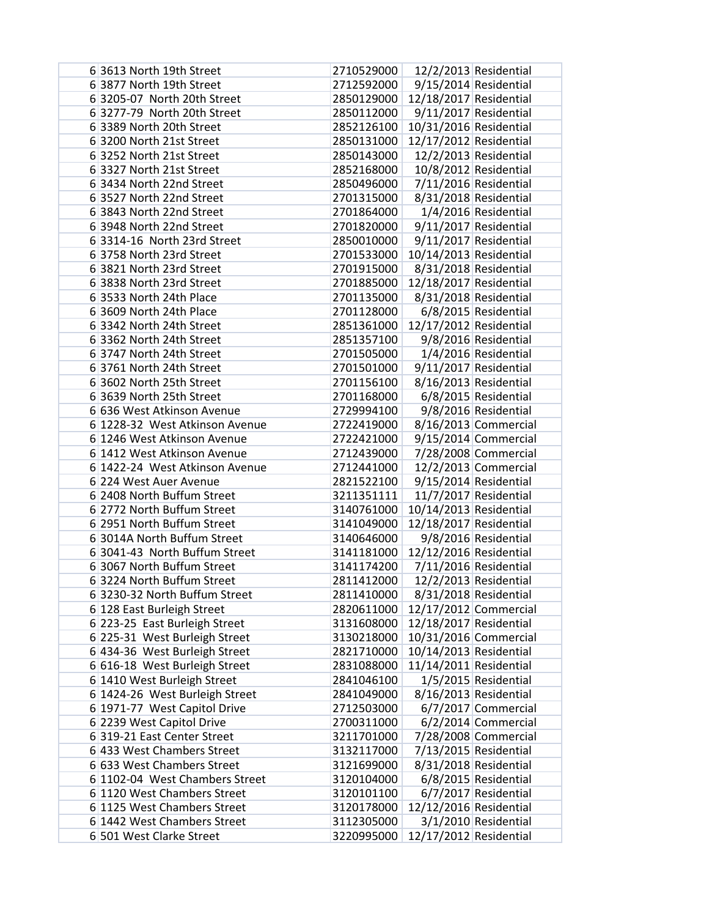| 6 3613 North 19th Street       | 2710529000 |                        | 12/2/2013 Residential   |
|--------------------------------|------------|------------------------|-------------------------|
| 6 3877 North 19th Street       | 2712592000 |                        | 9/15/2014 Residential   |
| 6 3205-07 North 20th Street    | 2850129000 | 12/18/2017 Residential |                         |
| 6 3277-79 North 20th Street    | 2850112000 |                        | 9/11/2017 Residential   |
| 6 3389 North 20th Street       | 2852126100 | 10/31/2016 Residential |                         |
| 63200 North 21st Street        | 2850131000 | 12/17/2012 Residential |                         |
| 6 3252 North 21st Street       | 2850143000 |                        | 12/2/2013 Residential   |
| 63327 North 21st Street        | 2852168000 |                        | 10/8/2012 Residential   |
| 6 3434 North 22nd Street       | 2850496000 |                        | 7/11/2016 Residential   |
| 6 3527 North 22nd Street       | 2701315000 |                        | 8/31/2018 Residential   |
| 6 3843 North 22nd Street       | 2701864000 |                        | 1/4/2016 Residential    |
| 6 3948 North 22nd Street       | 2701820000 |                        | 9/11/2017 Residential   |
| 6 3314-16 North 23rd Street    | 2850010000 |                        | 9/11/2017 Residential   |
| 6 3758 North 23rd Street       | 2701533000 | 10/14/2013 Residential |                         |
| 6 3821 North 23rd Street       | 2701915000 |                        | 8/31/2018 Residential   |
| 6 3838 North 23rd Street       | 2701885000 | 12/18/2017 Residential |                         |
| 6 3533 North 24th Place        | 2701135000 |                        | 8/31/2018 Residential   |
| 6 3609 North 24th Place        | 2701128000 |                        | 6/8/2015 Residential    |
| 6 3342 North 24th Street       | 2851361000 | 12/17/2012 Residential |                         |
| 6 3362 North 24th Street       | 2851357100 |                        | 9/8/2016 Residential    |
| 6 3747 North 24th Street       | 2701505000 |                        | 1/4/2016 Residential    |
| 6 3761 North 24th Street       | 2701501000 |                        | $9/11/2017$ Residential |
| 6 3602 North 25th Street       | 2701156100 |                        | 8/16/2013 Residential   |
| 6 3639 North 25th Street       | 2701168000 |                        | 6/8/2015 Residential    |
| 6 636 West Atkinson Avenue     | 2729994100 |                        | 9/8/2016 Residential    |
| 6 1228-32 West Atkinson Avenue | 2722419000 |                        | 8/16/2013 Commercial    |
| 6 1246 West Atkinson Avenue    | 2722421000 |                        | $9/15/2014$ Commercial  |
| 6 1412 West Atkinson Avenue    | 2712439000 |                        | 7/28/2008 Commercial    |
| 6 1422-24 West Atkinson Avenue | 2712441000 |                        | 12/2/2013 Commercial    |
| 6 224 West Auer Avenue         | 2821522100 |                        | 9/15/2014 Residential   |
| 6 2408 North Buffum Street     | 3211351111 |                        | 11/7/2017 Residential   |
| 6 2772 North Buffum Street     | 3140761000 | 10/14/2013 Residential |                         |
| 6 2951 North Buffum Street     | 3141049000 | 12/18/2017 Residential |                         |
| 6 3014A North Buffum Street    | 3140646000 |                        | 9/8/2016 Residential    |
| 6 3041-43 North Buffum Street  | 3141181000 | 12/12/2016 Residential |                         |
| 6 3067 North Buffum Street     | 3141174200 |                        | 7/11/2016 Residential   |
| 63224 North Buffum Street      | 2811412000 |                        | 12/2/2013 Residential   |
| 63230-32 North Buffum Street   | 2811410000 |                        | 8/31/2018 Residential   |
| 6 128 East Burleigh Street     | 2820611000 | 12/17/2012 Commercial  |                         |
| 6 223-25 East Burleigh Street  | 3131608000 | 12/18/2017 Residential |                         |
| 6 225-31 West Burleigh Street  | 3130218000 |                        | 10/31/2016 Commercial   |
| 6 434-36 West Burleigh Street  | 2821710000 | 10/14/2013 Residential |                         |
| 6 616-18 West Burleigh Street  | 2831088000 | 11/14/2011 Residential |                         |
| 6 1410 West Burleigh Street    | 2841046100 |                        | 1/5/2015 Residential    |
| 6 1424-26 West Burleigh Street | 2841049000 |                        | 8/16/2013 Residential   |
| 6 1971-77 West Capitol Drive   | 2712503000 |                        | 6/7/2017 Commercial     |
| 6 2239 West Capitol Drive      | 2700311000 |                        | 6/2/2014 Commercial     |
| 6319-21 East Center Street     | 3211701000 |                        | 7/28/2008 Commercial    |
| 6 433 West Chambers Street     | 3132117000 |                        | 7/13/2015 Residential   |
| 6 633 West Chambers Street     | 3121699000 |                        | 8/31/2018 Residential   |
| 6 1102-04 West Chambers Street | 3120104000 |                        | 6/8/2015 Residential    |
| 6 1120 West Chambers Street    | 3120101100 |                        | 6/7/2017 Residential    |
| 6 1125 West Chambers Street    | 3120178000 | 12/12/2016 Residential |                         |
| 6 1442 West Chambers Street    | 3112305000 |                        | 3/1/2010 Residential    |
| 6 501 West Clarke Street       | 3220995000 | 12/17/2012 Residential |                         |
|                                |            |                        |                         |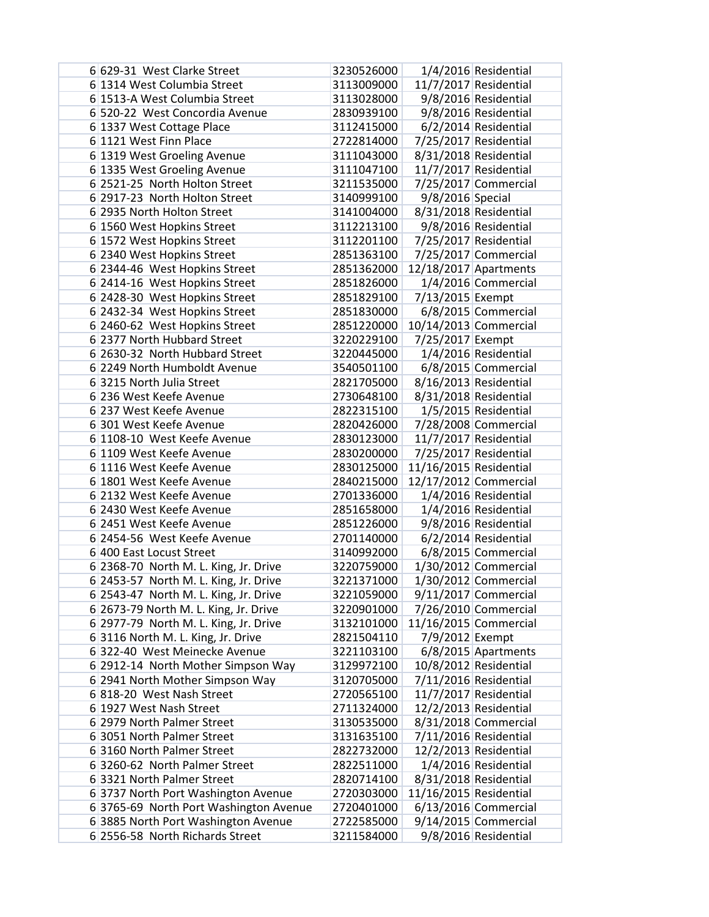| 6 629-31 West Clarke Street            | 3230526000 |                        | 1/4/2016 Residential   |
|----------------------------------------|------------|------------------------|------------------------|
| 6 1314 West Columbia Street            | 3113009000 |                        | 11/7/2017 Residential  |
| 6 1513-A West Columbia Street          | 3113028000 |                        | 9/8/2016 Residential   |
| 6 520-22 West Concordia Avenue         | 2830939100 |                        | 9/8/2016 Residential   |
| 6 1337 West Cottage Place              | 3112415000 |                        | 6/2/2014 Residential   |
| 6 1121 West Finn Place                 | 2722814000 |                        | 7/25/2017 Residential  |
| 6 1319 West Groeling Avenue            | 3111043000 |                        | 8/31/2018 Residential  |
| 6 1335 West Groeling Avenue            | 3111047100 |                        | 11/7/2017 Residential  |
| 6 2521-25 North Holton Street          | 3211535000 |                        | 7/25/2017 Commercial   |
| 6 2917-23 North Holton Street          | 3140999100 | 9/8/2016 Special       |                        |
| 6 2935 North Holton Street             | 3141004000 |                        | 8/31/2018 Residential  |
| 6 1560 West Hopkins Street             | 3112213100 |                        | 9/8/2016 Residential   |
| 6 1572 West Hopkins Street             | 3112201100 |                        | 7/25/2017 Residential  |
| 6 2340 West Hopkins Street             | 2851363100 |                        | 7/25/2017 Commercial   |
| 6 2344-46 West Hopkins Street          | 2851362000 |                        | 12/18/2017 Apartments  |
| 6 2414-16 West Hopkins Street          | 2851826000 |                        | 1/4/2016 Commercial    |
| 6 2428-30 West Hopkins Street          | 2851829100 | 7/13/2015 Exempt       |                        |
| 6 2432-34 West Hopkins Street          | 2851830000 |                        | 6/8/2015 Commercial    |
| 6 2460-62 West Hopkins Street          | 2851220000 |                        | 10/14/2013 Commercial  |
| 6 2377 North Hubbard Street            | 3220229100 | 7/25/2017 Exempt       |                        |
| 6 2630-32 North Hubbard Street         | 3220445000 |                        | 1/4/2016 Residential   |
| 6 2249 North Humboldt Avenue           | 3540501100 |                        | 6/8/2015 Commercial    |
| 63215 North Julia Street               | 2821705000 |                        | 8/16/2013 Residential  |
| 6 236 West Keefe Avenue                | 2730648100 |                        | 8/31/2018 Residential  |
| 6 237 West Keefe Avenue                | 2822315100 |                        | 1/5/2015 Residential   |
| 6 301 West Keefe Avenue                | 2820426000 |                        | 7/28/2008 Commercial   |
| 6 1108-10 West Keefe Avenue            | 2830123000 |                        | 11/7/2017 Residential  |
| 6 1109 West Keefe Avenue               | 2830200000 |                        | 7/25/2017 Residential  |
| 6 1116 West Keefe Avenue               | 2830125000 | 11/16/2015 Residential |                        |
| 6 1801 West Keefe Avenue               | 2840215000 |                        | 12/17/2012 Commercial  |
| 6 2132 West Keefe Avenue               | 2701336000 |                        | 1/4/2016 Residential   |
| 6 2430 West Keefe Avenue               | 2851658000 |                        | 1/4/2016 Residential   |
| 6 2451 West Keefe Avenue               | 2851226000 |                        | 9/8/2016 Residential   |
| 6 2454-56 West Keefe Avenue            | 2701140000 |                        | 6/2/2014 Residential   |
| 6 400 East Locust Street               | 3140992000 |                        | 6/8/2015 Commercial    |
| 6 2368-70 North M. L. King, Jr. Drive  | 3220759000 |                        | 1/30/2012 Commercial   |
| 6 2453-57 North M. L. King, Jr. Drive  | 3221371000 |                        | 1/30/2012 Commercial   |
| 6 2543-47 North M. L. King, Jr. Drive  | 3221059000 |                        | $9/11/2017$ Commercial |
| 6 2673-79 North M. L. King, Jr. Drive  | 3220901000 |                        | 7/26/2010 Commercial   |
| 6 2977-79 North M. L. King, Jr. Drive  | 3132101000 |                        | 11/16/2015 Commercial  |
| 6 3116 North M. L. King, Jr. Drive     | 2821504110 | 7/9/2012 Exempt        |                        |
| 6322-40 West Meinecke Avenue           | 3221103100 |                        | $6/8/2015$ Apartments  |
| 6 2912-14 North Mother Simpson Way     | 3129972100 |                        | 10/8/2012 Residential  |
| 6 2941 North Mother Simpson Way        | 3120705000 |                        | 7/11/2016 Residential  |
| 6 818-20 West Nash Street              | 2720565100 |                        | 11/7/2017 Residential  |
| 6 1927 West Nash Street                | 2711324000 |                        | 12/2/2013 Residential  |
| 6 2979 North Palmer Street             | 3130535000 |                        | 8/31/2018 Commercial   |
| 6 3051 North Palmer Street             | 3131635100 |                        | 7/11/2016 Residential  |
| 63160 North Palmer Street              | 2822732000 |                        | 12/2/2013 Residential  |
| 6 3260-62 North Palmer Street          | 2822511000 |                        | 1/4/2016 Residential   |
| 6 3321 North Palmer Street             | 2820714100 |                        | 8/31/2018 Residential  |
| 6 3737 North Port Washington Avenue    | 2720303000 | 11/16/2015 Residential |                        |
| 6 3765-69 North Port Washington Avenue | 2720401000 |                        | $6/13/2016$ Commercial |
| 6 3885 North Port Washington Avenue    | 2722585000 |                        | 9/14/2015 Commercial   |
| 6 2556-58 North Richards Street        | 3211584000 |                        | 9/8/2016 Residential   |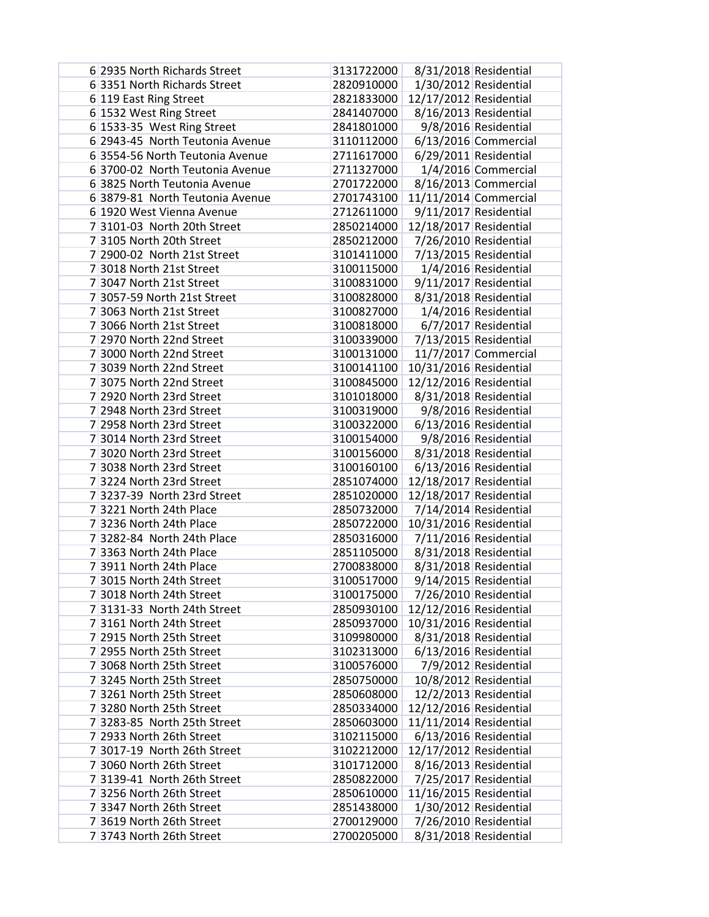| 6 2935 North Richards Street    | 3131722000 |                        | 8/31/2018 Residential   |
|---------------------------------|------------|------------------------|-------------------------|
| 6 3351 North Richards Street    | 2820910000 |                        | $1/30/2012$ Residential |
| 6 119 East Ring Street          | 2821833000 | 12/17/2012 Residential |                         |
| 6 1532 West Ring Street         | 2841407000 |                        | 8/16/2013 Residential   |
| 6 1533-35 West Ring Street      | 2841801000 |                        | 9/8/2016 Residential    |
| 6 2943-45 North Teutonia Avenue | 3110112000 |                        | $6/13/2016$ Commercial  |
| 6 3554-56 North Teutonia Avenue | 2711617000 |                        | $6/29/2011$ Residential |
| 6 3700-02 North Teutonia Avenue | 2711327000 |                        | 1/4/2016 Commercial     |
| 6 3825 North Teutonia Avenue    | 2701722000 |                        | 8/16/2013 Commercial    |
| 6 3879-81 North Teutonia Avenue | 2701743100 |                        | 11/11/2014 Commercial   |
| 6 1920 West Vienna Avenue       | 2712611000 |                        | 9/11/2017 Residential   |
| 7 3101-03 North 20th Street     | 2850214000 | 12/18/2017 Residential |                         |
| 73105 North 20th Street         | 2850212000 |                        | 7/26/2010 Residential   |
| 7 2900-02 North 21st Street     | 3101411000 |                        | 7/13/2015 Residential   |
| 7 3018 North 21st Street        | 3100115000 |                        | 1/4/2016 Residential    |
| 7 3047 North 21st Street        | 3100831000 |                        | 9/11/2017 Residential   |
| 7 3057-59 North 21st Street     | 3100828000 |                        | 8/31/2018 Residential   |
| 7 3063 North 21st Street        | 3100827000 |                        | 1/4/2016 Residential    |
| 7 3066 North 21st Street        | 3100818000 |                        | 6/7/2017 Residential    |
| 7 2970 North 22nd Street        | 3100339000 |                        | 7/13/2015 Residential   |
| 7 3000 North 22nd Street        | 3100131000 |                        | 11/7/2017 Commercial    |
| 7 3039 North 22nd Street        | 3100141100 | 10/31/2016 Residential |                         |
| 7 3075 North 22nd Street        | 3100845000 | 12/12/2016 Residential |                         |
| 7 2920 North 23rd Street        | 3101018000 |                        | 8/31/2018 Residential   |
| 7 2948 North 23rd Street        | 3100319000 |                        | 9/8/2016 Residential    |
| 7 2958 North 23rd Street        | 3100322000 |                        | 6/13/2016 Residential   |
| 7 3014 North 23rd Street        | 3100154000 |                        | 9/8/2016 Residential    |
| 7 3020 North 23rd Street        | 3100156000 |                        | 8/31/2018 Residential   |
| 7 3038 North 23rd Street        | 3100160100 |                        | 6/13/2016 Residential   |
| 73224 North 23rd Street         | 2851074000 | 12/18/2017 Residential |                         |
| 7 3237-39 North 23rd Street     | 2851020000 | 12/18/2017 Residential |                         |
| 73221 North 24th Place          | 2850732000 |                        | 7/14/2014 Residential   |
| 7 3236 North 24th Place         | 2850722000 | 10/31/2016 Residential |                         |
| 7 3282-84 North 24th Place      | 2850316000 |                        | 7/11/2016 Residential   |
| 7 3363 North 24th Place         | 2851105000 |                        | 8/31/2018 Residential   |
| 7 3911 North 24th Place         | 2700838000 |                        | 8/31/2018 Residential   |
| 7 3015 North 24th Street        | 3100517000 |                        | 9/14/2015 Residential   |
| 7 3018 North 24th Street        | 3100175000 |                        | 7/26/2010 Residential   |
| 7 3131-33 North 24th Street     | 2850930100 | 12/12/2016 Residential |                         |
| 73161 North 24th Street         | 2850937000 | 10/31/2016 Residential |                         |
| 7 2915 North 25th Street        | 3109980000 |                        | 8/31/2018 Residential   |
| 7 2955 North 25th Street        | 3102313000 |                        | 6/13/2016 Residential   |
| 7 3068 North 25th Street        | 3100576000 |                        | 7/9/2012 Residential    |
| 73245 North 25th Street         | 2850750000 |                        | 10/8/2012 Residential   |
| 73261 North 25th Street         | 2850608000 |                        | 12/2/2013 Residential   |
| 73280 North 25th Street         | 2850334000 | 12/12/2016 Residential |                         |
| 7 3283-85 North 25th Street     | 2850603000 | 11/11/2014 Residential |                         |
| 7 2933 North 26th Street        | 3102115000 |                        | 6/13/2016 Residential   |
| 7 3017-19 North 26th Street     | 3102212000 | 12/17/2012 Residential |                         |
| 7 3060 North 26th Street        | 3101712000 |                        | 8/16/2013 Residential   |
| 7 3139-41 North 26th Street     | 2850822000 |                        | 7/25/2017 Residential   |
| 73256 North 26th Street         | 2850610000 | 11/16/2015 Residential |                         |
| 7 3347 North 26th Street        | 2851438000 |                        | 1/30/2012 Residential   |
| 7 3619 North 26th Street        | 2700129000 |                        | 7/26/2010 Residential   |
| 73743 North 26th Street         | 2700205000 |                        | 8/31/2018 Residential   |
|                                 |            |                        |                         |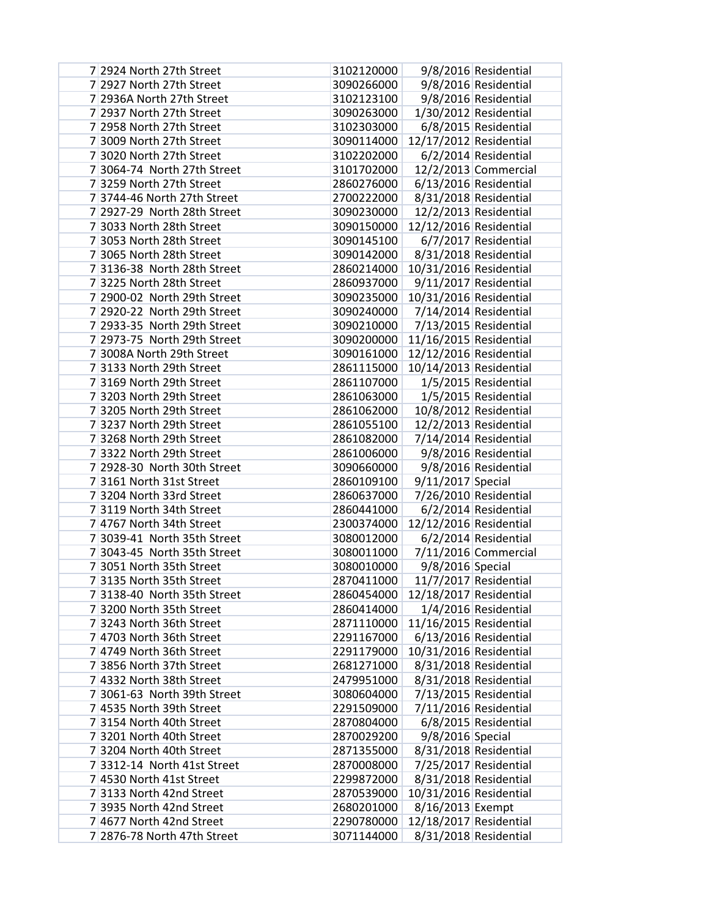| 7 2924 North 27th Street    | 3102120000 |                        | 9/8/2016 Residential  |
|-----------------------------|------------|------------------------|-----------------------|
| 7 2927 North 27th Street    | 3090266000 |                        | 9/8/2016 Residential  |
| 7 2936A North 27th Street   | 3102123100 |                        | 9/8/2016 Residential  |
| 7 2937 North 27th Street    | 3090263000 |                        | 1/30/2012 Residential |
| 7 2958 North 27th Street    | 3102303000 |                        | 6/8/2015 Residential  |
| 7 3009 North 27th Street    | 3090114000 | 12/17/2012 Residential |                       |
| 7 3020 North 27th Street    | 3102202000 |                        | 6/2/2014 Residential  |
| 7 3064-74 North 27th Street | 3101702000 |                        | 12/2/2013 Commercial  |
| 73259 North 27th Street     | 2860276000 |                        | 6/13/2016 Residential |
| 7 3744-46 North 27th Street | 2700222000 |                        | 8/31/2018 Residential |
| 7 2927-29 North 28th Street | 3090230000 |                        | 12/2/2013 Residential |
| 7 3033 North 28th Street    | 3090150000 | 12/12/2016 Residential |                       |
| 7 3053 North 28th Street    | 3090145100 |                        | 6/7/2017 Residential  |
| 7 3065 North 28th Street    | 3090142000 |                        | 8/31/2018 Residential |
| 7 3136-38 North 28th Street | 2860214000 | 10/31/2016 Residential |                       |
| 73225 North 28th Street     | 2860937000 |                        | 9/11/2017 Residential |
| 7 2900-02 North 29th Street | 3090235000 | 10/31/2016 Residential |                       |
| 7 2920-22 North 29th Street | 3090240000 | 7/14/2014 Residential  |                       |
| 7 2933-35 North 29th Street | 3090210000 |                        | 7/13/2015 Residential |
| 7 2973-75 North 29th Street | 3090200000 | 11/16/2015 Residential |                       |
| 7 3008A North 29th Street   | 3090161000 | 12/12/2016 Residential |                       |
| 73133 North 29th Street     | 2861115000 | 10/14/2013 Residential |                       |
| 7 3169 North 29th Street    | 2861107000 |                        | 1/5/2015 Residential  |
| 7 3203 North 29th Street    | 2861063000 |                        | 1/5/2015 Residential  |
| 73205 North 29th Street     | 2861062000 |                        | 10/8/2012 Residential |
| 73237 North 29th Street     | 2861055100 |                        | 12/2/2013 Residential |
| 73268 North 29th Street     | 2861082000 |                        | 7/14/2014 Residential |
| 7 3322 North 29th Street    | 2861006000 |                        | 9/8/2016 Residential  |
| 7 2928-30 North 30th Street | 3090660000 |                        | 9/8/2016 Residential  |
| 73161 North 31st Street     | 2860109100 | 9/11/2017 Special      |                       |
| 73204 North 33rd Street     | 2860637000 |                        | 7/26/2010 Residential |
| 73119 North 34th Street     | 2860441000 |                        | 6/2/2014 Residential  |
| 7 4767 North 34th Street    | 2300374000 | 12/12/2016 Residential |                       |
| 7 3039-41 North 35th Street | 3080012000 |                        | 6/2/2014 Residential  |
| 7 3043-45 North 35th Street | 3080011000 |                        | 7/11/2016 Commercial  |
| 7 3051 North 35th Street    | 3080010000 | 9/8/2016 Special       |                       |
| 73135 North 35th Street     | 2870411000 |                        | 11/7/2017 Residential |
| 7 3138-40 North 35th Street | 2860454000 | 12/18/2017 Residential |                       |
| 7 3200 North 35th Street    | 2860414000 |                        | 1/4/2016 Residential  |
| 73243 North 36th Street     | 2871110000 | 11/16/2015 Residential |                       |
| 7 4703 North 36th Street    | 2291167000 |                        | 6/13/2016 Residential |
| 7 4749 North 36th Street    | 2291179000 | 10/31/2016 Residential |                       |
| 7 3856 North 37th Street    | 2681271000 |                        | 8/31/2018 Residential |
| 7 4332 North 38th Street    | 2479951000 |                        | 8/31/2018 Residential |
| 7 3061-63 North 39th Street | 3080604000 |                        | 7/13/2015 Residential |
| 7 4535 North 39th Street    | 2291509000 |                        | 7/11/2016 Residential |
| 7 3154 North 40th Street    | 2870804000 |                        | 6/8/2015 Residential  |
| 7 3201 North 40th Street    | 2870029200 | 9/8/2016 Special       |                       |
| 7 3204 North 40th Street    | 2871355000 |                        | 8/31/2018 Residential |
| 7 3312-14 North 41st Street | 2870008000 |                        | 7/25/2017 Residential |
| 7 4530 North 41st Street    | 2299872000 |                        | 8/31/2018 Residential |
| 73133 North 42nd Street     | 2870539000 | 10/31/2016 Residential |                       |
| 7 3935 North 42nd Street    | 2680201000 | 8/16/2013 Exempt       |                       |
| 7 4677 North 42nd Street    | 2290780000 | 12/18/2017 Residential |                       |
| 7 2876-78 North 47th Street | 3071144000 |                        | 8/31/2018 Residential |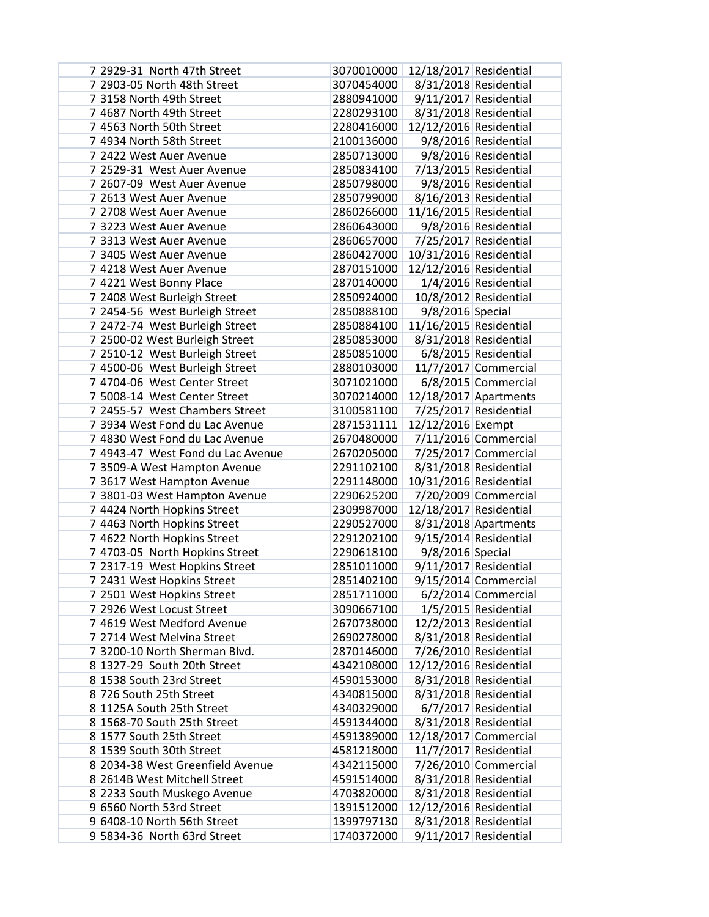| 7 2929-31 North 47th Street                                   | 3070010000               | 12/18/2017 Residential |                                                |
|---------------------------------------------------------------|--------------------------|------------------------|------------------------------------------------|
| 7 2903-05 North 48th Street                                   | 3070454000               |                        | 8/31/2018 Residential                          |
| 73158 North 49th Street                                       | 2880941000               |                        | 9/11/2017 Residential                          |
| 7 4687 North 49th Street                                      | 2280293100               |                        | 8/31/2018 Residential                          |
| 7 4563 North 50th Street                                      | 2280416000               | 12/12/2016 Residential |                                                |
| 7 4934 North 58th Street                                      | 2100136000               |                        | 9/8/2016 Residential                           |
| 7 2422 West Auer Avenue                                       | 2850713000               |                        | 9/8/2016 Residential                           |
| 7 2529-31 West Auer Avenue                                    | 2850834100               |                        | 7/13/2015 Residential                          |
| 7 2607-09 West Auer Avenue                                    | 2850798000               |                        | 9/8/2016 Residential                           |
| 7 2613 West Auer Avenue                                       | 2850799000               |                        | 8/16/2013 Residential                          |
| 7 2708 West Auer Avenue                                       | 2860266000               | 11/16/2015 Residential |                                                |
| 73223 West Auer Avenue                                        | 2860643000               |                        | 9/8/2016 Residential                           |
| 73313 West Auer Avenue                                        | 2860657000               |                        | 7/25/2017 Residential                          |
| 7 3405 West Auer Avenue                                       | 2860427000               | 10/31/2016 Residential |                                                |
| 7 4218 West Auer Avenue                                       | 2870151000               | 12/12/2016 Residential |                                                |
| 7 4221 West Bonny Place                                       | 2870140000               |                        | 1/4/2016 Residential                           |
| 7 2408 West Burleigh Street                                   | 2850924000               |                        | 10/8/2012 Residential                          |
| 7 2454-56 West Burleigh Street                                | 2850888100               | 9/8/2016 Special       |                                                |
| 7 2472-74 West Burleigh Street                                | 2850884100               | 11/16/2015 Residential |                                                |
| 7 2500-02 West Burleigh Street                                | 2850853000               |                        | 8/31/2018 Residential                          |
| 7 2510-12 West Burleigh Street                                | 2850851000<br>2880103000 |                        | 6/8/2015 Residential                           |
| 7 4500-06 West Burleigh Street<br>74704-06 West Center Street |                          |                        | 11/7/2017 Commercial                           |
| 7 5008-14 West Center Street                                  | 3071021000<br>3070214000 |                        | 6/8/2015 Commercial                            |
| 7 2455-57 West Chambers Street                                | 3100581100               |                        | 12/18/2017 Apartments<br>7/25/2017 Residential |
| 7 3934 West Fond du Lac Avenue                                | 2871531111               | 12/12/2016 Exempt      |                                                |
| 7 4830 West Fond du Lac Avenue                                | 2670480000               |                        | 7/11/2016 Commercial                           |
| 7 4943-47 West Fond du Lac Avenue                             | 2670205000               |                        | 7/25/2017 Commercial                           |
| 7 3509-A West Hampton Avenue                                  | 2291102100               |                        | 8/31/2018 Residential                          |
| 73617 West Hampton Avenue                                     | 2291148000               | 10/31/2016 Residential |                                                |
| 7 3801-03 West Hampton Avenue                                 | 2290625200               |                        | 7/20/2009 Commercial                           |
| 7 4424 North Hopkins Street                                   | 2309987000               | 12/18/2017 Residential |                                                |
| 7 4463 North Hopkins Street                                   | 2290527000               |                        | 8/31/2018 Apartments                           |
| 7 4622 North Hopkins Street                                   | 2291202100               |                        | 9/15/2014 Residential                          |
| 7 4703-05 North Hopkins Street                                | 2290618100               | 9/8/2016 Special       |                                                |
| 7 2317-19 West Hopkins Street                                 | 2851011000               |                        | 9/11/2017 Residential                          |
| 7 2431 West Hopkins Street                                    | 2851402100               |                        | $9/15/2014$ Commercial                         |
| 7 2501 West Hopkins Street                                    | 2851711000               |                        | $6/2/2014$ Commercial                          |
| 7 2926 West Locust Street                                     | 3090667100               |                        | 1/5/2015 Residential                           |
| 7 4619 West Medford Avenue                                    | 2670738000               |                        | 12/2/2013 Residential                          |
| 7 2714 West Melvina Street                                    | 2690278000               |                        | 8/31/2018 Residential                          |
| 73200-10 North Sherman Blvd.                                  | 2870146000               |                        | 7/26/2010 Residential                          |
| 8 1327-29 South 20th Street                                   | 4342108000               | 12/12/2016 Residential |                                                |
| 8 1538 South 23rd Street                                      | 4590153000               |                        | 8/31/2018 Residential                          |
| 8 726 South 25th Street                                       | 4340815000               |                        | 8/31/2018 Residential                          |
| 8 1125A South 25th Street                                     | 4340329000               |                        | 6/7/2017 Residential                           |
| 8 1568-70 South 25th Street                                   | 4591344000               |                        | 8/31/2018 Residential                          |
| 8 1577 South 25th Street                                      | 4591389000               |                        | 12/18/2017 Commercial                          |
| 8 1539 South 30th Street                                      | 4581218000               |                        | 11/7/2017 Residential                          |
| 8 2034-38 West Greenfield Avenue                              | 4342115000               |                        | 7/26/2010 Commercial                           |
| 8 2614B West Mitchell Street                                  | 4591514000               |                        | 8/31/2018 Residential                          |
| 8 2233 South Muskego Avenue                                   | 4703820000               |                        | 8/31/2018 Residential                          |
| 9 6560 North 53rd Street                                      | 1391512000               | 12/12/2016 Residential |                                                |
| 9 6408-10 North 56th Street                                   | 1399797130               |                        | 8/31/2018 Residential                          |
| 9 5834-36 North 63rd Street                                   | 1740372000               |                        | 9/11/2017 Residential                          |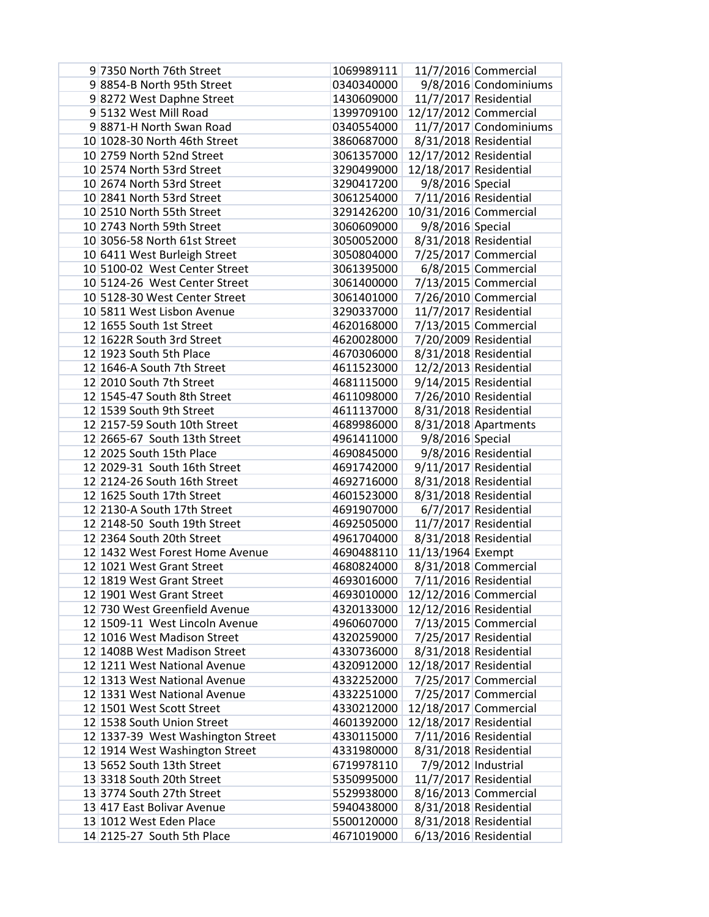| 9 7350 North 76th Street          | 1069989111 |                        | 11/7/2016 Commercial   |
|-----------------------------------|------------|------------------------|------------------------|
| 9 8854-B North 95th Street        | 0340340000 |                        | 9/8/2016 Condominiums  |
| 98272 West Daphne Street          | 1430609000 |                        | 11/7/2017 Residential  |
| 9 5132 West Mill Road             | 1399709100 |                        | 12/17/2012 Commercial  |
| 98871-H North Swan Road           | 0340554000 |                        | 11/7/2017 Condominiums |
| 10 1028-30 North 46th Street      | 3860687000 |                        | 8/31/2018 Residential  |
| 10 2759 North 52nd Street         | 3061357000 | 12/17/2012 Residential |                        |
| 10 2574 North 53rd Street         | 3290499000 | 12/18/2017 Residential |                        |
| 10 2674 North 53rd Street         | 3290417200 | 9/8/2016 Special       |                        |
| 10 2841 North 53rd Street         | 3061254000 |                        | 7/11/2016 Residential  |
| 10 2510 North 55th Street         | 3291426200 |                        | 10/31/2016 Commercial  |
| 10 2743 North 59th Street         | 3060609000 | 9/8/2016 Special       |                        |
| 10 3056-58 North 61st Street      | 3050052000 |                        | 8/31/2018 Residential  |
| 10 6411 West Burleigh Street      | 3050804000 |                        | 7/25/2017 Commercial   |
| 10 5100-02 West Center Street     | 3061395000 |                        | 6/8/2015 Commercial    |
| 10 5124-26 West Center Street     | 3061400000 |                        | 7/13/2015 Commercial   |
| 10 5128-30 West Center Street     | 3061401000 |                        | 7/26/2010 Commercial   |
| 10 5811 West Lisbon Avenue        | 3290337000 |                        | 11/7/2017 Residential  |
| 12 1655 South 1st Street          | 4620168000 |                        | 7/13/2015 Commercial   |
| 12 1622R South 3rd Street         | 4620028000 |                        | 7/20/2009 Residential  |
| 12 1923 South 5th Place           | 4670306000 |                        | 8/31/2018 Residential  |
| 12 1646-A South 7th Street        | 4611523000 |                        | 12/2/2013 Residential  |
| 12 2010 South 7th Street          | 4681115000 |                        | 9/14/2015 Residential  |
| 12 1545-47 South 8th Street       | 4611098000 |                        | 7/26/2010 Residential  |
| 12 1539 South 9th Street          | 4611137000 |                        | 8/31/2018 Residential  |
| 12 2157-59 South 10th Street      | 4689986000 |                        | 8/31/2018 Apartments   |
| 12 2665-67 South 13th Street      | 4961411000 | 9/8/2016 Special       |                        |
| 12 2025 South 15th Place          | 4690845000 |                        | 9/8/2016 Residential   |
| 12 2029-31 South 16th Street      | 4691742000 |                        | 9/11/2017 Residential  |
| 12 2124-26 South 16th Street      | 4692716000 |                        | 8/31/2018 Residential  |
| 12 1625 South 17th Street         | 4601523000 |                        | 8/31/2018 Residential  |
| 12 2130-A South 17th Street       | 4691907000 |                        | 6/7/2017 Residential   |
| 12 2148-50 South 19th Street      | 4692505000 |                        | 11/7/2017 Residential  |
| 12 2364 South 20th Street         | 4961704000 |                        | 8/31/2018 Residential  |
| 12 1432 West Forest Home Avenue   | 4690488110 | 11/13/1964 Exempt      |                        |
| 12 1021 West Grant Street         | 4680824000 |                        | 8/31/2018 Commercial   |
| 12 1819 West Grant Street         | 4693016000 |                        | 7/11/2016 Residential  |
| 12 1901 West Grant Street         | 4693010000 | 12/12/2016 Commercial  |                        |
| 12 730 West Greenfield Avenue     | 4320133000 | 12/12/2016 Residential |                        |
| 12 1509-11 West Lincoln Avenue    | 4960607000 |                        | 7/13/2015 Commercial   |
| 12 1016 West Madison Street       | 4320259000 |                        | 7/25/2017 Residential  |
| 12 1408B West Madison Street      | 4330736000 |                        | 8/31/2018 Residential  |
| 12 1211 West National Avenue      | 4320912000 | 12/18/2017 Residential |                        |
| 12 1313 West National Avenue      | 4332252000 |                        | 7/25/2017 Commercial   |
| 12 1331 West National Avenue      | 4332251000 |                        | 7/25/2017 Commercial   |
| 12 1501 West Scott Street         | 4330212000 |                        | 12/18/2017 Commercial  |
| 12 1538 South Union Street        | 4601392000 | 12/18/2017 Residential |                        |
| 12 1337-39 West Washington Street | 4330115000 |                        | 7/11/2016 Residential  |
| 12 1914 West Washington Street    | 4331980000 |                        | 8/31/2018 Residential  |
| 13 5652 South 13th Street         | 6719978110 |                        | $7/9/2012$ Industrial  |
| 13 3318 South 20th Street         | 5350995000 |                        | 11/7/2017 Residential  |
| 13 3774 South 27th Street         | 5529938000 |                        | 8/16/2013 Commercial   |
| 13 417 East Bolivar Avenue        | 5940438000 |                        | 8/31/2018 Residential  |
| 13 1012 West Eden Place           | 5500120000 |                        | 8/31/2018 Residential  |
| 14 2125-27 South 5th Place        | 4671019000 |                        | 6/13/2016 Residential  |
|                                   |            |                        |                        |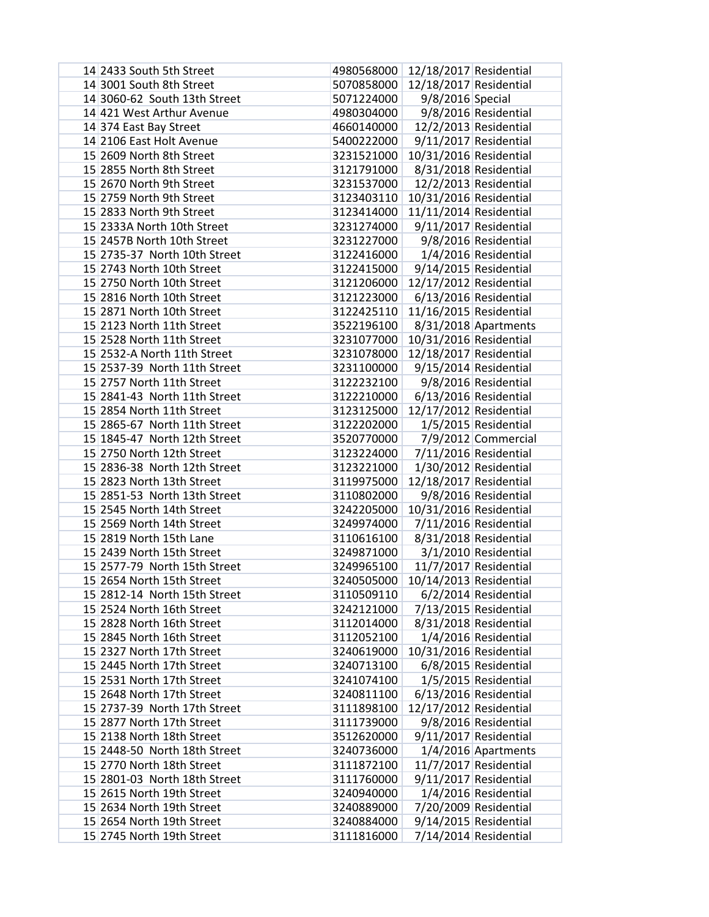| 14 2433 South 5th Street     | 4980568000                        | 12/18/2017 Residential |                         |
|------------------------------|-----------------------------------|------------------------|-------------------------|
| 14 3001 South 8th Street     | 5070858000                        | 12/18/2017 Residential |                         |
| 14 3060-62 South 13th Street | 5071224000                        | 9/8/2016 Special       |                         |
| 14 421 West Arthur Avenue    | 4980304000                        |                        | 9/8/2016 Residential    |
| 14 374 East Bay Street       | 4660140000                        |                        | 12/2/2013 Residential   |
| 14 2106 East Holt Avenue     | 5400222000                        |                        | 9/11/2017 Residential   |
| 15 2609 North 8th Street     | 3231521000                        | 10/31/2016 Residential |                         |
| 15 2855 North 8th Street     | 3121791000                        |                        | 8/31/2018 Residential   |
| 15 2670 North 9th Street     | 3231537000                        |                        | 12/2/2013 Residential   |
| 15 2759 North 9th Street     | 3123403110                        | 10/31/2016 Residential |                         |
| 15 2833 North 9th Street     | 3123414000                        | 11/11/2014 Residential |                         |
| 15 2333A North 10th Street   | 3231274000                        |                        | 9/11/2017 Residential   |
| 15 2457B North 10th Street   | 3231227000                        |                        | 9/8/2016 Residential    |
| 15 2735-37 North 10th Street | 3122416000                        |                        | 1/4/2016 Residential    |
| 15 2743 North 10th Street    | 3122415000                        |                        | 9/14/2015 Residential   |
| 15 2750 North 10th Street    | 3121206000                        | 12/17/2012 Residential |                         |
| 15 2816 North 10th Street    | 3121223000                        | 6/13/2016 Residential  |                         |
| 15 2871 North 10th Street    | 3122425110                        | 11/16/2015 Residential |                         |
| 15 2123 North 11th Street    | 3522196100                        | 8/31/2018 Apartments   |                         |
| 15 2528 North 11th Street    | 3231077000                        | 10/31/2016 Residential |                         |
| 15 2532-A North 11th Street  | 3231078000                        | 12/18/2017 Residential |                         |
| 15 2537-39 North 11th Street | 3231100000                        |                        | $9/15/2014$ Residential |
| 15 2757 North 11th Street    | 3122232100                        |                        | 9/8/2016 Residential    |
| 15 2841-43 North 11th Street | 3122210000                        |                        | 6/13/2016 Residential   |
| 15 2854 North 11th Street    | 3123125000                        | 12/17/2012 Residential |                         |
| 15 2865-67 North 11th Street | 3122202000                        |                        | 1/5/2015 Residential    |
| 15 1845-47 North 12th Street | 3520770000                        |                        | 7/9/2012 Commercial     |
| 15 2750 North 12th Street    | 3123224000                        |                        | 7/11/2016 Residential   |
| 15 2836-38 North 12th Street | 3123221000                        |                        | 1/30/2012 Residential   |
| 15 2823 North 13th Street    | 3119975000                        | 12/18/2017 Residential |                         |
| 15 2851-53 North 13th Street | 3110802000                        |                        | 9/8/2016 Residential    |
| 15 2545 North 14th Street    | 3242205000                        | 10/31/2016 Residential |                         |
| 15 2569 North 14th Street    | 3249974000                        |                        | 7/11/2016 Residential   |
| 15 2819 North 15th Lane      | 3110616100                        |                        | 8/31/2018 Residential   |
| 15 2439 North 15th Street    | 3249871000                        |                        | 3/1/2010 Residential    |
| 15 2577-79 North 15th Street | 3249965100                        |                        | 11/7/2017 Residential   |
| 15 2654 North 15th Street    | 3240505000 10/14/2013 Residential |                        |                         |
| 15 2812-14 North 15th Street | 3110509110                        |                        | 6/2/2014 Residential    |
| 15 2524 North 16th Street    | 3242121000                        |                        | 7/13/2015 Residential   |
| 15 2828 North 16th Street    | 3112014000                        |                        | 8/31/2018 Residential   |
| 15 2845 North 16th Street    | 3112052100                        |                        | 1/4/2016 Residential    |
| 15 2327 North 17th Street    | 3240619000                        | 10/31/2016 Residential |                         |
| 15 2445 North 17th Street    | 3240713100                        |                        | 6/8/2015 Residential    |
| 15 2531 North 17th Street    | 3241074100                        |                        | 1/5/2015 Residential    |
| 15 2648 North 17th Street    | 3240811100                        |                        | 6/13/2016 Residential   |
| 15 2737-39 North 17th Street | 3111898100                        | 12/17/2012 Residential |                         |
| 15 2877 North 17th Street    | 3111739000                        |                        | 9/8/2016 Residential    |
| 15 2138 North 18th Street    | 3512620000                        |                        | 9/11/2017 Residential   |
| 15 2448-50 North 18th Street | 3240736000                        |                        | 1/4/2016 Apartments     |
| 15 2770 North 18th Street    | 3111872100                        |                        | 11/7/2017 Residential   |
| 15 2801-03 North 18th Street | 3111760000                        |                        | 9/11/2017 Residential   |
| 15 2615 North 19th Street    | 3240940000                        |                        | 1/4/2016 Residential    |
| 15 2634 North 19th Street    | 3240889000                        |                        | 7/20/2009 Residential   |
| 15 2654 North 19th Street    | 3240884000                        |                        | 9/14/2015 Residential   |
| 15 2745 North 19th Street    | 3111816000                        |                        | 7/14/2014 Residential   |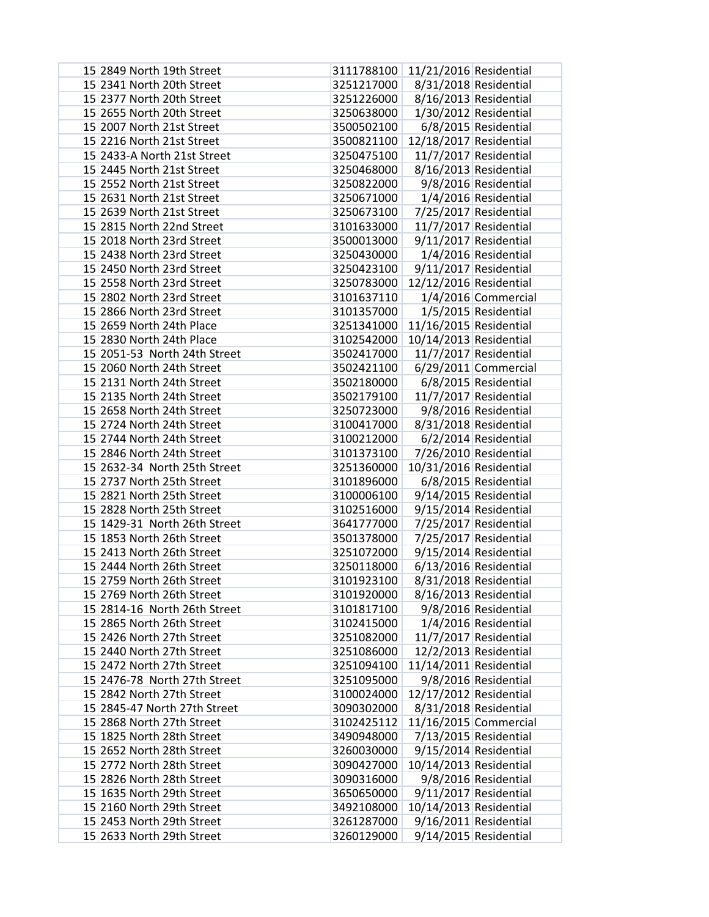| 15 2849 North 19th Street    | 3111788100 | 11/21/2016 Residential |                         |
|------------------------------|------------|------------------------|-------------------------|
| 15 2341 North 20th Street    | 3251217000 |                        | 8/31/2018 Residential   |
| 15 2377 North 20th Street    | 3251226000 |                        | 8/16/2013 Residential   |
| 15 2655 North 20th Street    | 3250638000 |                        | 1/30/2012 Residential   |
| 15 2007 North 21st Street    | 3500502100 |                        | 6/8/2015 Residential    |
| 15 2216 North 21st Street    | 3500821100 | 12/18/2017 Residential |                         |
| 15 2433-A North 21st Street  | 3250475100 |                        | 11/7/2017 Residential   |
| 15 2445 North 21st Street    | 3250468000 |                        | 8/16/2013 Residential   |
| 15 2552 North 21st Street    | 3250822000 |                        | 9/8/2016 Residential    |
| 15 2631 North 21st Street    | 3250671000 |                        | 1/4/2016 Residential    |
| 15 2639 North 21st Street    | 3250673100 |                        | 7/25/2017 Residential   |
| 15 2815 North 22nd Street    | 3101633000 |                        | 11/7/2017 Residential   |
| 15 2018 North 23rd Street    | 3500013000 |                        | 9/11/2017 Residential   |
| 15 2438 North 23rd Street    | 3250430000 |                        | 1/4/2016 Residential    |
| 15 2450 North 23rd Street    | 3250423100 |                        | 9/11/2017 Residential   |
| 15 2558 North 23rd Street    | 3250783000 | 12/12/2016 Residential |                         |
| 15 2802 North 23rd Street    | 3101637110 |                        | 1/4/2016 Commercial     |
| 15 2866 North 23rd Street    | 3101357000 |                        | 1/5/2015 Residential    |
| 15 2659 North 24th Place     | 3251341000 | 11/16/2015 Residential |                         |
| 15 2830 North 24th Place     | 3102542000 | 10/14/2013 Residential |                         |
| 15 2051-53 North 24th Street | 3502417000 |                        | 11/7/2017 Residential   |
| 15 2060 North 24th Street    | 3502421100 |                        | $6/29/2011$ Commercial  |
| 15 2131 North 24th Street    | 3502180000 |                        | 6/8/2015 Residential    |
| 15 2135 North 24th Street    | 3502179100 |                        | 11/7/2017 Residential   |
| 15 2658 North 24th Street    | 3250723000 |                        | 9/8/2016 Residential    |
| 15 2724 North 24th Street    | 3100417000 |                        | 8/31/2018 Residential   |
| 15 2744 North 24th Street    | 3100212000 |                        | 6/2/2014 Residential    |
| 15 2846 North 24th Street    | 3101373100 |                        | 7/26/2010 Residential   |
| 15 2632-34 North 25th Street | 3251360000 | 10/31/2016 Residential |                         |
| 15 2737 North 25th Street    | 3101896000 |                        | 6/8/2015 Residential    |
| 15 2821 North 25th Street    | 3100006100 |                        | 9/14/2015 Residential   |
| 15 2828 North 25th Street    | 3102516000 |                        | 9/15/2014 Residential   |
| 15 1429-31 North 26th Street | 3641777000 |                        | 7/25/2017 Residential   |
| 15 1853 North 26th Street    | 3501378000 |                        | 7/25/2017 Residential   |
| 15 2413 North 26th Street    | 3251072000 |                        | $9/15/2014$ Residential |
| 15 2444 North 26th Street    | 3250118000 |                        | 6/13/2016 Residential   |
| 15 2759 North 26th Street    | 3101923100 |                        | 8/31/2018 Residential   |
| 15 2769 North 26th Street    | 3101920000 |                        | 8/16/2013 Residential   |
| 15 2814-16 North 26th Street | 3101817100 |                        | 9/8/2016 Residential    |
| 15 2865 North 26th Street    | 3102415000 |                        | 1/4/2016 Residential    |
| 15 2426 North 27th Street    | 3251082000 |                        | 11/7/2017 Residential   |
| 15 2440 North 27th Street    | 3251086000 |                        | 12/2/2013 Residential   |
| 15 2472 North 27th Street    | 3251094100 | 11/14/2011 Residential |                         |
| 15 2476-78 North 27th Street | 3251095000 |                        | 9/8/2016 Residential    |
| 15 2842 North 27th Street    | 3100024000 | 12/17/2012 Residential |                         |
| 15 2845-47 North 27th Street | 3090302000 |                        | 8/31/2018 Residential   |
| 15 2868 North 27th Street    | 3102425112 |                        | 11/16/2015 Commercial   |
| 15 1825 North 28th Street    | 3490948000 | 7/13/2015 Residential  |                         |
| 15 2652 North 28th Street    | 3260030000 |                        | 9/15/2014 Residential   |
| 15 2772 North 28th Street    | 3090427000 | 10/14/2013 Residential |                         |
| 15 2826 North 28th Street    | 3090316000 |                        | 9/8/2016 Residential    |
| 15 1635 North 29th Street    | 3650650000 |                        | 9/11/2017 Residential   |
| 15 2160 North 29th Street    | 3492108000 | 10/14/2013 Residential |                         |
| 15 2453 North 29th Street    | 3261287000 |                        | 9/16/2011 Residential   |
| 15 2633 North 29th Street    | 3260129000 |                        | 9/14/2015 Residential   |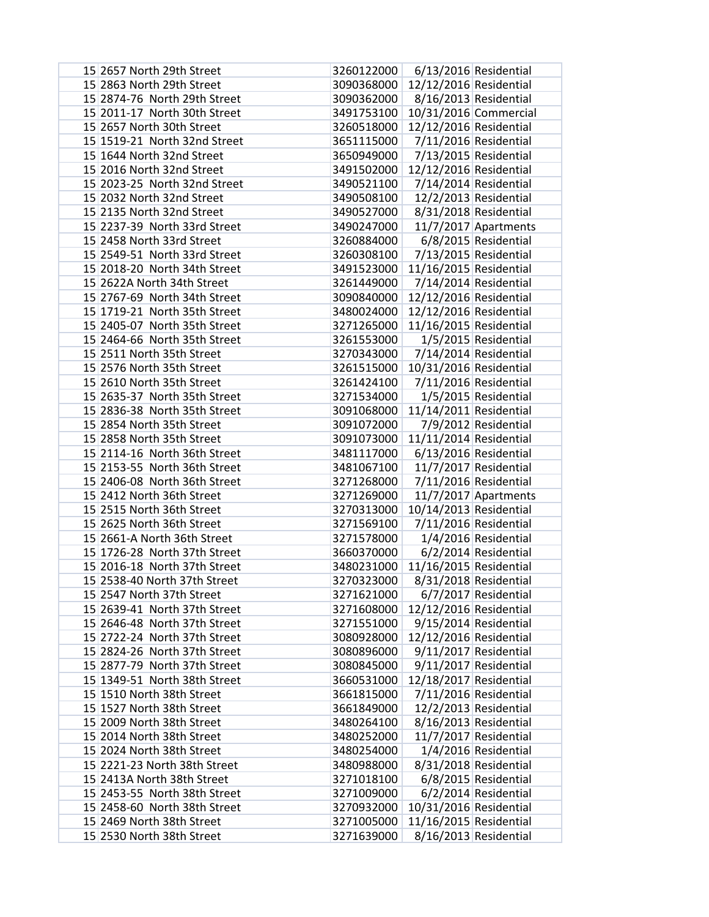| 15 2657 North 29th Street    | 3260122000 |                         | 6/13/2016 Residential  |
|------------------------------|------------|-------------------------|------------------------|
| 15 2863 North 29th Street    | 3090368000 | 12/12/2016 Residential  |                        |
| 15 2874-76 North 29th Street | 3090362000 |                         | 8/16/2013 Residential  |
| 15 2011-17 North 30th Street | 3491753100 |                         | 10/31/2016 Commercial  |
| 15 2657 North 30th Street    | 3260518000 | 12/12/2016 Residential  |                        |
| 15 1519-21 North 32nd Street | 3651115000 |                         | 7/11/2016 Residential  |
| 15 1644 North 32nd Street    | 3650949000 |                         | 7/13/2015 Residential  |
| 15 2016 North 32nd Street    | 3491502000 | 12/12/2016 Residential  |                        |
| 15 2023-25 North 32nd Street | 3490521100 |                         | 7/14/2014 Residential  |
| 15 2032 North 32nd Street    | 3490508100 |                         | 12/2/2013 Residential  |
| 15 2135 North 32nd Street    | 3490527000 |                         | 8/31/2018 Residential  |
| 15 2237-39 North 33rd Street | 3490247000 |                         | $11/7/2017$ Apartments |
| 15 2458 North 33rd Street    | 3260884000 |                         | 6/8/2015 Residential   |
| 15 2549-51 North 33rd Street | 3260308100 |                         | 7/13/2015 Residential  |
| 15 2018-20 North 34th Street | 3491523000 | 11/16/2015 Residential  |                        |
| 15 2622A North 34th Street   | 3261449000 | 7/14/2014 Residential   |                        |
| 15 2767-69 North 34th Street | 3090840000 | 12/12/2016 Residential  |                        |
| 15 1719-21 North 35th Street | 3480024000 | 12/12/2016 Residential  |                        |
| 15 2405-07 North 35th Street | 3271265000 | 11/16/2015 Residential  |                        |
| 15 2464-66 North 35th Street | 3261553000 |                         | 1/5/2015 Residential   |
| 15 2511 North 35th Street    | 3270343000 | $7/14/2014$ Residential |                        |
| 15 2576 North 35th Street    | 3261515000 | 10/31/2016 Residential  |                        |
| 15 2610 North 35th Street    | 3261424100 |                         | 7/11/2016 Residential  |
| 15 2635-37 North 35th Street | 3271534000 |                         | 1/5/2015 Residential   |
| 15 2836-38 North 35th Street | 3091068000 | 11/14/2011 Residential  |                        |
| 15 2854 North 35th Street    | 3091072000 |                         | 7/9/2012 Residential   |
| 15 2858 North 35th Street    | 3091073000 | 11/11/2014 Residential  |                        |
| 15 2114-16 North 36th Street | 3481117000 |                         | 6/13/2016 Residential  |
| 15 2153-55 North 36th Street | 3481067100 |                         | 11/7/2017 Residential  |
| 15 2406-08 North 36th Street | 3271268000 |                         | 7/11/2016 Residential  |
| 15 2412 North 36th Street    | 3271269000 |                         | $11/7/2017$ Apartments |
| 15 2515 North 36th Street    | 3270313000 | 10/14/2013 Residential  |                        |
| 15 2625 North 36th Street    | 3271569100 |                         | 7/11/2016 Residential  |
| 15 2661-A North 36th Street  | 3271578000 |                         | 1/4/2016 Residential   |
| 15 1726-28 North 37th Street | 3660370000 |                         | 6/2/2014 Residential   |
| 15 2016-18 North 37th Street | 3480231000 | 11/16/2015 Residential  |                        |
| 15 2538-40 North 37th Street | 3270323000 |                         | 8/31/2018 Residential  |
| 15 2547 North 37th Street    | 3271621000 |                         | 6/7/2017 Residential   |
| 15 2639-41 North 37th Street | 3271608000 | 12/12/2016 Residential  |                        |
| 15 2646-48 North 37th Street | 3271551000 |                         | 9/15/2014 Residential  |
| 15 2722-24 North 37th Street | 3080928000 | 12/12/2016 Residential  |                        |
| 15 2824-26 North 37th Street | 3080896000 |                         | 9/11/2017 Residential  |
| 15 2877-79 North 37th Street | 3080845000 |                         | 9/11/2017 Residential  |
| 15 1349-51 North 38th Street | 3660531000 | 12/18/2017 Residential  |                        |
| 15 1510 North 38th Street    | 3661815000 | 7/11/2016 Residential   |                        |
| 15 1527 North 38th Street    | 3661849000 |                         | 12/2/2013 Residential  |
| 15 2009 North 38th Street    | 3480264100 |                         | 8/16/2013 Residential  |
| 15 2014 North 38th Street    | 3480252000 |                         | 11/7/2017 Residential  |
| 15 2024 North 38th Street    | 3480254000 |                         | 1/4/2016 Residential   |
| 15 2221-23 North 38th Street | 3480988000 |                         | 8/31/2018 Residential  |
| 15 2413A North 38th Street   | 3271018100 |                         | 6/8/2015 Residential   |
| 15 2453-55 North 38th Street | 3271009000 |                         | 6/2/2014 Residential   |
| 15 2458-60 North 38th Street | 3270932000 | 10/31/2016 Residential  |                        |
| 15 2469 North 38th Street    | 3271005000 | 11/16/2015 Residential  |                        |
| 15 2530 North 38th Street    | 3271639000 |                         | 8/16/2013 Residential  |
|                              |            |                         |                        |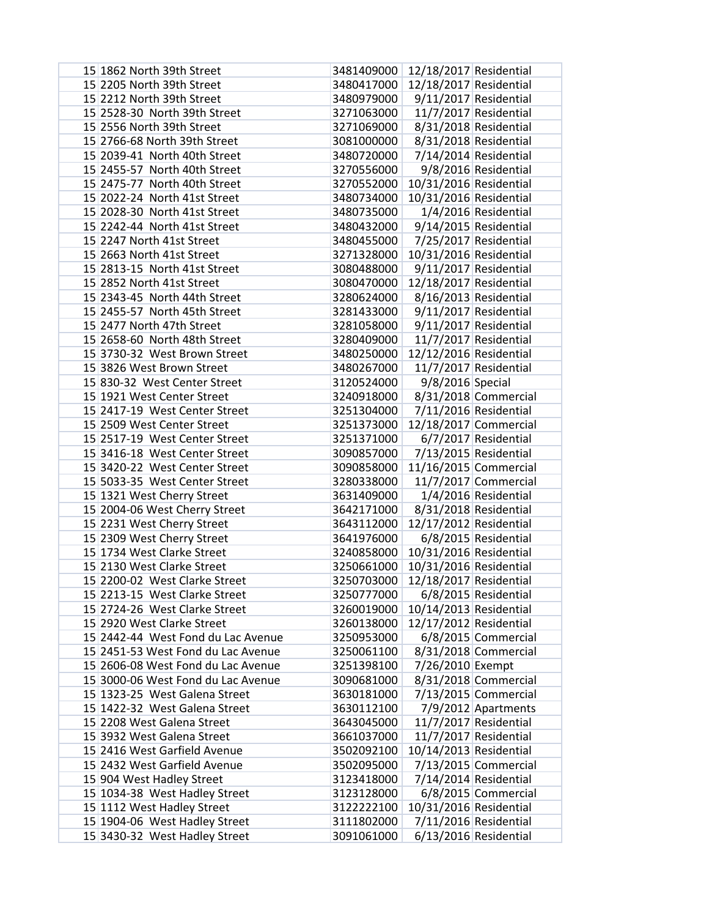| 15 1862 North 39th Street          | 3481409000                        | 12/18/2017 Residential |                       |
|------------------------------------|-----------------------------------|------------------------|-----------------------|
| 15 2205 North 39th Street          | 3480417000                        | 12/18/2017 Residential |                       |
| 15 2212 North 39th Street          | 3480979000                        |                        | 9/11/2017 Residential |
| 15 2528-30 North 39th Street       | 3271063000                        |                        | 11/7/2017 Residential |
| 15 2556 North 39th Street          | 3271069000                        |                        | 8/31/2018 Residential |
| 15 2766-68 North 39th Street       | 3081000000                        |                        | 8/31/2018 Residential |
| 15 2039-41 North 40th Street       | 3480720000                        |                        | 7/14/2014 Residential |
| 15 2455-57 North 40th Street       | 3270556000                        |                        | 9/8/2016 Residential  |
| 15 2475-77 North 40th Street       | 3270552000                        | 10/31/2016 Residential |                       |
| 15 2022-24 North 41st Street       | 3480734000                        | 10/31/2016 Residential |                       |
| 15 2028-30 North 41st Street       | 3480735000                        |                        | 1/4/2016 Residential  |
| 15 2242-44 North 41st Street       | 3480432000                        |                        | 9/14/2015 Residential |
| 15 2247 North 41st Street          | 3480455000                        |                        | 7/25/2017 Residential |
| 15 2663 North 41st Street          | 3271328000                        | 10/31/2016 Residential |                       |
| 15 2813-15 North 41st Street       | 3080488000                        |                        | 9/11/2017 Residential |
| 15 2852 North 41st Street          | 3080470000                        | 12/18/2017 Residential |                       |
| 15 2343-45 North 44th Street       | 3280624000                        |                        | 8/16/2013 Residential |
| 15 2455-57 North 45th Street       | 3281433000                        |                        | 9/11/2017 Residential |
| 15 2477 North 47th Street          | 3281058000                        |                        | 9/11/2017 Residential |
| 15 2658-60 North 48th Street       | 3280409000                        |                        | 11/7/2017 Residential |
| 15 3730-32 West Brown Street       | 3480250000                        | 12/12/2016 Residential |                       |
| 15 3826 West Brown Street          | 3480267000                        |                        | 11/7/2017 Residential |
| 15 830-32 West Center Street       | 3120524000                        | 9/8/2016 Special       |                       |
| 15 1921 West Center Street         | 3240918000                        |                        | 8/31/2018 Commercial  |
| 15 2417-19 West Center Street      | 3251304000                        |                        | 7/11/2016 Residential |
| 15 2509 West Center Street         | 3251373000                        |                        | 12/18/2017 Commercial |
| 15 2517-19 West Center Street      | 3251371000                        |                        | 6/7/2017 Residential  |
| 15 3416-18 West Center Street      | 3090857000                        |                        | 7/13/2015 Residential |
| 15 3420-22 West Center Street      | 3090858000                        |                        | 11/16/2015 Commercial |
| 15 5033-35 West Center Street      | 3280338000                        |                        | 11/7/2017 Commercial  |
| 15 1321 West Cherry Street         | 3631409000                        |                        | 1/4/2016 Residential  |
| 15 2004-06 West Cherry Street      | 3642171000                        |                        | 8/31/2018 Residential |
| 15 2231 West Cherry Street         | 3643112000                        | 12/17/2012 Residential |                       |
| 15 2309 West Cherry Street         | 3641976000                        |                        | 6/8/2015 Residential  |
| 15 1734 West Clarke Street         | 3240858000                        | 10/31/2016 Residential |                       |
| 15 2130 West Clarke Street         | 3250661000                        | 10/31/2016 Residential |                       |
| 15 2200-02 West Clarke Street      | 3250703000 12/18/2017 Residential |                        |                       |
| 15 2213-15 West Clarke Street      | 3250777000                        |                        | 6/8/2015 Residential  |
| 15 2724-26 West Clarke Street      | 3260019000                        | 10/14/2013 Residential |                       |
| 15 2920 West Clarke Street         | 3260138000                        | 12/17/2012 Residential |                       |
| 15 2442-44 West Fond du Lac Avenue | 3250953000                        |                        | 6/8/2015 Commercial   |
| 15 2451-53 West Fond du Lac Avenue | 3250061100                        |                        | 8/31/2018 Commercial  |
| 15 2606-08 West Fond du Lac Avenue | 3251398100                        | 7/26/2010 Exempt       |                       |
| 15 3000-06 West Fond du Lac Avenue | 3090681000                        |                        | 8/31/2018 Commercial  |
| 15 1323-25 West Galena Street      | 3630181000                        |                        | 7/13/2015 Commercial  |
| 15 1422-32 West Galena Street      | 3630112100                        |                        | 7/9/2012 Apartments   |
| 15 2208 West Galena Street         | 3643045000                        |                        | 11/7/2017 Residential |
| 15 3932 West Galena Street         | 3661037000                        |                        | 11/7/2017 Residential |
| 15 2416 West Garfield Avenue       | 3502092100                        | 10/14/2013 Residential |                       |
| 15 2432 West Garfield Avenue       | 3502095000                        |                        | 7/13/2015 Commercial  |
| 15 904 West Hadley Street          | 3123418000                        |                        | 7/14/2014 Residential |
| 15 1034-38 West Hadley Street      | 3123128000                        |                        | 6/8/2015 Commercial   |
| 15 1112 West Hadley Street         | 3122222100                        | 10/31/2016 Residential |                       |
| 15 1904-06 West Hadley Street      | 3111802000                        |                        | 7/11/2016 Residential |
| 15 3430-32 West Hadley Street      | 3091061000                        |                        | 6/13/2016 Residential |
|                                    |                                   |                        |                       |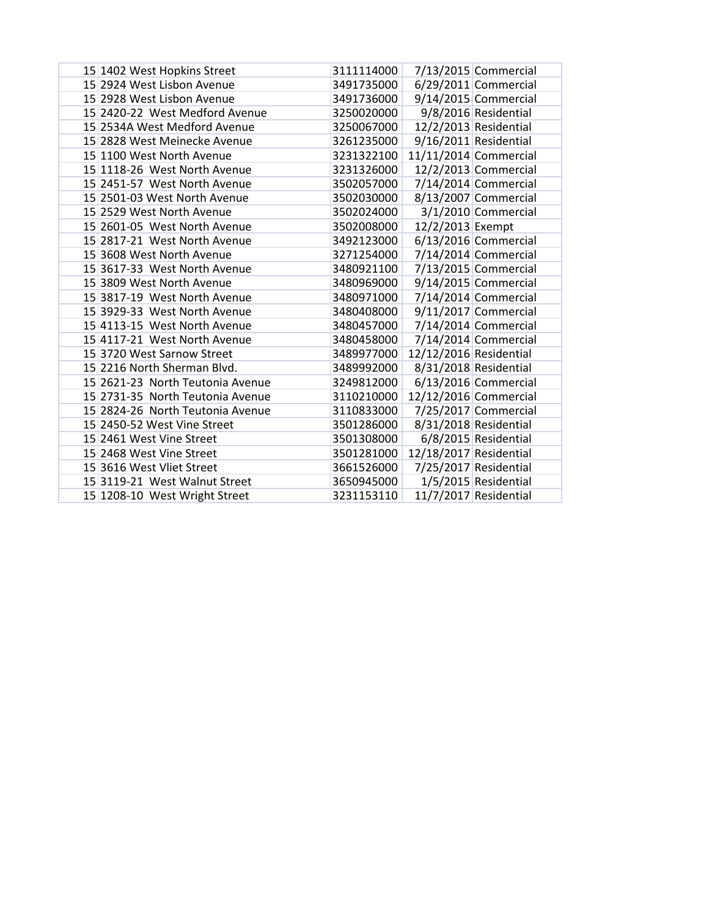| 15 1402 West Hopkins Street      | 3111114000 |                        | 7/13/2015 Commercial   |
|----------------------------------|------------|------------------------|------------------------|
| 15 2924 West Lisbon Avenue       | 3491735000 |                        | $6/29/2011$ Commercial |
| 15 2928 West Lisbon Avenue       | 3491736000 |                        | 9/14/2015 Commercial   |
| 15 2420-22 West Medford Avenue   | 3250020000 |                        | 9/8/2016 Residential   |
| 15 2534A West Medford Avenue     | 3250067000 |                        | 12/2/2013 Residential  |
| 15 2828 West Meinecke Avenue     | 3261235000 |                        | 9/16/2011 Residential  |
| 15 1100 West North Avenue        | 3231322100 |                        | 11/11/2014 Commercial  |
| 15 1118-26 West North Avenue     | 3231326000 |                        | 12/2/2013 Commercial   |
| 15 2451-57 West North Avenue     | 3502057000 |                        | $7/14/2014$ Commercial |
| 15 2501-03 West North Avenue     | 3502030000 |                        | 8/13/2007 Commercial   |
| 15 2529 West North Avenue        | 3502024000 |                        | 3/1/2010 Commercial    |
| 15 2601-05 West North Avenue     | 3502008000 | 12/2/2013 Exempt       |                        |
| 15 2817-21 West North Avenue     | 3492123000 |                        | $6/13/2016$ Commercial |
| 15 3608 West North Avenue        | 3271254000 |                        | 7/14/2014 Commercial   |
| 15 3617-33 West North Avenue     | 3480921100 |                        | 7/13/2015 Commercial   |
| 15 3809 West North Avenue        | 3480969000 |                        | 9/14/2015 Commercial   |
| 15 3817-19 West North Avenue     | 3480971000 |                        | $7/14/2014$ Commercial |
| 15 3929-33 West North Avenue     | 3480408000 |                        | 9/11/2017 Commercial   |
| 15 4113-15 West North Avenue     | 3480457000 |                        | $7/14/2014$ Commercial |
| 15 4117-21 West North Avenue     | 3480458000 |                        | 7/14/2014 Commercial   |
| 15 3720 West Sarnow Street       | 3489977000 | 12/12/2016 Residential |                        |
| 15 2216 North Sherman Blvd.      | 3489992000 |                        | 8/31/2018 Residential  |
| 15 2621-23 North Teutonia Avenue | 3249812000 |                        | $6/13/2016$ Commercial |
| 15 2731-35 North Teutonia Avenue | 3110210000 |                        | 12/12/2016 Commercial  |
| 15 2824-26 North Teutonia Avenue | 3110833000 |                        | 7/25/2017 Commercial   |
| 15 2450-52 West Vine Street      | 3501286000 |                        | 8/31/2018 Residential  |
| 15 2461 West Vine Street         | 3501308000 |                        | 6/8/2015 Residential   |
| 15 2468 West Vine Street         | 3501281000 | 12/18/2017 Residential |                        |
| 15 3616 West Vliet Street        | 3661526000 |                        | 7/25/2017 Residential  |
| 15 3119-21 West Walnut Street    | 3650945000 |                        | 1/5/2015 Residential   |
| 15 1208-10 West Wright Street    | 3231153110 |                        | 11/7/2017 Residential  |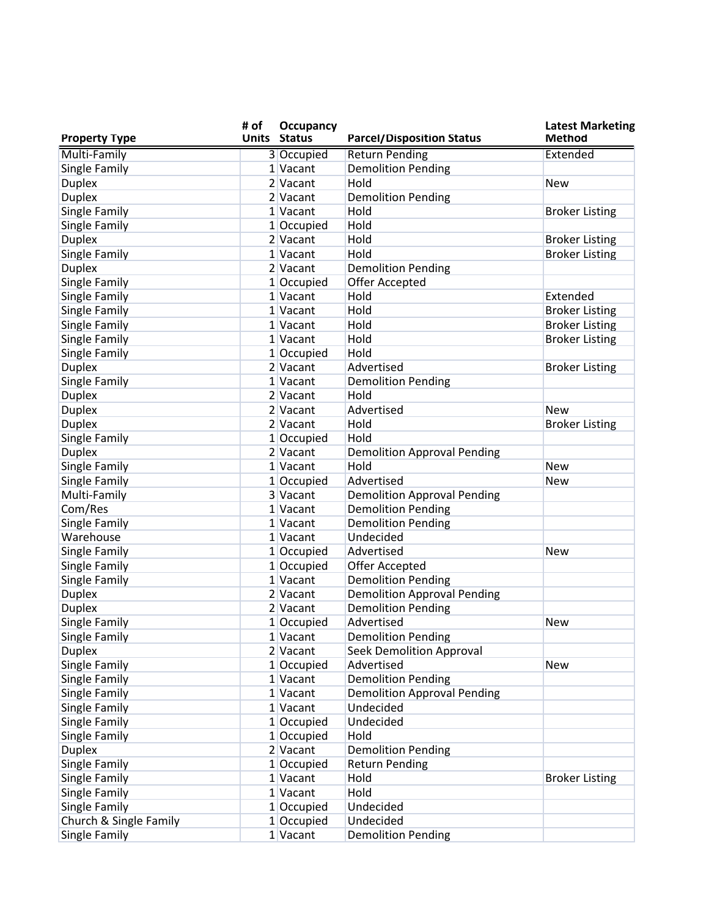| <b>Property Type</b>   | # of | Occupancy<br><b>Units Status</b> | <b>Parcel/Disposition Status</b>            | <b>Latest Marketing</b><br><b>Method</b> |
|------------------------|------|----------------------------------|---------------------------------------------|------------------------------------------|
| Multi-Family           |      | 3 Occupied                       | <b>Return Pending</b>                       | Extended                                 |
| Single Family          |      | 1 Vacant                         | <b>Demolition Pending</b>                   |                                          |
| <b>Duplex</b>          |      | 2 Vacant                         | Hold                                        | <b>New</b>                               |
| <b>Duplex</b>          |      | 2 Vacant                         | <b>Demolition Pending</b>                   |                                          |
| Single Family          |      | 1 Vacant                         | Hold                                        | <b>Broker Listing</b>                    |
| Single Family          |      | 1 Occupied                       | Hold                                        |                                          |
| <b>Duplex</b>          |      | 2 Vacant                         | Hold                                        | <b>Broker Listing</b>                    |
| Single Family          |      | 1 Vacant                         | Hold                                        | <b>Broker Listing</b>                    |
| <b>Duplex</b>          |      | 2 Vacant                         | <b>Demolition Pending</b>                   |                                          |
| Single Family          |      | 1 Occupied                       | Offer Accepted                              |                                          |
| Single Family          |      | 1 Vacant                         | Hold                                        | Extended                                 |
| Single Family          |      | 1 Vacant                         | Hold                                        | <b>Broker Listing</b>                    |
| Single Family          |      | 1 Vacant                         | Hold                                        | <b>Broker Listing</b>                    |
| Single Family          |      | 1 Vacant                         | Hold                                        | <b>Broker Listing</b>                    |
| Single Family          |      | 1 Occupied                       | Hold                                        |                                          |
| <b>Duplex</b>          |      | 2 Vacant                         | Advertised                                  | <b>Broker Listing</b>                    |
| Single Family          |      | 1 Vacant                         | <b>Demolition Pending</b>                   |                                          |
| <b>Duplex</b>          |      | 2 Vacant                         | Hold                                        |                                          |
| <b>Duplex</b>          |      | 2 Vacant                         | Advertised                                  | <b>New</b>                               |
| <b>Duplex</b>          |      | 2 Vacant                         | Hold                                        | <b>Broker Listing</b>                    |
| Single Family          |      | 1 Occupied                       | Hold                                        |                                          |
| <b>Duplex</b>          |      | $2$ Vacant                       | <b>Demolition Approval Pending</b>          |                                          |
| Single Family          |      | 1 Vacant                         | Hold                                        | <b>New</b>                               |
| Single Family          |      | 1 Occupied                       | Advertised                                  | <b>New</b>                               |
| Multi-Family           |      | 3 Vacant                         | <b>Demolition Approval Pending</b>          |                                          |
| Com/Res                |      | 1 Vacant                         | <b>Demolition Pending</b>                   |                                          |
| Single Family          |      | 1 Vacant                         | <b>Demolition Pending</b>                   |                                          |
| Warehouse              |      | $1$ Vacant                       | Undecided                                   |                                          |
|                        |      | 1 Occupied                       | Advertised                                  |                                          |
| Single Family          |      |                                  |                                             | <b>New</b>                               |
| Single Family          |      | 1 Occupied<br>1 Vacant           | Offer Accepted<br><b>Demolition Pending</b> |                                          |
| Single Family          |      |                                  | <b>Demolition Approval Pending</b>          |                                          |
| <b>Duplex</b>          |      | $2$ Vacant                       |                                             |                                          |
| <b>Duplex</b>          |      | 2 Vacant                         | <b>Demolition Pending</b>                   |                                          |
| Single Family          |      | 1 Occupied                       | Advertised                                  | <b>New</b>                               |
| Single Family          |      | 1 Vacant                         | <b>Demolition Pending</b>                   |                                          |
| <b>Duplex</b>          |      | $2$ Vacant                       | Seek Demolition Approval                    |                                          |
| Single Family          |      | 1 Occupied                       | Advertised                                  | <b>New</b>                               |
| Single Family          |      | 1 Vacant                         | <b>Demolition Pending</b>                   |                                          |
| Single Family          |      | $1$ Vacant                       | <b>Demolition Approval Pending</b>          |                                          |
| Single Family          |      | 1 Vacant                         | Undecided                                   |                                          |
| Single Family          |      | 1 Occupied                       | Undecided                                   |                                          |
| Single Family          |      | 1 Occupied                       | Hold                                        |                                          |
| <b>Duplex</b>          |      | 2 Vacant                         | <b>Demolition Pending</b>                   |                                          |
| Single Family          |      | 1 Occupied                       | <b>Return Pending</b>                       |                                          |
| Single Family          |      | $1$ Vacant                       | Hold                                        | <b>Broker Listing</b>                    |
| Single Family          |      | $1$ Vacant                       | Hold                                        |                                          |
| Single Family          |      | 1 Occupied                       | Undecided                                   |                                          |
| Church & Single Family |      | 1 Occupied                       | Undecided                                   |                                          |
| Single Family          |      | $1$ Vacant                       | <b>Demolition Pending</b>                   |                                          |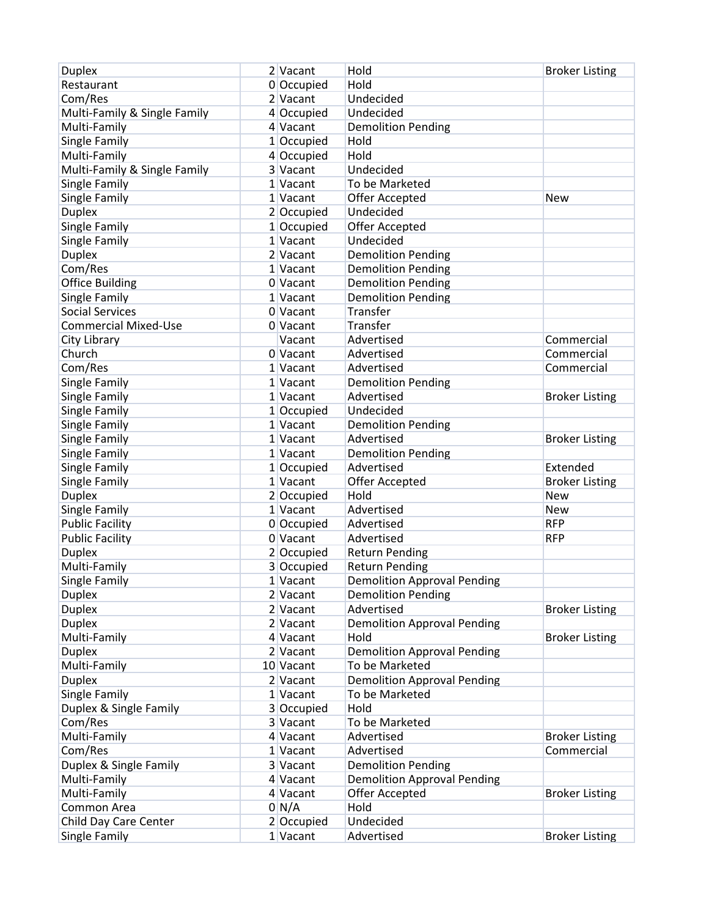| <b>Duplex</b>                | 2 Vacant        | Hold                               | <b>Broker Listing</b> |
|------------------------------|-----------------|------------------------------------|-----------------------|
| Restaurant                   | 0 Occupied      | Hold                               |                       |
| Com/Res                      | 2 Vacant        | Undecided                          |                       |
| Multi-Family & Single Family | 4 Occupied      | Undecided                          |                       |
| Multi-Family                 | 4 Vacant        | <b>Demolition Pending</b>          |                       |
| Single Family                | $1$ Occupied    | Hold                               |                       |
| Multi-Family                 | 4 Occupied      | Hold                               |                       |
| Multi-Family & Single Family | 3 Vacant        | Undecided                          |                       |
| Single Family                | 1 Vacant        | To be Marketed                     |                       |
| Single Family                | 1 Vacant        | <b>Offer Accepted</b>              | <b>New</b>            |
| <b>Duplex</b>                | 2 Occupied      | Undecided                          |                       |
| Single Family                | $1$ Occupied    | Offer Accepted                     |                       |
| Single Family                | $1$ Vacant      | Undecided                          |                       |
| <b>Duplex</b>                | 2 Vacant        | <b>Demolition Pending</b>          |                       |
| Com/Res                      | 1 Vacant        | <b>Demolition Pending</b>          |                       |
| <b>Office Building</b>       | 0 Vacant        | <b>Demolition Pending</b>          |                       |
| Single Family                | $1$ Vacant      | <b>Demolition Pending</b>          |                       |
| <b>Social Services</b>       | 0 Vacant        | Transfer                           |                       |
| <b>Commercial Mixed-Use</b>  | 0 Vacant        | Transfer                           |                       |
| City Library                 | Vacant          | Advertised                         | Commercial            |
| Church                       | 0 Vacant        | Advertised                         | Commercial            |
| Com/Res                      | 1 Vacant        | Advertised                         | Commercial            |
| Single Family                | $1$ Vacant      | <b>Demolition Pending</b>          |                       |
| Single Family                | $1$ Vacant      | Advertised                         | <b>Broker Listing</b> |
| Single Family                | 1 Occupied      | Undecided                          |                       |
| Single Family                | $1$ Vacant      | <b>Demolition Pending</b>          |                       |
| Single Family                | 1 Vacant        | Advertised                         | <b>Broker Listing</b> |
| Single Family                | 1 Vacant        | <b>Demolition Pending</b>          |                       |
| Single Family                | 1 Occupied      | Advertised                         | Extended              |
| Single Family                | 1 Vacant        | Offer Accepted                     | <b>Broker Listing</b> |
| <b>Duplex</b>                | 2 Occupied      | Hold                               | <b>New</b>            |
| Single Family                | 1 Vacant        | Advertised                         | <b>New</b>            |
| <b>Public Facility</b>       | 0 Occupied      | Advertised                         | <b>RFP</b>            |
| <b>Public Facility</b>       | 0 Vacant        | Advertised                         | <b>RFP</b>            |
| <b>Duplex</b>                | 2 Occupied      | <b>Return Pending</b>              |                       |
| Multi-Family                 | 3 Occupied      | <b>Return Pending</b>              |                       |
| Single Family                | $1$ Vacant      | <b>Demolition Approval Pending</b> |                       |
| <b>Duplex</b>                | 2 Vacant        | <b>Demolition Pending</b>          |                       |
| <b>Duplex</b>                | $2$ Vacant      | Advertised                         | <b>Broker Listing</b> |
| <b>Duplex</b>                | $2$ Vacant      | <b>Demolition Approval Pending</b> |                       |
| Multi-Family                 | $4$ Vacant      | Hold                               | <b>Broker Listing</b> |
| <b>Duplex</b>                | 2 Vacant        | <b>Demolition Approval Pending</b> |                       |
| Multi-Family                 | 10 Vacant       | To be Marketed                     |                       |
| <b>Duplex</b>                | 2 Vacant        | <b>Demolition Approval Pending</b> |                       |
| Single Family                | 1 Vacant        | To be Marketed                     |                       |
| Duplex & Single Family       | 3 Occupied      | Hold                               |                       |
| Com/Res                      | 3 Vacant        | To be Marketed                     |                       |
| Multi-Family                 | $4$ Vacant      | Advertised                         | <b>Broker Listing</b> |
| Com/Res                      | 1 Vacant        | Advertised                         | Commercial            |
| Duplex & Single Family       | 3 Vacant        | <b>Demolition Pending</b>          |                       |
| Multi-Family                 | 4 Vacant        | <b>Demolition Approval Pending</b> |                       |
| Multi-Family                 | 4 Vacant        | Offer Accepted                     | <b>Broker Listing</b> |
| Common Area                  | $0 \text{ N/A}$ | Hold                               |                       |
| Child Day Care Center        | 2 Occupied      | Undecided                          |                       |
| Single Family                | $1$ Vacant      | Advertised                         | <b>Broker Listing</b> |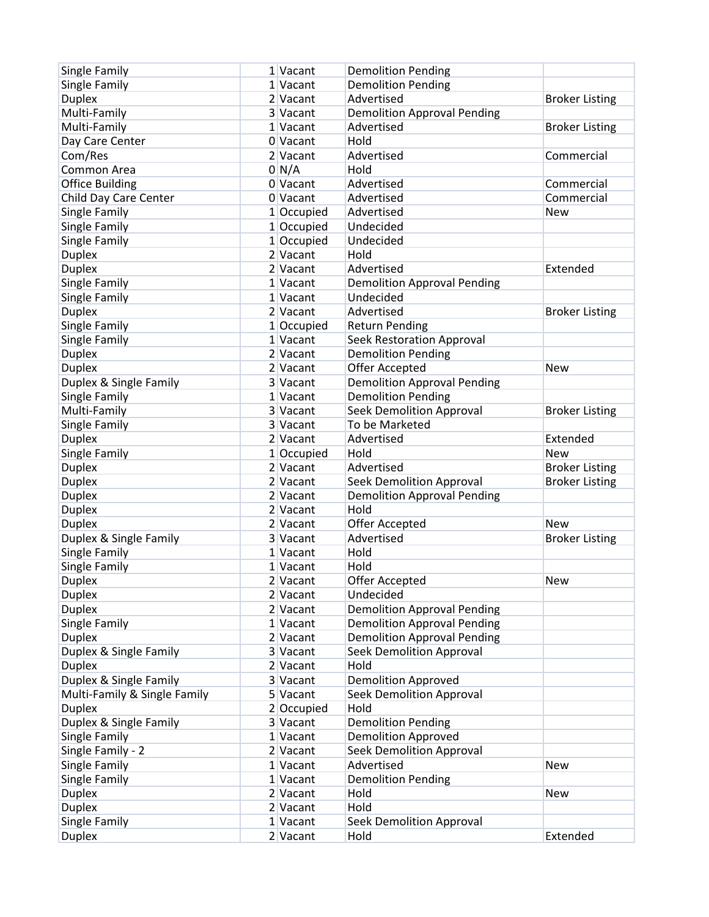| Single Family                | 1 Vacant         | <b>Demolition Pending</b>          |                       |
|------------------------------|------------------|------------------------------------|-----------------------|
| Single Family                | 1 Vacant         | <b>Demolition Pending</b>          |                       |
| <b>Duplex</b>                | 2 Vacant         | Advertised                         | <b>Broker Listing</b> |
| Multi-Family                 | 3 Vacant         | <b>Demolition Approval Pending</b> |                       |
| Multi-Family                 | 1 Vacant         | Advertised                         | <b>Broker Listing</b> |
| Day Care Center              | 0 Vacant         | Hold                               |                       |
| Com/Res                      | 2 Vacant         | Advertised                         | Commercial            |
| Common Area                  | 0 <sub>N/A</sub> | Hold                               |                       |
| <b>Office Building</b>       | 0 Vacant         | Advertised                         | Commercial            |
| Child Day Care Center        | 0 Vacant         | Advertised                         | Commercial            |
| Single Family                | 1 Occupied       | Advertised                         | <b>New</b>            |
| Single Family                | $1$ Occupied     | Undecided                          |                       |
| Single Family                | 1 Occupied       | Undecided                          |                       |
| <b>Duplex</b>                | 2 Vacant         | Hold                               |                       |
| <b>Duplex</b>                | 2 Vacant         | Advertised                         | Extended              |
| Single Family                | 1 Vacant         | <b>Demolition Approval Pending</b> |                       |
| Single Family                | 1 Vacant         | Undecided                          |                       |
| <b>Duplex</b>                | 2 Vacant         | Advertised                         | <b>Broker Listing</b> |
| Single Family                | 1 Occupied       | <b>Return Pending</b>              |                       |
| Single Family                | $1$ Vacant       | Seek Restoration Approval          |                       |
| <b>Duplex</b>                | 2 Vacant         | <b>Demolition Pending</b>          |                       |
| <b>Duplex</b>                | 2 Vacant         | Offer Accepted                     | <b>New</b>            |
| Duplex & Single Family       | 3 Vacant         | <b>Demolition Approval Pending</b> |                       |
| Single Family                | 1 Vacant         | <b>Demolition Pending</b>          |                       |
| Multi-Family                 | 3 Vacant         | <b>Seek Demolition Approval</b>    | <b>Broker Listing</b> |
| Single Family                | 3 Vacant         | To be Marketed                     |                       |
| <b>Duplex</b>                | 2 Vacant         | Advertised                         | Extended              |
| Single Family                | $1$ Occupied     | Hold                               | <b>New</b>            |
| <b>Duplex</b>                | 2 Vacant         | Advertised                         | <b>Broker Listing</b> |
| <b>Duplex</b>                | 2 Vacant         | <b>Seek Demolition Approval</b>    | <b>Broker Listing</b> |
| <b>Duplex</b>                | 2 Vacant         | <b>Demolition Approval Pending</b> |                       |
| <b>Duplex</b>                | 2 Vacant         | Hold                               |                       |
| <b>Duplex</b>                | 2 Vacant         | Offer Accepted                     | <b>New</b>            |
| Duplex & Single Family       | 3 Vacant         | Advertised                         | <b>Broker Listing</b> |
| Single Family                | $1$ Vacant       | Hold                               |                       |
| Single Family                | 1 Vacant         | Hold                               |                       |
| <b>Duplex</b>                | 2 Vacant         | Offer Accepted                     | New                   |
| <b>Duplex</b>                | $2$ Vacant       | Undecided                          |                       |
| <b>Duplex</b>                | $2$ Vacant       | <b>Demolition Approval Pending</b> |                       |
| Single Family                | $1$ Vacant       | <b>Demolition Approval Pending</b> |                       |
| <b>Duplex</b>                | $2$ Vacant       | <b>Demolition Approval Pending</b> |                       |
| Duplex & Single Family       | 3 Vacant         | Seek Demolition Approval           |                       |
| <b>Duplex</b>                | $2$ Vacant       | Hold                               |                       |
| Duplex & Single Family       | 3 Vacant         | <b>Demolition Approved</b>         |                       |
| Multi-Family & Single Family | 5 Vacant         | <b>Seek Demolition Approval</b>    |                       |
| <b>Duplex</b>                | 2 Occupied       | Hold                               |                       |
| Duplex & Single Family       | 3 Vacant         | <b>Demolition Pending</b>          |                       |
| Single Family                | 1 Vacant         | <b>Demolition Approved</b>         |                       |
| Single Family - 2            | 2 Vacant         | <b>Seek Demolition Approval</b>    |                       |
| Single Family                | 1 Vacant         | Advertised                         | New                   |
| Single Family                | $1$ Vacant       | <b>Demolition Pending</b>          |                       |
| <b>Duplex</b>                | 2 Vacant         | Hold                               | New                   |
| <b>Duplex</b>                | 2 Vacant         | Hold                               |                       |
| Single Family                | $1$ Vacant       | <b>Seek Demolition Approval</b>    |                       |
| <b>Duplex</b>                | $2$ Vacant       | Hold                               | Extended              |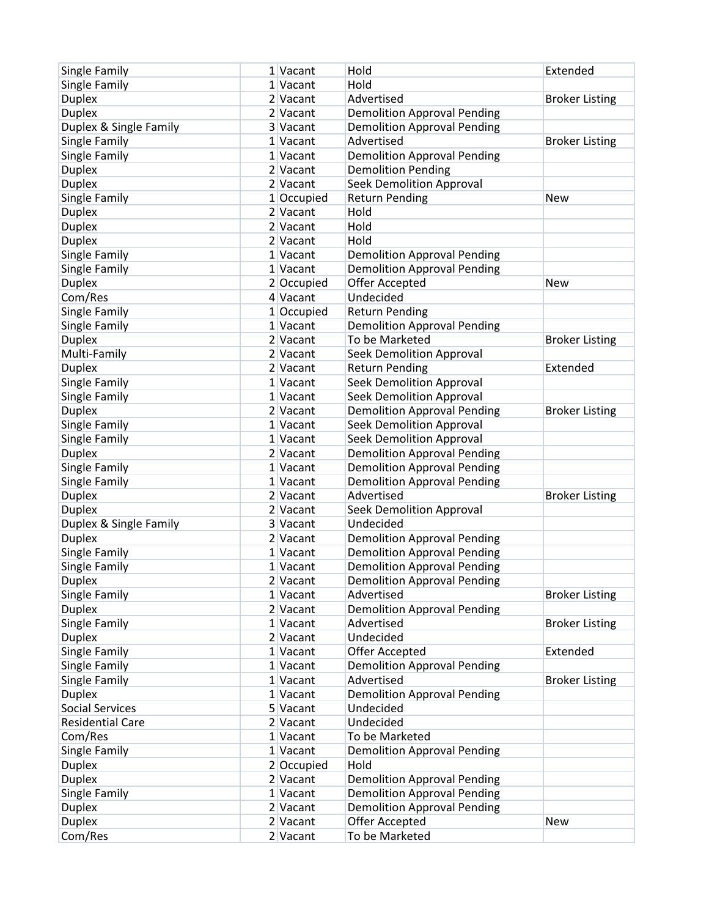| Single Family           | 1 Vacant     | Hold                               | Extended              |
|-------------------------|--------------|------------------------------------|-----------------------|
| Single Family           | 1 Vacant     | Hold                               |                       |
| <b>Duplex</b>           | 2 Vacant     | Advertised                         | <b>Broker Listing</b> |
| <b>Duplex</b>           | 2 Vacant     | <b>Demolition Approval Pending</b> |                       |
| Duplex & Single Family  | 3 Vacant     | <b>Demolition Approval Pending</b> |                       |
| Single Family           | 1 Vacant     | Advertised                         | <b>Broker Listing</b> |
| Single Family           | 1 Vacant     | <b>Demolition Approval Pending</b> |                       |
| <b>Duplex</b>           | 2 Vacant     | <b>Demolition Pending</b>          |                       |
| <b>Duplex</b>           | 2 Vacant     | <b>Seek Demolition Approval</b>    |                       |
| Single Family           | $1$ Occupied | <b>Return Pending</b>              | <b>New</b>            |
| <b>Duplex</b>           | 2 Vacant     | Hold                               |                       |
| <b>Duplex</b>           | 2 Vacant     | Hold                               |                       |
| <b>Duplex</b>           | 2 Vacant     | Hold                               |                       |
| Single Family           | 1 Vacant     | <b>Demolition Approval Pending</b> |                       |
| Single Family           | 1 Vacant     | <b>Demolition Approval Pending</b> |                       |
| <b>Duplex</b>           | 2 Occupied   | Offer Accepted                     | <b>New</b>            |
| Com/Res                 | 4 Vacant     | Undecided                          |                       |
| Single Family           | 1 Occupied   | <b>Return Pending</b>              |                       |
| Single Family           | 1 Vacant     | <b>Demolition Approval Pending</b> |                       |
| <b>Duplex</b>           | 2 Vacant     | To be Marketed                     | <b>Broker Listing</b> |
| Multi-Family            | 2 Vacant     | <b>Seek Demolition Approval</b>    |                       |
| <b>Duplex</b>           | 2 Vacant     | <b>Return Pending</b>              | Extended              |
| Single Family           | 1 Vacant     | <b>Seek Demolition Approval</b>    |                       |
| Single Family           | 1 Vacant     | <b>Seek Demolition Approval</b>    |                       |
| <b>Duplex</b>           | 2 Vacant     | <b>Demolition Approval Pending</b> | <b>Broker Listing</b> |
| Single Family           | 1 Vacant     | <b>Seek Demolition Approval</b>    |                       |
| Single Family           | 1 Vacant     | <b>Seek Demolition Approval</b>    |                       |
| <b>Duplex</b>           | 2 Vacant     | <b>Demolition Approval Pending</b> |                       |
| Single Family           | 1 Vacant     | <b>Demolition Approval Pending</b> |                       |
| Single Family           | 1 Vacant     | <b>Demolition Approval Pending</b> |                       |
| <b>Duplex</b>           | 2 Vacant     | Advertised                         | <b>Broker Listing</b> |
| <b>Duplex</b>           | 2 Vacant     | Seek Demolition Approval           |                       |
| Duplex & Single Family  | 3 Vacant     | Undecided                          |                       |
| <b>Duplex</b>           | 2 Vacant     | <b>Demolition Approval Pending</b> |                       |
| Single Family           | 1 Vacant     | <b>Demolition Approval Pending</b> |                       |
| Single Family           | 1 Vacant     | <b>Demolition Approval Pending</b> |                       |
| <b>Duplex</b>           | 2 Vacant     | <b>Demolition Approval Pending</b> |                       |
| Single Family           | 1 Vacant     | Advertised                         | <b>Broker Listing</b> |
| <b>Duplex</b>           | $2$ Vacant   | <b>Demolition Approval Pending</b> |                       |
| Single Family           | 1 Vacant     | Advertised                         | <b>Broker Listing</b> |
| <b>Duplex</b>           | 2 Vacant     | Undecided                          |                       |
| Single Family           | 1 Vacant     | Offer Accepted                     | Extended              |
| Single Family           | 1 Vacant     | <b>Demolition Approval Pending</b> |                       |
| Single Family           | 1 Vacant     | Advertised                         | <b>Broker Listing</b> |
| <b>Duplex</b>           | 1 Vacant     | <b>Demolition Approval Pending</b> |                       |
| <b>Social Services</b>  | 5 Vacant     | Undecided                          |                       |
| <b>Residential Care</b> | 2 Vacant     | Undecided                          |                       |
| Com/Res                 | 1 Vacant     | To be Marketed                     |                       |
| Single Family           | 1 Vacant     | <b>Demolition Approval Pending</b> |                       |
| <b>Duplex</b>           | 2 Occupied   | Hold                               |                       |
| <b>Duplex</b>           | 2 Vacant     | <b>Demolition Approval Pending</b> |                       |
| Single Family           | 1 Vacant     | <b>Demolition Approval Pending</b> |                       |
| <b>Duplex</b>           | 2 Vacant     | <b>Demolition Approval Pending</b> |                       |
| <b>Duplex</b>           | $2$ Vacant   | Offer Accepted                     | New                   |
| Com/Res                 | 2 Vacant     | To be Marketed                     |                       |
|                         |              |                                    |                       |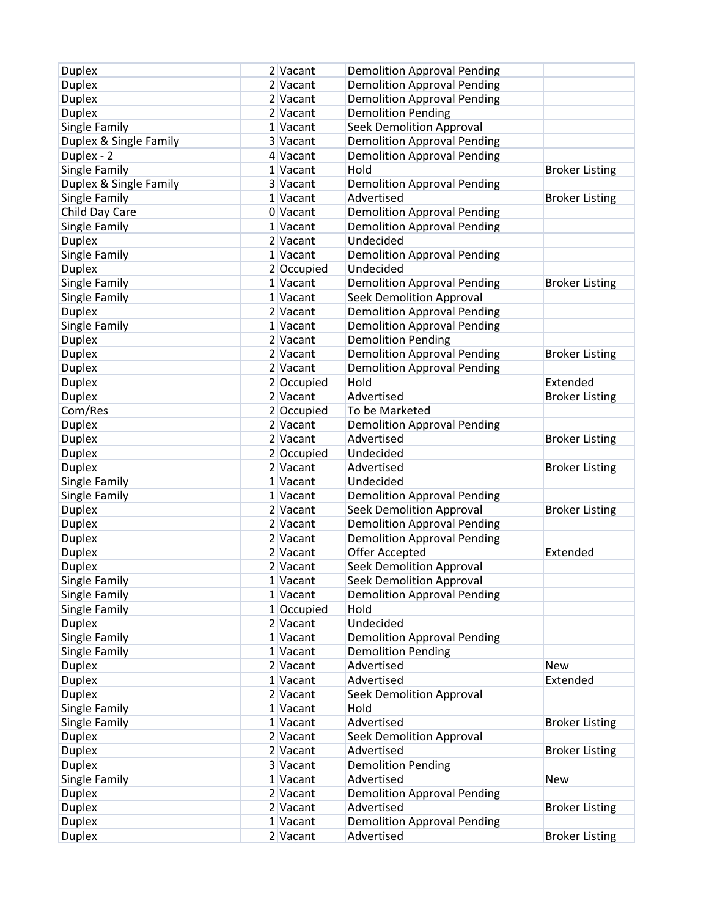| <b>Duplex</b>          | 2 Vacant     | <b>Demolition Approval Pending</b> |                       |
|------------------------|--------------|------------------------------------|-----------------------|
| <b>Duplex</b>          | 2 Vacant     | <b>Demolition Approval Pending</b> |                       |
| <b>Duplex</b>          | 2 Vacant     | <b>Demolition Approval Pending</b> |                       |
| <b>Duplex</b>          | 2 Vacant     | <b>Demolition Pending</b>          |                       |
| Single Family          | 1 Vacant     | <b>Seek Demolition Approval</b>    |                       |
| Duplex & Single Family | 3 Vacant     | <b>Demolition Approval Pending</b> |                       |
| Duplex - 2             | 4 Vacant     | <b>Demolition Approval Pending</b> |                       |
| Single Family          | 1 Vacant     | Hold                               | <b>Broker Listing</b> |
| Duplex & Single Family | 3 Vacant     | <b>Demolition Approval Pending</b> |                       |
| Single Family          | 1 Vacant     | Advertised                         | <b>Broker Listing</b> |
| Child Day Care         | 0 Vacant     | <b>Demolition Approval Pending</b> |                       |
| Single Family          | 1 Vacant     | <b>Demolition Approval Pending</b> |                       |
| <b>Duplex</b>          | 2 Vacant     | Undecided                          |                       |
| Single Family          | 1 Vacant     | <b>Demolition Approval Pending</b> |                       |
| <b>Duplex</b>          | 2 Occupied   | Undecided                          |                       |
| Single Family          | 1 Vacant     | <b>Demolition Approval Pending</b> | <b>Broker Listing</b> |
| Single Family          | 1 Vacant     | Seek Demolition Approval           |                       |
| <b>Duplex</b>          | 2 Vacant     | <b>Demolition Approval Pending</b> |                       |
| Single Family          | 1 Vacant     | <b>Demolition Approval Pending</b> |                       |
| <b>Duplex</b>          | 2 Vacant     | <b>Demolition Pending</b>          |                       |
| <b>Duplex</b>          | 2 Vacant     | <b>Demolition Approval Pending</b> | <b>Broker Listing</b> |
| <b>Duplex</b>          | 2 Vacant     | <b>Demolition Approval Pending</b> |                       |
| <b>Duplex</b>          | 2 Occupied   | Hold                               | Extended              |
| <b>Duplex</b>          | 2 Vacant     | Advertised                         | <b>Broker Listing</b> |
| Com/Res                | $2$ Occupied | To be Marketed                     |                       |
| <b>Duplex</b>          | 2 Vacant     | <b>Demolition Approval Pending</b> |                       |
| <b>Duplex</b>          | 2 Vacant     | Advertised                         | <b>Broker Listing</b> |
| <b>Duplex</b>          | 2 Occupied   | Undecided                          |                       |
| <b>Duplex</b>          | 2 Vacant     | Advertised                         | <b>Broker Listing</b> |
| Single Family          | 1 Vacant     | Undecided                          |                       |
| Single Family          | 1 Vacant     | <b>Demolition Approval Pending</b> |                       |
| <b>Duplex</b>          | 2 Vacant     | <b>Seek Demolition Approval</b>    | <b>Broker Listing</b> |
| <b>Duplex</b>          | 2 Vacant     | <b>Demolition Approval Pending</b> |                       |
| <b>Duplex</b>          | 2 Vacant     | <b>Demolition Approval Pending</b> |                       |
| <b>Duplex</b>          | 2 Vacant     | Offer Accepted                     | Extended              |
| <b>Duplex</b>          | 2 Vacant     | <b>Seek Demolition Approval</b>    |                       |
| Single Family          | 1 Vacant     | <b>Seek Demolition Approval</b>    |                       |
| Single Family          | 1 Vacant     | <b>Demolition Approval Pending</b> |                       |
| Single Family          | $1$ Occupied | Hold                               |                       |
| <b>Duplex</b>          | 2 Vacant     | Undecided                          |                       |
| Single Family          | 1 Vacant     | <b>Demolition Approval Pending</b> |                       |
| Single Family          | 1 Vacant     | <b>Demolition Pending</b>          |                       |
| <b>Duplex</b>          | 2 Vacant     | Advertised                         | New                   |
| <b>Duplex</b>          | 1 Vacant     | Advertised                         | Extended              |
| <b>Duplex</b>          | 2 Vacant     | <b>Seek Demolition Approval</b>    |                       |
| Single Family          | 1 Vacant     | Hold                               |                       |
| Single Family          | 1 Vacant     | Advertised                         | <b>Broker Listing</b> |
| <b>Duplex</b>          | $2$ Vacant   | <b>Seek Demolition Approval</b>    |                       |
| <b>Duplex</b>          | 2 Vacant     | Advertised                         | <b>Broker Listing</b> |
| <b>Duplex</b>          | 3 Vacant     | <b>Demolition Pending</b>          |                       |
| Single Family          | 1 Vacant     | Advertised                         | <b>New</b>            |
| <b>Duplex</b>          | 2 Vacant     | <b>Demolition Approval Pending</b> |                       |
| <b>Duplex</b>          | 2 Vacant     | Advertised                         | <b>Broker Listing</b> |
| <b>Duplex</b>          | 1 Vacant     | <b>Demolition Approval Pending</b> |                       |
| <b>Duplex</b>          | $2$ Vacant   | Advertised                         | <b>Broker Listing</b> |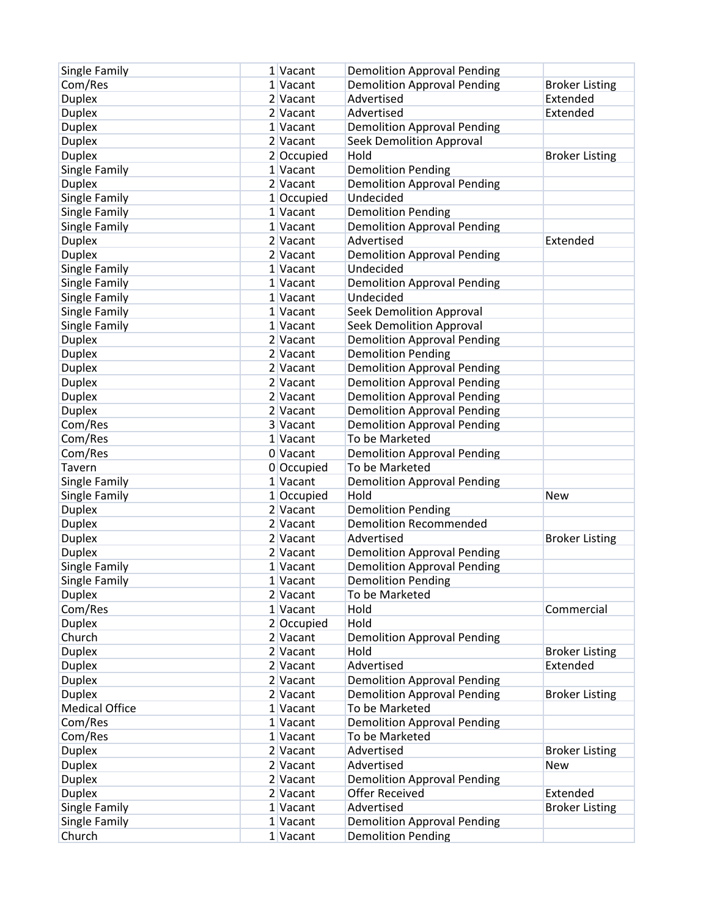| Single Family         | 1 Vacant     | <b>Demolition Approval Pending</b> |                       |
|-----------------------|--------------|------------------------------------|-----------------------|
| Com/Res               | 1 Vacant     | <b>Demolition Approval Pending</b> | <b>Broker Listing</b> |
| <b>Duplex</b>         | 2 Vacant     | Advertised                         | Extended              |
| <b>Duplex</b>         | 2 Vacant     | Advertised                         | Extended              |
| <b>Duplex</b>         | 1 Vacant     | <b>Demolition Approval Pending</b> |                       |
| <b>Duplex</b>         | 2 Vacant     | <b>Seek Demolition Approval</b>    |                       |
| <b>Duplex</b>         | 2 Occupied   | Hold                               | <b>Broker Listing</b> |
| Single Family         | 1 Vacant     | <b>Demolition Pending</b>          |                       |
| <b>Duplex</b>         | 2 Vacant     | <b>Demolition Approval Pending</b> |                       |
| Single Family         | $1$ Occupied | Undecided                          |                       |
| Single Family         | 1 Vacant     | <b>Demolition Pending</b>          |                       |
| Single Family         | 1 Vacant     | <b>Demolition Approval Pending</b> |                       |
| <b>Duplex</b>         | 2 Vacant     | Advertised                         | Extended              |
| <b>Duplex</b>         | 2 Vacant     | <b>Demolition Approval Pending</b> |                       |
| Single Family         | 1 Vacant     | Undecided                          |                       |
| Single Family         | 1 Vacant     | <b>Demolition Approval Pending</b> |                       |
| Single Family         | 1 Vacant     | Undecided                          |                       |
| Single Family         | 1 Vacant     | <b>Seek Demolition Approval</b>    |                       |
| Single Family         | 1 Vacant     | Seek Demolition Approval           |                       |
| <b>Duplex</b>         | 2 Vacant     | <b>Demolition Approval Pending</b> |                       |
| <b>Duplex</b>         | 2 Vacant     | <b>Demolition Pending</b>          |                       |
| <b>Duplex</b>         | 2 Vacant     | <b>Demolition Approval Pending</b> |                       |
| <b>Duplex</b>         | 2 Vacant     | <b>Demolition Approval Pending</b> |                       |
| <b>Duplex</b>         | 2 Vacant     | <b>Demolition Approval Pending</b> |                       |
| <b>Duplex</b>         | 2 Vacant     | <b>Demolition Approval Pending</b> |                       |
| Com/Res               | 3 Vacant     | <b>Demolition Approval Pending</b> |                       |
| Com/Res               | 1 Vacant     | To be Marketed                     |                       |
| Com/Res               | 0 Vacant     | <b>Demolition Approval Pending</b> |                       |
| Tavern                | 0 Occupied   | To be Marketed                     |                       |
| Single Family         | 1 Vacant     | <b>Demolition Approval Pending</b> |                       |
| Single Family         | 1 Occupied   | Hold                               | <b>New</b>            |
| <b>Duplex</b>         | 2 Vacant     | <b>Demolition Pending</b>          |                       |
| <b>Duplex</b>         | 2 Vacant     | <b>Demolition Recommended</b>      |                       |
| <b>Duplex</b>         | 2 Vacant     | Advertised                         | <b>Broker Listing</b> |
| <b>Duplex</b>         | 2 Vacant     | <b>Demolition Approval Pending</b> |                       |
| Single Family         | 1 Vacant     | <b>Demolition Approval Pending</b> |                       |
| Single Family         | 1 Vacant     | <b>Demolition Pending</b>          |                       |
| <b>Duplex</b>         | 2 Vacant     | To be Marketed                     |                       |
| Com/Res               | 1 Vacant     | Hold                               | Commercial            |
| <b>Duplex</b>         | $2$ Occupied | Hold                               |                       |
| Church                | 2 Vacant     | <b>Demolition Approval Pending</b> |                       |
| <b>Duplex</b>         | 2 Vacant     | Hold                               | <b>Broker Listing</b> |
| <b>Duplex</b>         | 2 Vacant     | Advertised                         | Extended              |
| <b>Duplex</b>         | 2 Vacant     | <b>Demolition Approval Pending</b> |                       |
| <b>Duplex</b>         | 2 Vacant     | <b>Demolition Approval Pending</b> | <b>Broker Listing</b> |
| <b>Medical Office</b> | 1 Vacant     | To be Marketed                     |                       |
| Com/Res               | 1 Vacant     | <b>Demolition Approval Pending</b> |                       |
| Com/Res               | 1 Vacant     | To be Marketed                     |                       |
| <b>Duplex</b>         | 2 Vacant     | Advertised                         | <b>Broker Listing</b> |
| <b>Duplex</b>         | 2 Vacant     | Advertised                         | <b>New</b>            |
| <b>Duplex</b>         | 2 Vacant     | <b>Demolition Approval Pending</b> |                       |
| <b>Duplex</b>         | 2 Vacant     | <b>Offer Received</b>              | Extended              |
| Single Family         | 1 Vacant     | Advertised                         | <b>Broker Listing</b> |
| Single Family         | 1 Vacant     | <b>Demolition Approval Pending</b> |                       |
| Church                | 1 Vacant     | <b>Demolition Pending</b>          |                       |
|                       |              |                                    |                       |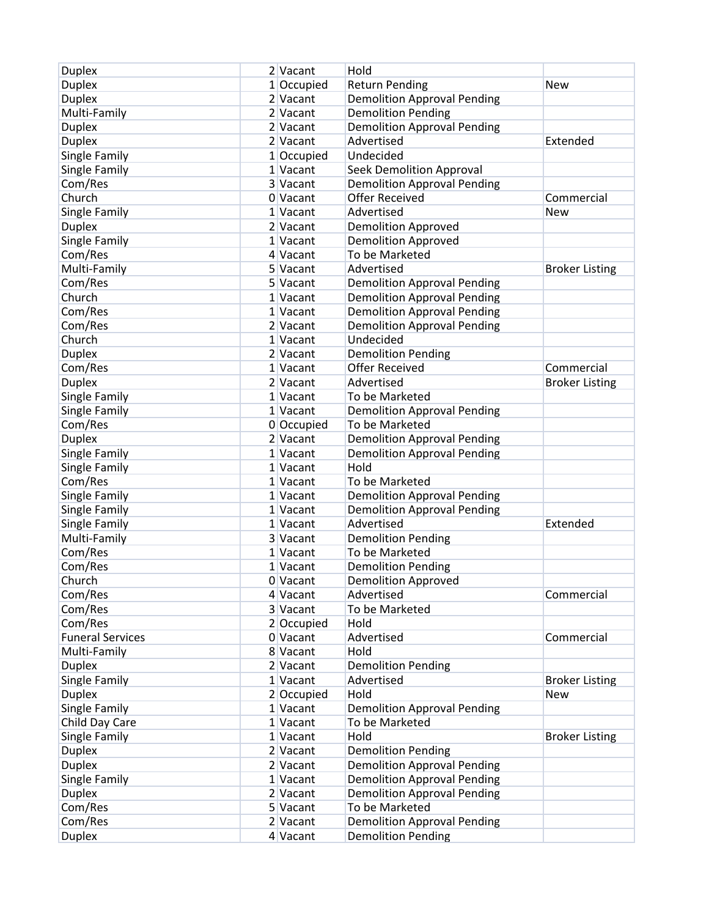| <b>Duplex</b><br>1 Occupied<br><b>Return Pending</b><br><b>New</b><br><b>Duplex</b><br><b>Demolition Approval Pending</b><br>2 Vacant<br>Multi-Family<br><b>Demolition Pending</b><br>2 Vacant<br><b>Duplex</b><br><b>Demolition Approval Pending</b><br>2 Vacant<br><b>Duplex</b><br>Advertised<br>2 Vacant<br>Extended<br>Single Family<br>Undecided<br>1 Occupied<br>Single Family<br>1 Vacant<br>Seek Demolition Approval<br>Com/Res<br>3 Vacant<br><b>Demolition Approval Pending</b><br>Church<br><b>Offer Received</b><br>0 Vacant<br>Commercial<br>Single Family<br>Advertised<br>1 Vacant<br><b>New</b><br><b>Duplex</b><br>2 Vacant<br><b>Demolition Approved</b><br>Single Family<br>1 Vacant<br><b>Demolition Approved</b><br>Com/Res<br>To be Marketed<br>4 Vacant<br>Multi-Family<br>5 Vacant<br>Advertised<br><b>Broker Listing</b><br>Com/Res<br>5 Vacant<br><b>Demolition Approval Pending</b><br>Church<br>1 Vacant<br><b>Demolition Approval Pending</b><br>Com/Res<br><b>Demolition Approval Pending</b><br>1 Vacant<br>Com/Res<br>2 Vacant<br><b>Demolition Approval Pending</b><br>Church<br>Undecided<br>1 Vacant<br><b>Duplex</b><br>2 Vacant<br><b>Demolition Pending</b><br>Com/Res<br><b>Offer Received</b><br>Commercial<br>1 Vacant<br><b>Duplex</b><br>Advertised<br>2 Vacant<br><b>Broker Listing</b><br>Single Family<br>$1$ Vacant<br>To be Marketed<br>Single Family<br><b>Demolition Approval Pending</b><br>1 Vacant<br>Com/Res<br>0 Occupied<br>To be Marketed<br><b>Duplex</b><br>2 Vacant<br><b>Demolition Approval Pending</b><br>Single Family<br>1 Vacant<br><b>Demolition Approval Pending</b><br>Single Family<br>Hold<br>1 Vacant<br>Com/Res<br>To be Marketed<br>1 Vacant<br>Single Family<br><b>Demolition Approval Pending</b><br>1 Vacant<br>Single Family<br><b>Demolition Approval Pending</b><br>1 Vacant<br>Advertised<br>Single Family<br>Extended<br>1 Vacant<br>Multi-Family<br><b>Demolition Pending</b><br>3 Vacant<br>Com/Res<br>To be Marketed<br>$1$ Vacant<br>Com/Res<br><b>Demolition Pending</b><br>1 Vacant<br>Church<br><b>Demolition Approved</b><br>0 Vacant<br>Com/Res<br>Commercial<br>4 Vacant<br>Advertised<br>Com/Res<br>3 Vacant<br>To be Marketed<br>Com/Res<br>2 Occupied<br>Hold<br><b>Funeral Services</b><br>0 Vacant<br>Advertised<br>Commercial<br>Hold<br>Multi-Family<br>8 Vacant<br><b>Duplex</b><br>2 Vacant<br><b>Demolition Pending</b><br>Single Family<br>1 Vacant<br>Advertised<br><b>Broker Listing</b><br><b>Duplex</b><br>2 Occupied<br>Hold<br><b>New</b><br>Single Family<br>1 Vacant<br><b>Demolition Approval Pending</b><br>Child Day Care<br>1 Vacant<br>To be Marketed | <b>Duplex</b> | 2 Vacant | Hold |                       |
|----------------------------------------------------------------------------------------------------------------------------------------------------------------------------------------------------------------------------------------------------------------------------------------------------------------------------------------------------------------------------------------------------------------------------------------------------------------------------------------------------------------------------------------------------------------------------------------------------------------------------------------------------------------------------------------------------------------------------------------------------------------------------------------------------------------------------------------------------------------------------------------------------------------------------------------------------------------------------------------------------------------------------------------------------------------------------------------------------------------------------------------------------------------------------------------------------------------------------------------------------------------------------------------------------------------------------------------------------------------------------------------------------------------------------------------------------------------------------------------------------------------------------------------------------------------------------------------------------------------------------------------------------------------------------------------------------------------------------------------------------------------------------------------------------------------------------------------------------------------------------------------------------------------------------------------------------------------------------------------------------------------------------------------------------------------------------------------------------------------------------------------------------------------------------------------------------------------------------------------------------------------------------------------------------------------------------------------------------------------------------------------------------------------------------------------------------------------------------------------------------------------------------------------------------------------------------------------------------------------------------------------------------------------------------|---------------|----------|------|-----------------------|
|                                                                                                                                                                                                                                                                                                                                                                                                                                                                                                                                                                                                                                                                                                                                                                                                                                                                                                                                                                                                                                                                                                                                                                                                                                                                                                                                                                                                                                                                                                                                                                                                                                                                                                                                                                                                                                                                                                                                                                                                                                                                                                                                                                                                                                                                                                                                                                                                                                                                                                                                                                                                                                                                            |               |          |      |                       |
|                                                                                                                                                                                                                                                                                                                                                                                                                                                                                                                                                                                                                                                                                                                                                                                                                                                                                                                                                                                                                                                                                                                                                                                                                                                                                                                                                                                                                                                                                                                                                                                                                                                                                                                                                                                                                                                                                                                                                                                                                                                                                                                                                                                                                                                                                                                                                                                                                                                                                                                                                                                                                                                                            |               |          |      |                       |
|                                                                                                                                                                                                                                                                                                                                                                                                                                                                                                                                                                                                                                                                                                                                                                                                                                                                                                                                                                                                                                                                                                                                                                                                                                                                                                                                                                                                                                                                                                                                                                                                                                                                                                                                                                                                                                                                                                                                                                                                                                                                                                                                                                                                                                                                                                                                                                                                                                                                                                                                                                                                                                                                            |               |          |      |                       |
|                                                                                                                                                                                                                                                                                                                                                                                                                                                                                                                                                                                                                                                                                                                                                                                                                                                                                                                                                                                                                                                                                                                                                                                                                                                                                                                                                                                                                                                                                                                                                                                                                                                                                                                                                                                                                                                                                                                                                                                                                                                                                                                                                                                                                                                                                                                                                                                                                                                                                                                                                                                                                                                                            |               |          |      |                       |
|                                                                                                                                                                                                                                                                                                                                                                                                                                                                                                                                                                                                                                                                                                                                                                                                                                                                                                                                                                                                                                                                                                                                                                                                                                                                                                                                                                                                                                                                                                                                                                                                                                                                                                                                                                                                                                                                                                                                                                                                                                                                                                                                                                                                                                                                                                                                                                                                                                                                                                                                                                                                                                                                            |               |          |      |                       |
|                                                                                                                                                                                                                                                                                                                                                                                                                                                                                                                                                                                                                                                                                                                                                                                                                                                                                                                                                                                                                                                                                                                                                                                                                                                                                                                                                                                                                                                                                                                                                                                                                                                                                                                                                                                                                                                                                                                                                                                                                                                                                                                                                                                                                                                                                                                                                                                                                                                                                                                                                                                                                                                                            |               |          |      |                       |
|                                                                                                                                                                                                                                                                                                                                                                                                                                                                                                                                                                                                                                                                                                                                                                                                                                                                                                                                                                                                                                                                                                                                                                                                                                                                                                                                                                                                                                                                                                                                                                                                                                                                                                                                                                                                                                                                                                                                                                                                                                                                                                                                                                                                                                                                                                                                                                                                                                                                                                                                                                                                                                                                            |               |          |      |                       |
|                                                                                                                                                                                                                                                                                                                                                                                                                                                                                                                                                                                                                                                                                                                                                                                                                                                                                                                                                                                                                                                                                                                                                                                                                                                                                                                                                                                                                                                                                                                                                                                                                                                                                                                                                                                                                                                                                                                                                                                                                                                                                                                                                                                                                                                                                                                                                                                                                                                                                                                                                                                                                                                                            |               |          |      |                       |
|                                                                                                                                                                                                                                                                                                                                                                                                                                                                                                                                                                                                                                                                                                                                                                                                                                                                                                                                                                                                                                                                                                                                                                                                                                                                                                                                                                                                                                                                                                                                                                                                                                                                                                                                                                                                                                                                                                                                                                                                                                                                                                                                                                                                                                                                                                                                                                                                                                                                                                                                                                                                                                                                            |               |          |      |                       |
|                                                                                                                                                                                                                                                                                                                                                                                                                                                                                                                                                                                                                                                                                                                                                                                                                                                                                                                                                                                                                                                                                                                                                                                                                                                                                                                                                                                                                                                                                                                                                                                                                                                                                                                                                                                                                                                                                                                                                                                                                                                                                                                                                                                                                                                                                                                                                                                                                                                                                                                                                                                                                                                                            |               |          |      |                       |
|                                                                                                                                                                                                                                                                                                                                                                                                                                                                                                                                                                                                                                                                                                                                                                                                                                                                                                                                                                                                                                                                                                                                                                                                                                                                                                                                                                                                                                                                                                                                                                                                                                                                                                                                                                                                                                                                                                                                                                                                                                                                                                                                                                                                                                                                                                                                                                                                                                                                                                                                                                                                                                                                            |               |          |      |                       |
|                                                                                                                                                                                                                                                                                                                                                                                                                                                                                                                                                                                                                                                                                                                                                                                                                                                                                                                                                                                                                                                                                                                                                                                                                                                                                                                                                                                                                                                                                                                                                                                                                                                                                                                                                                                                                                                                                                                                                                                                                                                                                                                                                                                                                                                                                                                                                                                                                                                                                                                                                                                                                                                                            |               |          |      |                       |
|                                                                                                                                                                                                                                                                                                                                                                                                                                                                                                                                                                                                                                                                                                                                                                                                                                                                                                                                                                                                                                                                                                                                                                                                                                                                                                                                                                                                                                                                                                                                                                                                                                                                                                                                                                                                                                                                                                                                                                                                                                                                                                                                                                                                                                                                                                                                                                                                                                                                                                                                                                                                                                                                            |               |          |      |                       |
|                                                                                                                                                                                                                                                                                                                                                                                                                                                                                                                                                                                                                                                                                                                                                                                                                                                                                                                                                                                                                                                                                                                                                                                                                                                                                                                                                                                                                                                                                                                                                                                                                                                                                                                                                                                                                                                                                                                                                                                                                                                                                                                                                                                                                                                                                                                                                                                                                                                                                                                                                                                                                                                                            |               |          |      |                       |
|                                                                                                                                                                                                                                                                                                                                                                                                                                                                                                                                                                                                                                                                                                                                                                                                                                                                                                                                                                                                                                                                                                                                                                                                                                                                                                                                                                                                                                                                                                                                                                                                                                                                                                                                                                                                                                                                                                                                                                                                                                                                                                                                                                                                                                                                                                                                                                                                                                                                                                                                                                                                                                                                            |               |          |      |                       |
|                                                                                                                                                                                                                                                                                                                                                                                                                                                                                                                                                                                                                                                                                                                                                                                                                                                                                                                                                                                                                                                                                                                                                                                                                                                                                                                                                                                                                                                                                                                                                                                                                                                                                                                                                                                                                                                                                                                                                                                                                                                                                                                                                                                                                                                                                                                                                                                                                                                                                                                                                                                                                                                                            |               |          |      |                       |
|                                                                                                                                                                                                                                                                                                                                                                                                                                                                                                                                                                                                                                                                                                                                                                                                                                                                                                                                                                                                                                                                                                                                                                                                                                                                                                                                                                                                                                                                                                                                                                                                                                                                                                                                                                                                                                                                                                                                                                                                                                                                                                                                                                                                                                                                                                                                                                                                                                                                                                                                                                                                                                                                            |               |          |      |                       |
|                                                                                                                                                                                                                                                                                                                                                                                                                                                                                                                                                                                                                                                                                                                                                                                                                                                                                                                                                                                                                                                                                                                                                                                                                                                                                                                                                                                                                                                                                                                                                                                                                                                                                                                                                                                                                                                                                                                                                                                                                                                                                                                                                                                                                                                                                                                                                                                                                                                                                                                                                                                                                                                                            |               |          |      |                       |
|                                                                                                                                                                                                                                                                                                                                                                                                                                                                                                                                                                                                                                                                                                                                                                                                                                                                                                                                                                                                                                                                                                                                                                                                                                                                                                                                                                                                                                                                                                                                                                                                                                                                                                                                                                                                                                                                                                                                                                                                                                                                                                                                                                                                                                                                                                                                                                                                                                                                                                                                                                                                                                                                            |               |          |      |                       |
|                                                                                                                                                                                                                                                                                                                                                                                                                                                                                                                                                                                                                                                                                                                                                                                                                                                                                                                                                                                                                                                                                                                                                                                                                                                                                                                                                                                                                                                                                                                                                                                                                                                                                                                                                                                                                                                                                                                                                                                                                                                                                                                                                                                                                                                                                                                                                                                                                                                                                                                                                                                                                                                                            |               |          |      |                       |
|                                                                                                                                                                                                                                                                                                                                                                                                                                                                                                                                                                                                                                                                                                                                                                                                                                                                                                                                                                                                                                                                                                                                                                                                                                                                                                                                                                                                                                                                                                                                                                                                                                                                                                                                                                                                                                                                                                                                                                                                                                                                                                                                                                                                                                                                                                                                                                                                                                                                                                                                                                                                                                                                            |               |          |      |                       |
|                                                                                                                                                                                                                                                                                                                                                                                                                                                                                                                                                                                                                                                                                                                                                                                                                                                                                                                                                                                                                                                                                                                                                                                                                                                                                                                                                                                                                                                                                                                                                                                                                                                                                                                                                                                                                                                                                                                                                                                                                                                                                                                                                                                                                                                                                                                                                                                                                                                                                                                                                                                                                                                                            |               |          |      |                       |
|                                                                                                                                                                                                                                                                                                                                                                                                                                                                                                                                                                                                                                                                                                                                                                                                                                                                                                                                                                                                                                                                                                                                                                                                                                                                                                                                                                                                                                                                                                                                                                                                                                                                                                                                                                                                                                                                                                                                                                                                                                                                                                                                                                                                                                                                                                                                                                                                                                                                                                                                                                                                                                                                            |               |          |      |                       |
|                                                                                                                                                                                                                                                                                                                                                                                                                                                                                                                                                                                                                                                                                                                                                                                                                                                                                                                                                                                                                                                                                                                                                                                                                                                                                                                                                                                                                                                                                                                                                                                                                                                                                                                                                                                                                                                                                                                                                                                                                                                                                                                                                                                                                                                                                                                                                                                                                                                                                                                                                                                                                                                                            |               |          |      |                       |
|                                                                                                                                                                                                                                                                                                                                                                                                                                                                                                                                                                                                                                                                                                                                                                                                                                                                                                                                                                                                                                                                                                                                                                                                                                                                                                                                                                                                                                                                                                                                                                                                                                                                                                                                                                                                                                                                                                                                                                                                                                                                                                                                                                                                                                                                                                                                                                                                                                                                                                                                                                                                                                                                            |               |          |      |                       |
|                                                                                                                                                                                                                                                                                                                                                                                                                                                                                                                                                                                                                                                                                                                                                                                                                                                                                                                                                                                                                                                                                                                                                                                                                                                                                                                                                                                                                                                                                                                                                                                                                                                                                                                                                                                                                                                                                                                                                                                                                                                                                                                                                                                                                                                                                                                                                                                                                                                                                                                                                                                                                                                                            |               |          |      |                       |
|                                                                                                                                                                                                                                                                                                                                                                                                                                                                                                                                                                                                                                                                                                                                                                                                                                                                                                                                                                                                                                                                                                                                                                                                                                                                                                                                                                                                                                                                                                                                                                                                                                                                                                                                                                                                                                                                                                                                                                                                                                                                                                                                                                                                                                                                                                                                                                                                                                                                                                                                                                                                                                                                            |               |          |      |                       |
|                                                                                                                                                                                                                                                                                                                                                                                                                                                                                                                                                                                                                                                                                                                                                                                                                                                                                                                                                                                                                                                                                                                                                                                                                                                                                                                                                                                                                                                                                                                                                                                                                                                                                                                                                                                                                                                                                                                                                                                                                                                                                                                                                                                                                                                                                                                                                                                                                                                                                                                                                                                                                                                                            |               |          |      |                       |
|                                                                                                                                                                                                                                                                                                                                                                                                                                                                                                                                                                                                                                                                                                                                                                                                                                                                                                                                                                                                                                                                                                                                                                                                                                                                                                                                                                                                                                                                                                                                                                                                                                                                                                                                                                                                                                                                                                                                                                                                                                                                                                                                                                                                                                                                                                                                                                                                                                                                                                                                                                                                                                                                            |               |          |      |                       |
|                                                                                                                                                                                                                                                                                                                                                                                                                                                                                                                                                                                                                                                                                                                                                                                                                                                                                                                                                                                                                                                                                                                                                                                                                                                                                                                                                                                                                                                                                                                                                                                                                                                                                                                                                                                                                                                                                                                                                                                                                                                                                                                                                                                                                                                                                                                                                                                                                                                                                                                                                                                                                                                                            |               |          |      |                       |
|                                                                                                                                                                                                                                                                                                                                                                                                                                                                                                                                                                                                                                                                                                                                                                                                                                                                                                                                                                                                                                                                                                                                                                                                                                                                                                                                                                                                                                                                                                                                                                                                                                                                                                                                                                                                                                                                                                                                                                                                                                                                                                                                                                                                                                                                                                                                                                                                                                                                                                                                                                                                                                                                            |               |          |      |                       |
|                                                                                                                                                                                                                                                                                                                                                                                                                                                                                                                                                                                                                                                                                                                                                                                                                                                                                                                                                                                                                                                                                                                                                                                                                                                                                                                                                                                                                                                                                                                                                                                                                                                                                                                                                                                                                                                                                                                                                                                                                                                                                                                                                                                                                                                                                                                                                                                                                                                                                                                                                                                                                                                                            |               |          |      |                       |
|                                                                                                                                                                                                                                                                                                                                                                                                                                                                                                                                                                                                                                                                                                                                                                                                                                                                                                                                                                                                                                                                                                                                                                                                                                                                                                                                                                                                                                                                                                                                                                                                                                                                                                                                                                                                                                                                                                                                                                                                                                                                                                                                                                                                                                                                                                                                                                                                                                                                                                                                                                                                                                                                            |               |          |      |                       |
|                                                                                                                                                                                                                                                                                                                                                                                                                                                                                                                                                                                                                                                                                                                                                                                                                                                                                                                                                                                                                                                                                                                                                                                                                                                                                                                                                                                                                                                                                                                                                                                                                                                                                                                                                                                                                                                                                                                                                                                                                                                                                                                                                                                                                                                                                                                                                                                                                                                                                                                                                                                                                                                                            |               |          |      |                       |
|                                                                                                                                                                                                                                                                                                                                                                                                                                                                                                                                                                                                                                                                                                                                                                                                                                                                                                                                                                                                                                                                                                                                                                                                                                                                                                                                                                                                                                                                                                                                                                                                                                                                                                                                                                                                                                                                                                                                                                                                                                                                                                                                                                                                                                                                                                                                                                                                                                                                                                                                                                                                                                                                            |               |          |      |                       |
|                                                                                                                                                                                                                                                                                                                                                                                                                                                                                                                                                                                                                                                                                                                                                                                                                                                                                                                                                                                                                                                                                                                                                                                                                                                                                                                                                                                                                                                                                                                                                                                                                                                                                                                                                                                                                                                                                                                                                                                                                                                                                                                                                                                                                                                                                                                                                                                                                                                                                                                                                                                                                                                                            |               |          |      |                       |
|                                                                                                                                                                                                                                                                                                                                                                                                                                                                                                                                                                                                                                                                                                                                                                                                                                                                                                                                                                                                                                                                                                                                                                                                                                                                                                                                                                                                                                                                                                                                                                                                                                                                                                                                                                                                                                                                                                                                                                                                                                                                                                                                                                                                                                                                                                                                                                                                                                                                                                                                                                                                                                                                            |               |          |      |                       |
|                                                                                                                                                                                                                                                                                                                                                                                                                                                                                                                                                                                                                                                                                                                                                                                                                                                                                                                                                                                                                                                                                                                                                                                                                                                                                                                                                                                                                                                                                                                                                                                                                                                                                                                                                                                                                                                                                                                                                                                                                                                                                                                                                                                                                                                                                                                                                                                                                                                                                                                                                                                                                                                                            |               |          |      |                       |
|                                                                                                                                                                                                                                                                                                                                                                                                                                                                                                                                                                                                                                                                                                                                                                                                                                                                                                                                                                                                                                                                                                                                                                                                                                                                                                                                                                                                                                                                                                                                                                                                                                                                                                                                                                                                                                                                                                                                                                                                                                                                                                                                                                                                                                                                                                                                                                                                                                                                                                                                                                                                                                                                            |               |          |      |                       |
|                                                                                                                                                                                                                                                                                                                                                                                                                                                                                                                                                                                                                                                                                                                                                                                                                                                                                                                                                                                                                                                                                                                                                                                                                                                                                                                                                                                                                                                                                                                                                                                                                                                                                                                                                                                                                                                                                                                                                                                                                                                                                                                                                                                                                                                                                                                                                                                                                                                                                                                                                                                                                                                                            |               |          |      |                       |
|                                                                                                                                                                                                                                                                                                                                                                                                                                                                                                                                                                                                                                                                                                                                                                                                                                                                                                                                                                                                                                                                                                                                                                                                                                                                                                                                                                                                                                                                                                                                                                                                                                                                                                                                                                                                                                                                                                                                                                                                                                                                                                                                                                                                                                                                                                                                                                                                                                                                                                                                                                                                                                                                            |               |          |      |                       |
|                                                                                                                                                                                                                                                                                                                                                                                                                                                                                                                                                                                                                                                                                                                                                                                                                                                                                                                                                                                                                                                                                                                                                                                                                                                                                                                                                                                                                                                                                                                                                                                                                                                                                                                                                                                                                                                                                                                                                                                                                                                                                                                                                                                                                                                                                                                                                                                                                                                                                                                                                                                                                                                                            |               |          |      |                       |
|                                                                                                                                                                                                                                                                                                                                                                                                                                                                                                                                                                                                                                                                                                                                                                                                                                                                                                                                                                                                                                                                                                                                                                                                                                                                                                                                                                                                                                                                                                                                                                                                                                                                                                                                                                                                                                                                                                                                                                                                                                                                                                                                                                                                                                                                                                                                                                                                                                                                                                                                                                                                                                                                            |               |          |      |                       |
|                                                                                                                                                                                                                                                                                                                                                                                                                                                                                                                                                                                                                                                                                                                                                                                                                                                                                                                                                                                                                                                                                                                                                                                                                                                                                                                                                                                                                                                                                                                                                                                                                                                                                                                                                                                                                                                                                                                                                                                                                                                                                                                                                                                                                                                                                                                                                                                                                                                                                                                                                                                                                                                                            |               |          |      |                       |
|                                                                                                                                                                                                                                                                                                                                                                                                                                                                                                                                                                                                                                                                                                                                                                                                                                                                                                                                                                                                                                                                                                                                                                                                                                                                                                                                                                                                                                                                                                                                                                                                                                                                                                                                                                                                                                                                                                                                                                                                                                                                                                                                                                                                                                                                                                                                                                                                                                                                                                                                                                                                                                                                            |               |          |      |                       |
|                                                                                                                                                                                                                                                                                                                                                                                                                                                                                                                                                                                                                                                                                                                                                                                                                                                                                                                                                                                                                                                                                                                                                                                                                                                                                                                                                                                                                                                                                                                                                                                                                                                                                                                                                                                                                                                                                                                                                                                                                                                                                                                                                                                                                                                                                                                                                                                                                                                                                                                                                                                                                                                                            |               |          |      |                       |
|                                                                                                                                                                                                                                                                                                                                                                                                                                                                                                                                                                                                                                                                                                                                                                                                                                                                                                                                                                                                                                                                                                                                                                                                                                                                                                                                                                                                                                                                                                                                                                                                                                                                                                                                                                                                                                                                                                                                                                                                                                                                                                                                                                                                                                                                                                                                                                                                                                                                                                                                                                                                                                                                            | Single Family | 1 Vacant | Hold | <b>Broker Listing</b> |
| <b>Duplex</b><br><b>Demolition Pending</b><br>2 Vacant                                                                                                                                                                                                                                                                                                                                                                                                                                                                                                                                                                                                                                                                                                                                                                                                                                                                                                                                                                                                                                                                                                                                                                                                                                                                                                                                                                                                                                                                                                                                                                                                                                                                                                                                                                                                                                                                                                                                                                                                                                                                                                                                                                                                                                                                                                                                                                                                                                                                                                                                                                                                                     |               |          |      |                       |
| <b>Duplex</b><br><b>Demolition Approval Pending</b><br>$2$ Vacant                                                                                                                                                                                                                                                                                                                                                                                                                                                                                                                                                                                                                                                                                                                                                                                                                                                                                                                                                                                                                                                                                                                                                                                                                                                                                                                                                                                                                                                                                                                                                                                                                                                                                                                                                                                                                                                                                                                                                                                                                                                                                                                                                                                                                                                                                                                                                                                                                                                                                                                                                                                                          |               |          |      |                       |
| Single Family<br>1 Vacant<br><b>Demolition Approval Pending</b>                                                                                                                                                                                                                                                                                                                                                                                                                                                                                                                                                                                                                                                                                                                                                                                                                                                                                                                                                                                                                                                                                                                                                                                                                                                                                                                                                                                                                                                                                                                                                                                                                                                                                                                                                                                                                                                                                                                                                                                                                                                                                                                                                                                                                                                                                                                                                                                                                                                                                                                                                                                                            |               |          |      |                       |
| <b>Duplex</b><br>2 Vacant<br><b>Demolition Approval Pending</b>                                                                                                                                                                                                                                                                                                                                                                                                                                                                                                                                                                                                                                                                                                                                                                                                                                                                                                                                                                                                                                                                                                                                                                                                                                                                                                                                                                                                                                                                                                                                                                                                                                                                                                                                                                                                                                                                                                                                                                                                                                                                                                                                                                                                                                                                                                                                                                                                                                                                                                                                                                                                            |               |          |      |                       |
| To be Marketed<br>Com/Res<br>5 Vacant                                                                                                                                                                                                                                                                                                                                                                                                                                                                                                                                                                                                                                                                                                                                                                                                                                                                                                                                                                                                                                                                                                                                                                                                                                                                                                                                                                                                                                                                                                                                                                                                                                                                                                                                                                                                                                                                                                                                                                                                                                                                                                                                                                                                                                                                                                                                                                                                                                                                                                                                                                                                                                      |               |          |      |                       |
| <b>Demolition Approval Pending</b><br>Com/Res<br>2 Vacant                                                                                                                                                                                                                                                                                                                                                                                                                                                                                                                                                                                                                                                                                                                                                                                                                                                                                                                                                                                                                                                                                                                                                                                                                                                                                                                                                                                                                                                                                                                                                                                                                                                                                                                                                                                                                                                                                                                                                                                                                                                                                                                                                                                                                                                                                                                                                                                                                                                                                                                                                                                                                  |               |          |      |                       |
| <b>Duplex</b><br><b>Demolition Pending</b><br>$4$ Vacant                                                                                                                                                                                                                                                                                                                                                                                                                                                                                                                                                                                                                                                                                                                                                                                                                                                                                                                                                                                                                                                                                                                                                                                                                                                                                                                                                                                                                                                                                                                                                                                                                                                                                                                                                                                                                                                                                                                                                                                                                                                                                                                                                                                                                                                                                                                                                                                                                                                                                                                                                                                                                   |               |          |      |                       |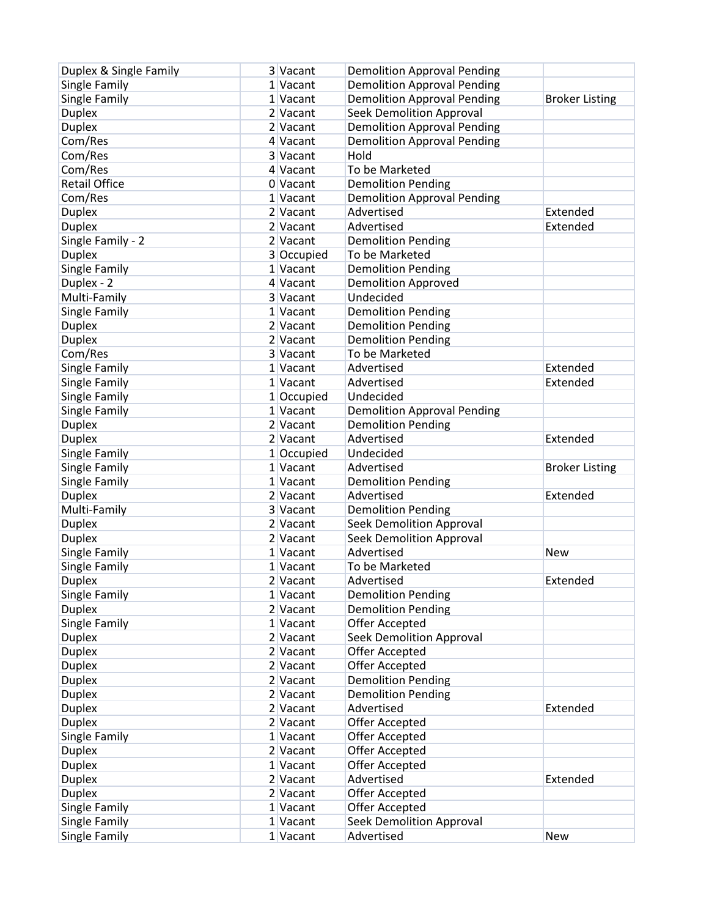| Duplex & Single Family | 3 Vacant   | <b>Demolition Approval Pending</b> |                       |
|------------------------|------------|------------------------------------|-----------------------|
| Single Family          | 1 Vacant   | <b>Demolition Approval Pending</b> |                       |
| Single Family          | 1 Vacant   | <b>Demolition Approval Pending</b> | <b>Broker Listing</b> |
| <b>Duplex</b>          | 2 Vacant   | <b>Seek Demolition Approval</b>    |                       |
| <b>Duplex</b>          | 2 Vacant   | <b>Demolition Approval Pending</b> |                       |
| Com/Res                | 4 Vacant   | <b>Demolition Approval Pending</b> |                       |
| Com/Res                | 3 Vacant   | Hold                               |                       |
| Com/Res                | 4 Vacant   | To be Marketed                     |                       |
| <b>Retail Office</b>   | 0 Vacant   | <b>Demolition Pending</b>          |                       |
| Com/Res                | 1 Vacant   | <b>Demolition Approval Pending</b> |                       |
| <b>Duplex</b>          | 2 Vacant   | Advertised                         | Extended              |
| <b>Duplex</b>          | 2 Vacant   | Advertised                         | Extended              |
| Single Family - 2      | 2 Vacant   | <b>Demolition Pending</b>          |                       |
| <b>Duplex</b>          | 3 Occupied | To be Marketed                     |                       |
| Single Family          | 1 Vacant   | <b>Demolition Pending</b>          |                       |
| Duplex - 2             | 4 Vacant   | <b>Demolition Approved</b>         |                       |
| Multi-Family           | 3 Vacant   | Undecided                          |                       |
| Single Family          | 1 Vacant   | <b>Demolition Pending</b>          |                       |
| <b>Duplex</b>          | 2 Vacant   | <b>Demolition Pending</b>          |                       |
| <b>Duplex</b>          | 2 Vacant   | <b>Demolition Pending</b>          |                       |
| Com/Res                | 3 Vacant   | To be Marketed                     |                       |
| Single Family          | 1 Vacant   | Advertised                         | Extended              |
| Single Family          | 1 Vacant   | Advertised                         | Extended              |
| Single Family          | 1 Occupied | Undecided                          |                       |
| Single Family          | 1 Vacant   | <b>Demolition Approval Pending</b> |                       |
| <b>Duplex</b>          | $2$ Vacant | <b>Demolition Pending</b>          |                       |
| <b>Duplex</b>          | 2 Vacant   | Advertised                         | Extended              |
| Single Family          | 1 Occupied | Undecided                          |                       |
| Single Family          | 1 Vacant   | Advertised                         | <b>Broker Listing</b> |
| Single Family          | 1 Vacant   | <b>Demolition Pending</b>          |                       |
| <b>Duplex</b>          | 2 Vacant   | Advertised                         | Extended              |
| Multi-Family           | 3 Vacant   | <b>Demolition Pending</b>          |                       |
| <b>Duplex</b>          | 2 Vacant   | <b>Seek Demolition Approval</b>    |                       |
| <b>Duplex</b>          | 2 Vacant   | <b>Seek Demolition Approval</b>    |                       |
| Single Family          | 1 Vacant   | Advertised                         | <b>New</b>            |
| Single Family          | 1 Vacant   | To be Marketed                     |                       |
| <b>Duplex</b>          | 2 Vacant   | Advertised                         | Extended              |
| Single Family          | 1 Vacant   | <b>Demolition Pending</b>          |                       |
| <b>Duplex</b>          | $2$ Vacant | <b>Demolition Pending</b>          |                       |
| Single Family          | 1 Vacant   | Offer Accepted                     |                       |
| <b>Duplex</b>          | 2 Vacant   | <b>Seek Demolition Approval</b>    |                       |
| <b>Duplex</b>          | 2 Vacant   | Offer Accepted                     |                       |
| <b>Duplex</b>          | 2 Vacant   | Offer Accepted                     |                       |
| <b>Duplex</b>          | 2 Vacant   | <b>Demolition Pending</b>          |                       |
| <b>Duplex</b>          | 2 Vacant   | <b>Demolition Pending</b>          |                       |
| <b>Duplex</b>          | 2 Vacant   | Advertised                         | Extended              |
| <b>Duplex</b>          | 2 Vacant   | <b>Offer Accepted</b>              |                       |
| Single Family          | 1 Vacant   | Offer Accepted                     |                       |
| <b>Duplex</b>          | 2 Vacant   | Offer Accepted                     |                       |
| <b>Duplex</b>          | 1 Vacant   | Offer Accepted                     |                       |
| <b>Duplex</b>          | $2$ Vacant | Advertised                         | Extended              |
| <b>Duplex</b>          | 2 Vacant   | Offer Accepted                     |                       |
| Single Family          | 1 Vacant   | Offer Accepted                     |                       |
| Single Family          | 1 Vacant   | <b>Seek Demolition Approval</b>    |                       |
| Single Family          | 1 Vacant   | Advertised                         | New                   |
|                        |            |                                    |                       |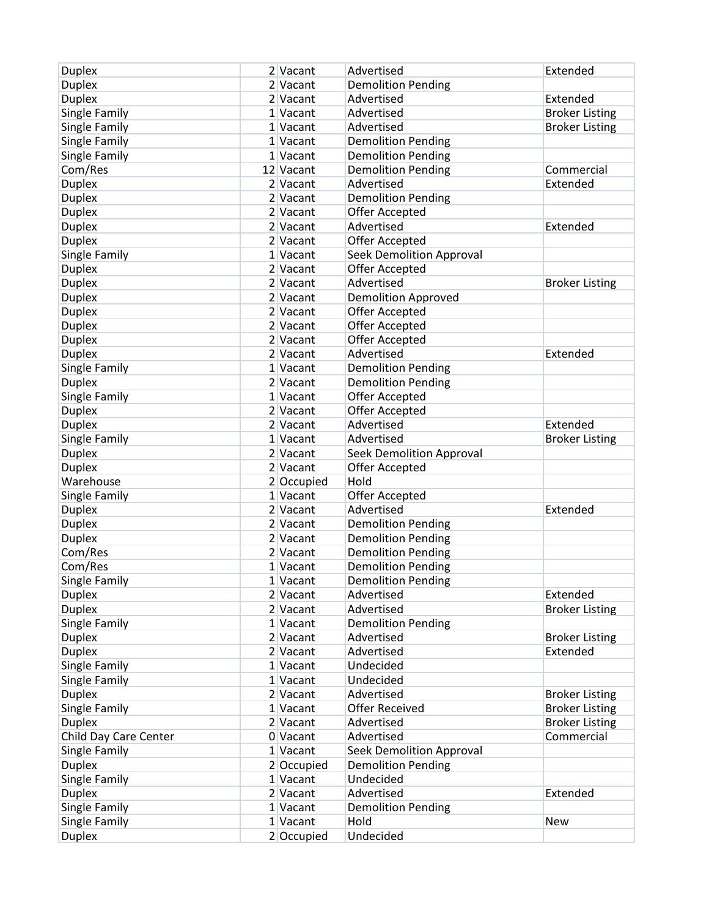| <b>Duplex</b>         | 2 Vacant     | Advertised                      | Extended              |
|-----------------------|--------------|---------------------------------|-----------------------|
| <b>Duplex</b>         | 2 Vacant     | <b>Demolition Pending</b>       |                       |
| <b>Duplex</b>         | 2 Vacant     | Advertised                      | Extended              |
| Single Family         | 1 Vacant     | Advertised                      | <b>Broker Listing</b> |
| Single Family         | 1 Vacant     | Advertised                      | <b>Broker Listing</b> |
| Single Family         | 1 Vacant     | <b>Demolition Pending</b>       |                       |
| Single Family         | 1 Vacant     | <b>Demolition Pending</b>       |                       |
| Com/Res               | 12 Vacant    | <b>Demolition Pending</b>       | Commercial            |
| <b>Duplex</b>         | 2 Vacant     | Advertised                      | Extended              |
| <b>Duplex</b>         | 2 Vacant     | <b>Demolition Pending</b>       |                       |
| <b>Duplex</b>         | 2 Vacant     | Offer Accepted                  |                       |
| <b>Duplex</b>         | 2 Vacant     | Advertised                      | Extended              |
| <b>Duplex</b>         | 2 Vacant     | Offer Accepted                  |                       |
| Single Family         | 1 Vacant     | <b>Seek Demolition Approval</b> |                       |
| <b>Duplex</b>         | 2 Vacant     | Offer Accepted                  |                       |
| <b>Duplex</b>         | 2 Vacant     | Advertised                      | <b>Broker Listing</b> |
| <b>Duplex</b>         | 2 Vacant     | <b>Demolition Approved</b>      |                       |
| <b>Duplex</b>         | 2 Vacant     | Offer Accepted                  |                       |
| <b>Duplex</b>         | 2 Vacant     | Offer Accepted                  |                       |
| <b>Duplex</b>         | 2 Vacant     | <b>Offer Accepted</b>           |                       |
| <b>Duplex</b>         | 2 Vacant     | Advertised                      | Extended              |
| Single Family         | 1 Vacant     | <b>Demolition Pending</b>       |                       |
| <b>Duplex</b>         | 2 Vacant     | <b>Demolition Pending</b>       |                       |
|                       |              |                                 |                       |
| Single Family         | 1 Vacant     | Offer Accepted                  |                       |
| <b>Duplex</b>         | 2 Vacant     | Offer Accepted                  |                       |
| <b>Duplex</b>         | 2 Vacant     | Advertised                      | Extended              |
| Single Family         | 1 Vacant     | Advertised                      | <b>Broker Listing</b> |
| <b>Duplex</b>         | 2 Vacant     | <b>Seek Demolition Approval</b> |                       |
| <b>Duplex</b>         | 2 Vacant     | Offer Accepted                  |                       |
| Warehouse             | 2 Occupied   | Hold                            |                       |
| Single Family         | 1 Vacant     | Offer Accepted                  |                       |
| <b>Duplex</b>         | 2 Vacant     | Advertised                      | Extended              |
| <b>Duplex</b>         | 2 Vacant     | <b>Demolition Pending</b>       |                       |
| <b>Duplex</b>         | 2 Vacant     | <b>Demolition Pending</b>       |                       |
| Com/Res               | 2 Vacant     | <b>Demolition Pending</b>       |                       |
| Com/Res               | 1 Vacant     | <b>Demolition Pending</b>       |                       |
| Single Family         | $1$ Vacant   | <b>Demolition Pending</b>       |                       |
| <b>Duplex</b>         | 2 Vacant     | Advertised                      | Extended              |
| <b>Duplex</b>         | $2$ Vacant   | Advertised                      | <b>Broker Listing</b> |
| Single Family         | $1$ Vacant   | <b>Demolition Pending</b>       |                       |
| <b>Duplex</b>         | 2 Vacant     | Advertised                      | <b>Broker Listing</b> |
| <b>Duplex</b>         | 2 Vacant     | Advertised                      | Extended              |
| Single Family         | $1$ Vacant   | Undecided                       |                       |
| Single Family         | 1 Vacant     | Undecided                       |                       |
| <b>Duplex</b>         | 2 Vacant     | Advertised                      | <b>Broker Listing</b> |
| Single Family         | 1 Vacant     | <b>Offer Received</b>           | <b>Broker Listing</b> |
| <b>Duplex</b>         | 2 Vacant     | Advertised                      | <b>Broker Listing</b> |
| Child Day Care Center | 0 Vacant     | Advertised                      | Commercial            |
| Single Family         | 1 Vacant     | <b>Seek Demolition Approval</b> |                       |
| <b>Duplex</b>         | 2 Occupied   | <b>Demolition Pending</b>       |                       |
| Single Family         | 1 Vacant     | Undecided                       |                       |
| <b>Duplex</b>         | 2 Vacant     | Advertised                      | Extended              |
| Single Family         | $1$ Vacant   | <b>Demolition Pending</b>       |                       |
| Single Family         | 1 Vacant     | Hold                            | <b>New</b>            |
| <b>Duplex</b>         | $2$ Occupied | Undecided                       |                       |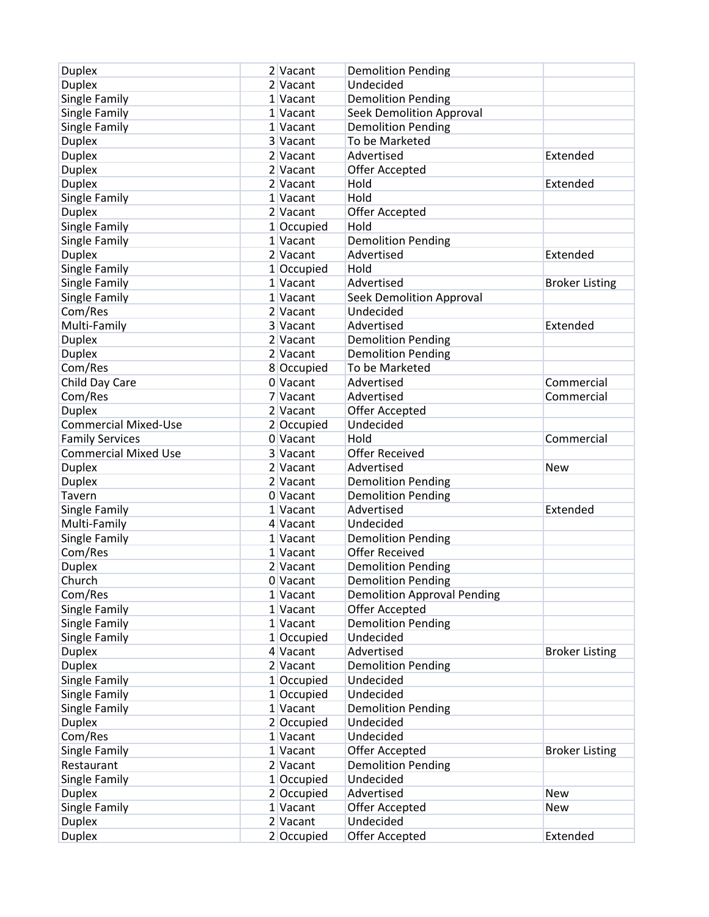| <b>Duplex</b>               | 2 Vacant   | <b>Demolition Pending</b>          |                       |
|-----------------------------|------------|------------------------------------|-----------------------|
| <b>Duplex</b>               | 2 Vacant   | Undecided                          |                       |
| Single Family               | 1 Vacant   | <b>Demolition Pending</b>          |                       |
| Single Family               | 1 Vacant   | <b>Seek Demolition Approval</b>    |                       |
| Single Family               | 1 Vacant   | <b>Demolition Pending</b>          |                       |
| <b>Duplex</b>               | 3 Vacant   | To be Marketed                     |                       |
| <b>Duplex</b>               | 2 Vacant   | Advertised                         | Extended              |
| <b>Duplex</b>               | 2 Vacant   | Offer Accepted                     |                       |
| <b>Duplex</b>               | 2 Vacant   | Hold                               | Extended              |
| Single Family               | 1 Vacant   | Hold                               |                       |
| <b>Duplex</b>               | 2 Vacant   | Offer Accepted                     |                       |
| Single Family               | 1 Occupied | Hold                               |                       |
| Single Family               | $1$ Vacant | <b>Demolition Pending</b>          |                       |
| <b>Duplex</b>               | 2 Vacant   | Advertised                         | Extended              |
| Single Family               | 1 Occupied | Hold                               |                       |
| Single Family               | 1 Vacant   | Advertised                         | <b>Broker Listing</b> |
| Single Family               | 1 Vacant   | Seek Demolition Approval           |                       |
| Com/Res                     | $2$ Vacant | Undecided                          |                       |
| Multi-Family                | 3 Vacant   | Advertised                         | Extended              |
| <b>Duplex</b>               | 2 Vacant   | <b>Demolition Pending</b>          |                       |
| <b>Duplex</b>               | 2 Vacant   | <b>Demolition Pending</b>          |                       |
| Com/Res                     | 8 Occupied | To be Marketed                     |                       |
| Child Day Care              | 0 Vacant   | Advertised                         | Commercial            |
| Com/Res                     | 7 Vacant   | Advertised                         | Commercial            |
| <b>Duplex</b>               | 2 Vacant   | <b>Offer Accepted</b>              |                       |
| <b>Commercial Mixed-Use</b> | 2 Occupied | Undecided                          |                       |
| <b>Family Services</b>      | 0 Vacant   | Hold                               | Commercial            |
| <b>Commercial Mixed Use</b> | 3 Vacant   | <b>Offer Received</b>              |                       |
| <b>Duplex</b>               | 2 Vacant   | Advertised                         | <b>New</b>            |
| <b>Duplex</b>               | 2 Vacant   | <b>Demolition Pending</b>          |                       |
| Tavern                      | 0 Vacant   | <b>Demolition Pending</b>          |                       |
| Single Family               | 1 Vacant   | Advertised                         | Extended              |
| Multi-Family                | 4 Vacant   | Undecided                          |                       |
| Single Family               | 1 Vacant   | <b>Demolition Pending</b>          |                       |
| Com/Res                     | 1 Vacant   | <b>Offer Received</b>              |                       |
| <b>Duplex</b>               | 2 Vacant   | <b>Demolition Pending</b>          |                       |
| Church                      | $0$ Vacant | <b>Demolition Pending</b>          |                       |
| Com/Res                     | 1 Vacant   | <b>Demolition Approval Pending</b> |                       |
| Single Family               | 1 Vacant   | Offer Accepted                     |                       |
| Single Family               | $1$ Vacant | <b>Demolition Pending</b>          |                       |
| Single Family               | 1 Occupied | Undecided                          |                       |
| <b>Duplex</b>               | 4 Vacant   | Advertised                         | <b>Broker Listing</b> |
| <b>Duplex</b>               | 2 Vacant   | <b>Demolition Pending</b>          |                       |
| Single Family               | 1 Occupied | Undecided                          |                       |
| Single Family               | 1 Occupied | Undecided                          |                       |
| Single Family               | 1 Vacant   | <b>Demolition Pending</b>          |                       |
| <b>Duplex</b>               | 2 Occupied | Undecided                          |                       |
| Com/Res                     | 1 Vacant   | Undecided                          |                       |
| Single Family               | 1 Vacant   | Offer Accepted                     | <b>Broker Listing</b> |
| Restaurant                  | 2 Vacant   | <b>Demolition Pending</b>          |                       |
| Single Family               | 1 Occupied | Undecided                          |                       |
| <b>Duplex</b>               | 2 Occupied | Advertised                         | <b>New</b>            |
| Single Family               | 1 Vacant   | Offer Accepted                     | <b>New</b>            |
| <b>Duplex</b>               | 2 Vacant   | Undecided                          |                       |
| <b>Duplex</b>               | 2 Occupied | Offer Accepted                     | Extended              |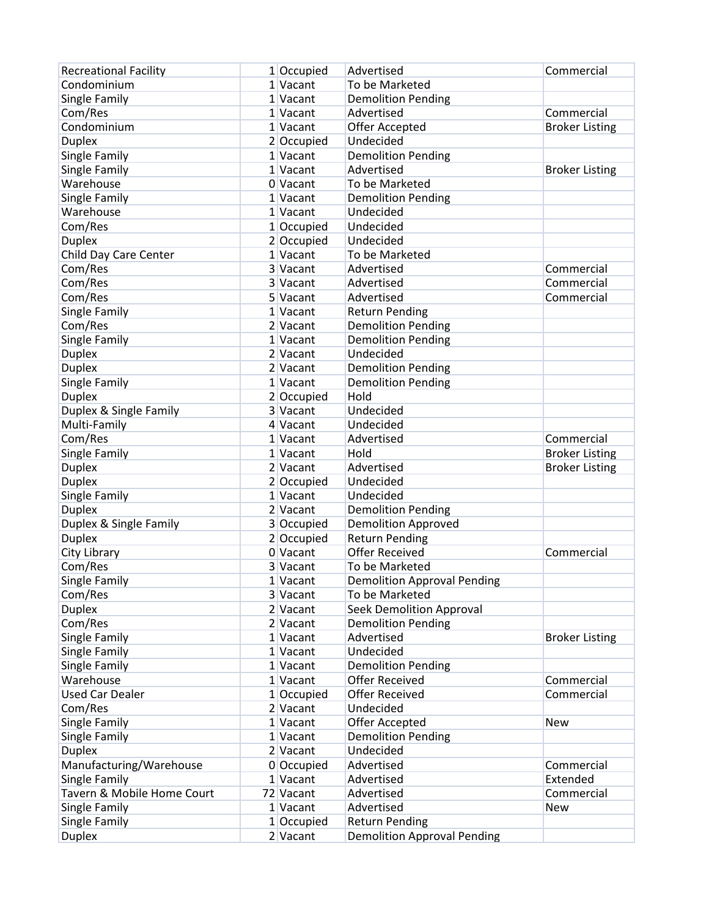| <b>Recreational Facility</b> | 1 Occupied   | Advertised                         | Commercial            |
|------------------------------|--------------|------------------------------------|-----------------------|
| Condominium                  | $1$ Vacant   | To be Marketed                     |                       |
| Single Family                | 1 Vacant     | <b>Demolition Pending</b>          |                       |
| Com/Res                      | 1 Vacant     | Advertised                         | Commercial            |
| Condominium                  | $1$ Vacant   | Offer Accepted                     | <b>Broker Listing</b> |
| <b>Duplex</b>                | $2$ Occupied | Undecided                          |                       |
| Single Family                | 1 Vacant     | <b>Demolition Pending</b>          |                       |
| Single Family                | $1$ Vacant   | Advertised                         | <b>Broker Listing</b> |
| Warehouse                    | 0 Vacant     | To be Marketed                     |                       |
| Single Family                | 1 Vacant     | <b>Demolition Pending</b>          |                       |
| Warehouse                    | 1 Vacant     | Undecided                          |                       |
| Com/Res                      | $1$ Occupied | Undecided                          |                       |
| <b>Duplex</b>                | 2 Occupied   | Undecided                          |                       |
| Child Day Care Center        | 1 Vacant     | To be Marketed                     |                       |
| Com/Res                      | 3 Vacant     | Advertised                         | Commercial            |
| Com/Res                      | 3 Vacant     | Advertised                         | Commercial            |
| Com/Res                      | 5 Vacant     | Advertised                         | Commercial            |
| Single Family                | 1 Vacant     | <b>Return Pending</b>              |                       |
| Com/Res                      | 2 Vacant     | <b>Demolition Pending</b>          |                       |
| Single Family                | 1 Vacant     | <b>Demolition Pending</b>          |                       |
| <b>Duplex</b>                | $2$ Vacant   | Undecided                          |                       |
| <b>Duplex</b>                | 2 Vacant     | <b>Demolition Pending</b>          |                       |
| Single Family                | $1$ Vacant   | <b>Demolition Pending</b>          |                       |
| <b>Duplex</b>                | 2 Occupied   | Hold                               |                       |
| Duplex & Single Family       | 3 Vacant     | Undecided                          |                       |
| Multi-Family                 | 4 Vacant     | Undecided                          |                       |
| Com/Res                      | 1 Vacant     | Advertised                         | Commercial            |
| Single Family                | 1 Vacant     | Hold                               | <b>Broker Listing</b> |
| <b>Duplex</b>                | 2 Vacant     | Advertised                         | <b>Broker Listing</b> |
| <b>Duplex</b>                | 2 Occupied   | Undecided                          |                       |
| Single Family                | $1$ Vacant   | Undecided                          |                       |
| <b>Duplex</b>                | 2 Vacant     | <b>Demolition Pending</b>          |                       |
| Duplex & Single Family       | 3 Occupied   | <b>Demolition Approved</b>         |                       |
| <b>Duplex</b>                | $2$ Occupied | <b>Return Pending</b>              |                       |
| City Library                 | $0$ Vacant   | <b>Offer Received</b>              | Commercial            |
| Com/Res                      | 3 Vacant     | To be Marketed                     |                       |
| Single Family                | 1 Vacant     | <b>Demolition Approval Pending</b> |                       |
| Com/Res                      | 3 Vacant     | To be Marketed                     |                       |
| <b>Duplex</b>                | $2$ Vacant   | <b>Seek Demolition Approval</b>    |                       |
| Com/Res                      | 2 Vacant     | <b>Demolition Pending</b>          |                       |
| Single Family                | 1 Vacant     | Advertised                         | <b>Broker Listing</b> |
| Single Family                | $1$ Vacant   | Undecided                          |                       |
| Single Family                | 1 Vacant     | <b>Demolition Pending</b>          |                       |
| Warehouse                    | 1 Vacant     | <b>Offer Received</b>              | Commercial            |
| <b>Used Car Dealer</b>       | 1 Occupied   | <b>Offer Received</b>              | Commercial            |
| Com/Res                      | 2 Vacant     | Undecided                          |                       |
| Single Family                | 1 Vacant     | Offer Accepted                     | <b>New</b>            |
| Single Family                | 1 Vacant     | <b>Demolition Pending</b>          |                       |
| <b>Duplex</b>                | 2 Vacant     | Undecided                          |                       |
| Manufacturing/Warehouse      | 0 Occupied   | Advertised                         | Commercial            |
| Single Family                | 1 Vacant     | Advertised                         | Extended              |
| Tavern & Mobile Home Court   | 72 Vacant    | Advertised                         | Commercial            |
| Single Family                | 1 Vacant     | Advertised                         | <b>New</b>            |
| Single Family                | $1$ Occupied | <b>Return Pending</b>              |                       |
| <b>Duplex</b>                | 2 Vacant     | <b>Demolition Approval Pending</b> |                       |
|                              |              |                                    |                       |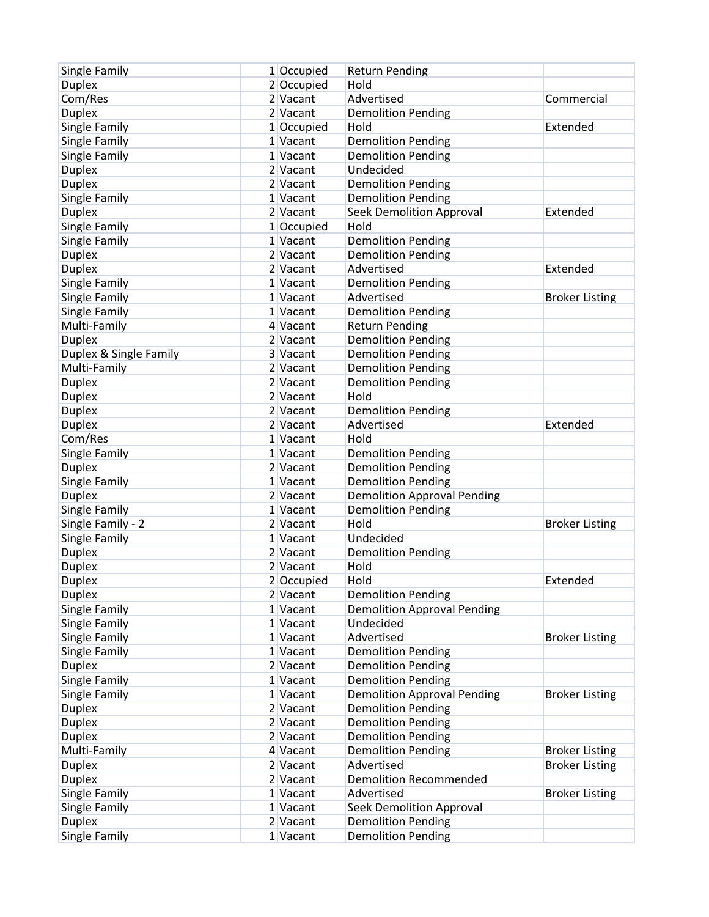| Single Family          | 1 Occupied | <b>Return Pending</b>              |                       |
|------------------------|------------|------------------------------------|-----------------------|
| <b>Duplex</b>          | 2 Occupied | Hold                               |                       |
| Com/Res                | 2 Vacant   | Advertised                         | Commercial            |
| <b>Duplex</b>          | 2 Vacant   | <b>Demolition Pending</b>          |                       |
| Single Family          | 1 Occupied | Hold                               | Extended              |
| Single Family          | 1 Vacant   | <b>Demolition Pending</b>          |                       |
| Single Family          | 1 Vacant   | <b>Demolition Pending</b>          |                       |
| <b>Duplex</b>          | 2 Vacant   | Undecided                          |                       |
| <b>Duplex</b>          | 2 Vacant   | <b>Demolition Pending</b>          |                       |
| Single Family          | 1 Vacant   | <b>Demolition Pending</b>          |                       |
| <b>Duplex</b>          | 2 Vacant   | <b>Seek Demolition Approval</b>    | Extended              |
| Single Family          | 1 Occupied | Hold                               |                       |
| Single Family          | $1$ Vacant | <b>Demolition Pending</b>          |                       |
| <b>Duplex</b>          | 2 Vacant   | <b>Demolition Pending</b>          |                       |
| <b>Duplex</b>          | 2 Vacant   | Advertised                         | Extended              |
| Single Family          | 1 Vacant   | <b>Demolition Pending</b>          |                       |
| Single Family          | 1 Vacant   | Advertised                         | <b>Broker Listing</b> |
| Single Family          | 1 Vacant   | <b>Demolition Pending</b>          |                       |
| Multi-Family           | 4 Vacant   | <b>Return Pending</b>              |                       |
| <b>Duplex</b>          | 2 Vacant   | <b>Demolition Pending</b>          |                       |
| Duplex & Single Family | 3 Vacant   | <b>Demolition Pending</b>          |                       |
| Multi-Family           | 2 Vacant   | <b>Demolition Pending</b>          |                       |
| <b>Duplex</b>          | 2 Vacant   | <b>Demolition Pending</b>          |                       |
| <b>Duplex</b>          | 2 Vacant   | Hold                               |                       |
| <b>Duplex</b>          | 2 Vacant   | <b>Demolition Pending</b>          |                       |
| <b>Duplex</b>          | 2 Vacant   | Advertised                         | Extended              |
| Com/Res                | 1 Vacant   | Hold                               |                       |
| Single Family          | 1 Vacant   | <b>Demolition Pending</b>          |                       |
| <b>Duplex</b>          | 2 Vacant   | <b>Demolition Pending</b>          |                       |
| Single Family          | 1 Vacant   | <b>Demolition Pending</b>          |                       |
| <b>Duplex</b>          | 2 Vacant   | <b>Demolition Approval Pending</b> |                       |
| Single Family          | 1 Vacant   | <b>Demolition Pending</b>          |                       |
| Single Family - 2      | 2 Vacant   | Hold                               | <b>Broker Listing</b> |
| Single Family          | 1 Vacant   | Undecided                          |                       |
| <b>Duplex</b>          | 2 Vacant   | <b>Demolition Pending</b>          |                       |
| <b>Duplex</b>          | 2 Vacant   | Hold                               |                       |
| <b>Duplex</b>          | 2 Occupied | Hold                               | Extended              |
| <b>Duplex</b>          | $2$ Vacant | <b>Demolition Pending</b>          |                       |
| Single Family          | 1 Vacant   | <b>Demolition Approval Pending</b> |                       |
| Single Family          | 1 Vacant   | Undecided                          |                       |
| Single Family          | 1 Vacant   | Advertised                         | <b>Broker Listing</b> |
| Single Family          | $1$ Vacant | <b>Demolition Pending</b>          |                       |
| <b>Duplex</b>          | $2$ Vacant | <b>Demolition Pending</b>          |                       |
| Single Family          | 1 Vacant   | <b>Demolition Pending</b>          |                       |
| Single Family          | $1$ Vacant | <b>Demolition Approval Pending</b> | <b>Broker Listing</b> |
| <b>Duplex</b>          | 2 Vacant   | <b>Demolition Pending</b>          |                       |
| <b>Duplex</b>          | 2 Vacant   | <b>Demolition Pending</b>          |                       |
| <b>Duplex</b>          | 2 Vacant   | <b>Demolition Pending</b>          |                       |
| Multi-Family           | 4 Vacant   | <b>Demolition Pending</b>          | <b>Broker Listing</b> |
| <b>Duplex</b>          | $2$ Vacant | Advertised                         | <b>Broker Listing</b> |
| <b>Duplex</b>          | 2 Vacant   | <b>Demolition Recommended</b>      |                       |
| Single Family          | 1 Vacant   | Advertised                         | <b>Broker Listing</b> |
| Single Family          | $1$ Vacant | <b>Seek Demolition Approval</b>    |                       |
| <b>Duplex</b>          | 2 Vacant   | <b>Demolition Pending</b>          |                       |
| Single Family          | $1$ Vacant | <b>Demolition Pending</b>          |                       |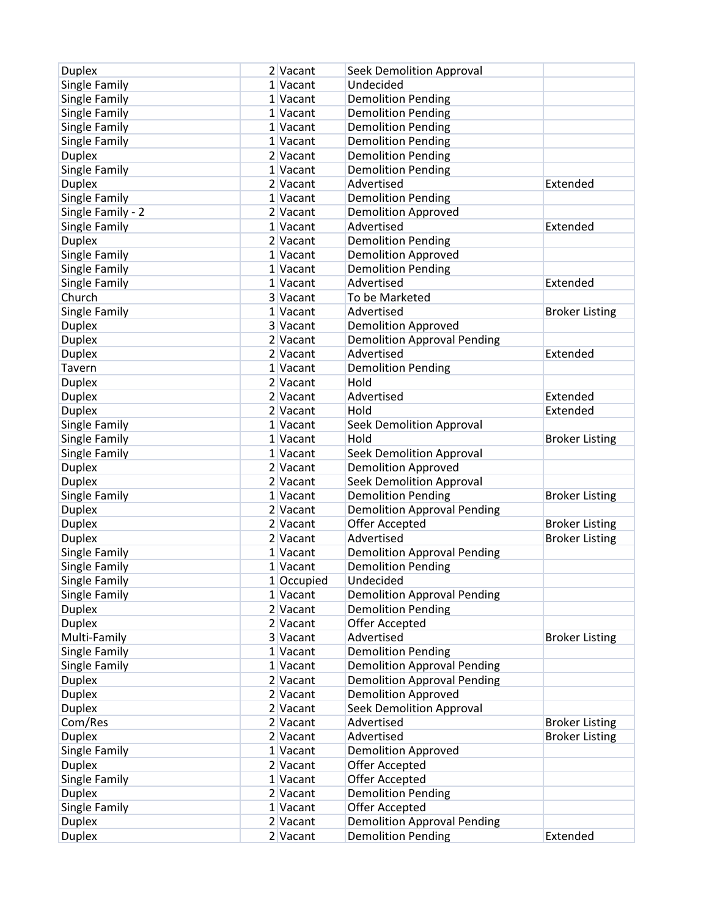| <b>Duplex</b>     | 2 Vacant   | Seek Demolition Approval           |                       |
|-------------------|------------|------------------------------------|-----------------------|
| Single Family     | 1 Vacant   | Undecided                          |                       |
| Single Family     | 1 Vacant   | <b>Demolition Pending</b>          |                       |
| Single Family     | 1 Vacant   | <b>Demolition Pending</b>          |                       |
| Single Family     | 1 Vacant   | <b>Demolition Pending</b>          |                       |
| Single Family     | 1 Vacant   | <b>Demolition Pending</b>          |                       |
| <b>Duplex</b>     | 2 Vacant   | <b>Demolition Pending</b>          |                       |
| Single Family     | 1 Vacant   | <b>Demolition Pending</b>          |                       |
| <b>Duplex</b>     | 2 Vacant   | Advertised                         | Extended              |
| Single Family     | 1 Vacant   | <b>Demolition Pending</b>          |                       |
| Single Family - 2 | 2 Vacant   | <b>Demolition Approved</b>         |                       |
| Single Family     | 1 Vacant   | Advertised                         | Extended              |
| <b>Duplex</b>     | 2 Vacant   | <b>Demolition Pending</b>          |                       |
| Single Family     | 1 Vacant   | <b>Demolition Approved</b>         |                       |
| Single Family     | 1 Vacant   | <b>Demolition Pending</b>          |                       |
| Single Family     | 1 Vacant   | Advertised                         | Extended              |
| Church            | 3 Vacant   | To be Marketed                     |                       |
| Single Family     | $1$ Vacant | Advertised                         | <b>Broker Listing</b> |
| <b>Duplex</b>     | 3 Vacant   | <b>Demolition Approved</b>         |                       |
| <b>Duplex</b>     | $2$ Vacant | <b>Demolition Approval Pending</b> |                       |
| <b>Duplex</b>     | $2$ Vacant | Advertised                         | Extended              |
| Tavern            | 1 Vacant   | <b>Demolition Pending</b>          |                       |
| <b>Duplex</b>     | 2 Vacant   | Hold                               |                       |
| <b>Duplex</b>     | 2 Vacant   | Advertised                         | Extended              |
| <b>Duplex</b>     | 2 Vacant   | Hold                               | Extended              |
| Single Family     | 1 Vacant   | <b>Seek Demolition Approval</b>    |                       |
| Single Family     | 1 Vacant   | Hold                               | <b>Broker Listing</b> |
| Single Family     | 1 Vacant   | <b>Seek Demolition Approval</b>    |                       |
| <b>Duplex</b>     | 2 Vacant   | <b>Demolition Approved</b>         |                       |
| <b>Duplex</b>     | 2 Vacant   | <b>Seek Demolition Approval</b>    |                       |
| Single Family     | 1 Vacant   | <b>Demolition Pending</b>          | <b>Broker Listing</b> |
| <b>Duplex</b>     | 2 Vacant   | <b>Demolition Approval Pending</b> |                       |
| <b>Duplex</b>     | 2 Vacant   | Offer Accepted                     | <b>Broker Listing</b> |
| <b>Duplex</b>     | 2 Vacant   | Advertised                         | <b>Broker Listing</b> |
| Single Family     | 1 Vacant   | <b>Demolition Approval Pending</b> |                       |
| Single Family     | 1 Vacant   | <b>Demolition Pending</b>          |                       |
| Single Family     | 1 Occupied | Undecided                          |                       |
| Single Family     | 1 Vacant   | <b>Demolition Approval Pending</b> |                       |
| <b>Duplex</b>     | $2$ Vacant | <b>Demolition Pending</b>          |                       |
| <b>Duplex</b>     | 2 Vacant   | Offer Accepted                     |                       |
| Multi-Family      | 3 Vacant   | Advertised                         | <b>Broker Listing</b> |
| Single Family     | 1 Vacant   | <b>Demolition Pending</b>          |                       |
| Single Family     | 1 Vacant   | <b>Demolition Approval Pending</b> |                       |
| <b>Duplex</b>     | 2 Vacant   | <b>Demolition Approval Pending</b> |                       |
| Duplex            | 2 Vacant   | <b>Demolition Approved</b>         |                       |
| <b>Duplex</b>     | 2 Vacant   | <b>Seek Demolition Approval</b>    |                       |
| Com/Res           | 2 Vacant   | Advertised                         | <b>Broker Listing</b> |
| <b>Duplex</b>     | 2 Vacant   | Advertised                         | <b>Broker Listing</b> |
| Single Family     | 1 Vacant   | <b>Demolition Approved</b>         |                       |
| <b>Duplex</b>     | 2 Vacant   | Offer Accepted                     |                       |
| Single Family     | 1 Vacant   | Offer Accepted                     |                       |
| <b>Duplex</b>     | 2 Vacant   | <b>Demolition Pending</b>          |                       |
| Single Family     | $1$ Vacant | Offer Accepted                     |                       |
| <b>Duplex</b>     | 2 Vacant   | <b>Demolition Approval Pending</b> |                       |
|                   | $2$ Vacant | <b>Demolition Pending</b>          | Extended              |
| <b>Duplex</b>     |            |                                    |                       |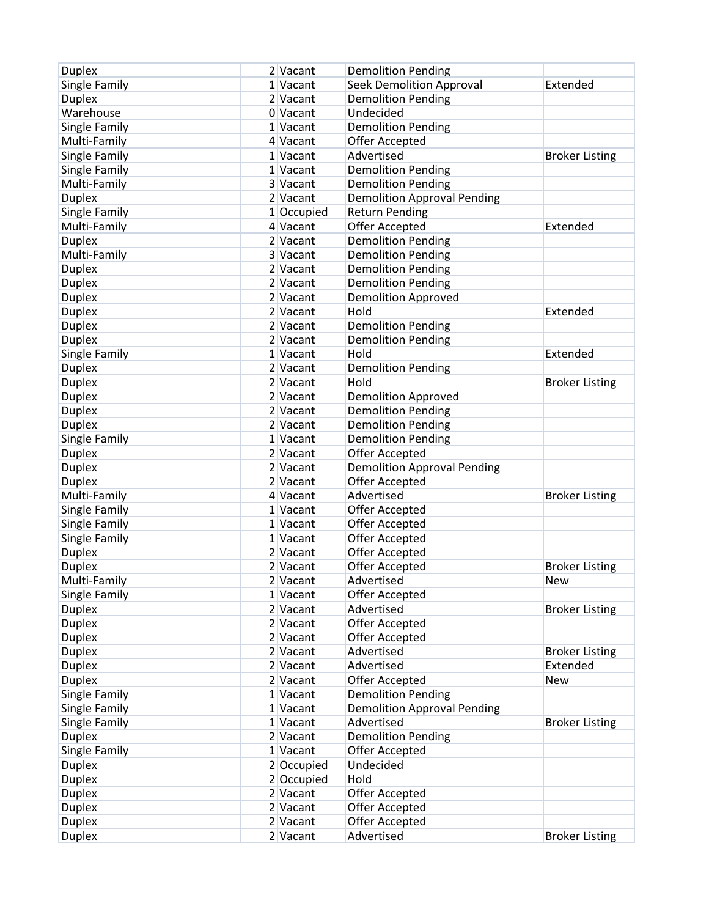| <b>Duplex</b> | 2 Vacant   | <b>Demolition Pending</b>          |                       |
|---------------|------------|------------------------------------|-----------------------|
| Single Family | 1 Vacant   | <b>Seek Demolition Approval</b>    | Extended              |
| <b>Duplex</b> | 2 Vacant   | <b>Demolition Pending</b>          |                       |
| Warehouse     | 0 Vacant   | Undecided                          |                       |
| Single Family | 1 Vacant   | <b>Demolition Pending</b>          |                       |
| Multi-Family  | 4 Vacant   | Offer Accepted                     |                       |
| Single Family | 1 Vacant   | Advertised                         | <b>Broker Listing</b> |
| Single Family | 1 Vacant   | <b>Demolition Pending</b>          |                       |
| Multi-Family  | 3 Vacant   | <b>Demolition Pending</b>          |                       |
| <b>Duplex</b> | 2 Vacant   | <b>Demolition Approval Pending</b> |                       |
| Single Family | 1 Occupied | <b>Return Pending</b>              |                       |
| Multi-Family  | 4 Vacant   | Offer Accepted                     | Extended              |
| <b>Duplex</b> | 2 Vacant   | <b>Demolition Pending</b>          |                       |
| Multi-Family  | 3 Vacant   | <b>Demolition Pending</b>          |                       |
| <b>Duplex</b> | 2 Vacant   | <b>Demolition Pending</b>          |                       |
| <b>Duplex</b> | 2 Vacant   | <b>Demolition Pending</b>          |                       |
| <b>Duplex</b> | 2 Vacant   | <b>Demolition Approved</b>         |                       |
| <b>Duplex</b> | 2 Vacant   | Hold                               | Extended              |
| <b>Duplex</b> | 2 Vacant   | <b>Demolition Pending</b>          |                       |
| <b>Duplex</b> | 2 Vacant   | <b>Demolition Pending</b>          |                       |
| Single Family | 1 Vacant   | Hold                               | Extended              |
| <b>Duplex</b> | 2 Vacant   | <b>Demolition Pending</b>          |                       |
| <b>Duplex</b> | 2 Vacant   | Hold                               | <b>Broker Listing</b> |
| <b>Duplex</b> | 2 Vacant   | <b>Demolition Approved</b>         |                       |
| <b>Duplex</b> | 2 Vacant   | <b>Demolition Pending</b>          |                       |
| <b>Duplex</b> | 2 Vacant   | <b>Demolition Pending</b>          |                       |
| Single Family | 1 Vacant   | <b>Demolition Pending</b>          |                       |
| <b>Duplex</b> | 2 Vacant   | Offer Accepted                     |                       |
| <b>Duplex</b> | 2 Vacant   | <b>Demolition Approval Pending</b> |                       |
| <b>Duplex</b> | 2 Vacant   | <b>Offer Accepted</b>              |                       |
| Multi-Family  | 4 Vacant   | Advertised                         | <b>Broker Listing</b> |
| Single Family | 1 Vacant   | Offer Accepted                     |                       |
| Single Family | $1$ Vacant | Offer Accepted                     |                       |
| Single Family | 1 Vacant   | Offer Accepted                     |                       |
| <b>Duplex</b> | 2 Vacant   | Offer Accepted                     |                       |
| <b>Duplex</b> | 2 Vacant   | Offer Accepted                     | <b>Broker Listing</b> |
| Multi-Family  | 2 Vacant   | Advertised                         | New                   |
| Single Family | 1 Vacant   | Offer Accepted                     |                       |
| <b>Duplex</b> | $2$ Vacant | Advertised                         | <b>Broker Listing</b> |
| <b>Duplex</b> | $2$ Vacant | Offer Accepted                     |                       |
| <b>Duplex</b> | $2$ Vacant | Offer Accepted                     |                       |
| <b>Duplex</b> | 2 Vacant   | Advertised                         | <b>Broker Listing</b> |
| <b>Duplex</b> | 2 Vacant   | Advertised                         | Extended              |
| <b>Duplex</b> | 2 Vacant   | <b>Offer Accepted</b>              | <b>New</b>            |
| Single Family | 1 Vacant   | <b>Demolition Pending</b>          |                       |
| Single Family | 1 Vacant   | <b>Demolition Approval Pending</b> |                       |
| Single Family | 1 Vacant   | Advertised                         | <b>Broker Listing</b> |
| <b>Duplex</b> | 2 Vacant   | <b>Demolition Pending</b>          |                       |
| Single Family | 1 Vacant   | Offer Accepted                     |                       |
| <b>Duplex</b> | 2 Occupied | Undecided                          |                       |
| <b>Duplex</b> | 2 Occupied | Hold                               |                       |
| <b>Duplex</b> | 2 Vacant   | Offer Accepted                     |                       |
| <b>Duplex</b> | 2 Vacant   | Offer Accepted                     |                       |
| <b>Duplex</b> | 2 Vacant   | Offer Accepted                     |                       |
| <b>Duplex</b> | $2$ Vacant | Advertised                         | <b>Broker Listing</b> |
|               |            |                                    |                       |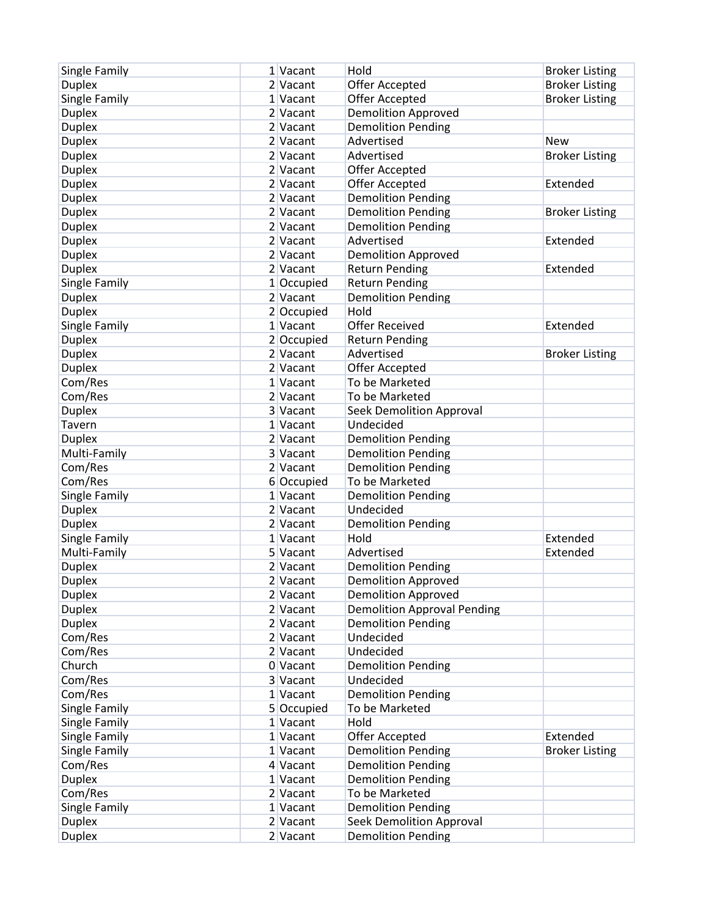| Single Family | 1 Vacant   | Hold                               | <b>Broker Listing</b> |
|---------------|------------|------------------------------------|-----------------------|
| <b>Duplex</b> | 2 Vacant   | Offer Accepted                     | <b>Broker Listing</b> |
| Single Family | 1 Vacant   | Offer Accepted                     | <b>Broker Listing</b> |
| <b>Duplex</b> | 2 Vacant   | <b>Demolition Approved</b>         |                       |
| <b>Duplex</b> | 2 Vacant   | <b>Demolition Pending</b>          |                       |
| <b>Duplex</b> | 2 Vacant   | Advertised                         | New                   |
| <b>Duplex</b> | 2 Vacant   | Advertised                         | <b>Broker Listing</b> |
| <b>Duplex</b> | 2 Vacant   | Offer Accepted                     |                       |
| <b>Duplex</b> | 2 Vacant   | Offer Accepted                     | Extended              |
| <b>Duplex</b> | 2 Vacant   | <b>Demolition Pending</b>          |                       |
| <b>Duplex</b> | 2 Vacant   | <b>Demolition Pending</b>          | <b>Broker Listing</b> |
| <b>Duplex</b> | 2 Vacant   | <b>Demolition Pending</b>          |                       |
| <b>Duplex</b> | 2 Vacant   | Advertised                         | Extended              |
| <b>Duplex</b> | 2 Vacant   | <b>Demolition Approved</b>         |                       |
| <b>Duplex</b> | 2 Vacant   | <b>Return Pending</b>              | Extended              |
| Single Family | 1 Occupied | <b>Return Pending</b>              |                       |
| <b>Duplex</b> | 2 Vacant   | <b>Demolition Pending</b>          |                       |
| <b>Duplex</b> | 2 Occupied | Hold                               |                       |
| Single Family | 1 Vacant   | <b>Offer Received</b>              | Extended              |
| <b>Duplex</b> | 2 Occupied | <b>Return Pending</b>              |                       |
| <b>Duplex</b> | 2 Vacant   | Advertised                         | <b>Broker Listing</b> |
| <b>Duplex</b> | 2 Vacant   | Offer Accepted                     |                       |
| Com/Res       | $1$ Vacant | To be Marketed                     |                       |
| Com/Res       | 2 Vacant   | To be Marketed                     |                       |
| <b>Duplex</b> | 3 Vacant   | Seek Demolition Approval           |                       |
| Tavern        | 1 Vacant   | Undecided                          |                       |
| <b>Duplex</b> | 2 Vacant   | <b>Demolition Pending</b>          |                       |
| Multi-Family  | 3 Vacant   | <b>Demolition Pending</b>          |                       |
| Com/Res       | 2 Vacant   | <b>Demolition Pending</b>          |                       |
| Com/Res       | 6 Occupied | To be Marketed                     |                       |
| Single Family | 1 Vacant   | <b>Demolition Pending</b>          |                       |
| <b>Duplex</b> | 2 Vacant   | Undecided                          |                       |
| <b>Duplex</b> | 2 Vacant   | <b>Demolition Pending</b>          |                       |
| Single Family | $1$ Vacant | Hold                               | Extended              |
| Multi-Family  | 5 Vacant   | Advertised                         | Extended              |
| <b>Duplex</b> | 2 Vacant   | <b>Demolition Pending</b>          |                       |
| <b>Duplex</b> | 2 Vacant   | <b>Demolition Approved</b>         |                       |
| <b>Duplex</b> | 2 Vacant   | <b>Demolition Approved</b>         |                       |
| <b>Duplex</b> | $2$ Vacant | <b>Demolition Approval Pending</b> |                       |
| <b>Duplex</b> | 2 Vacant   | <b>Demolition Pending</b>          |                       |
| Com/Res       | $2$ Vacant | Undecided                          |                       |
| Com/Res       | $2$ Vacant | Undecided                          |                       |
| Church        | 0 Vacant   | <b>Demolition Pending</b>          |                       |
| Com/Res       | 3 Vacant   | Undecided                          |                       |
| Com/Res       | 1 Vacant   | <b>Demolition Pending</b>          |                       |
| Single Family | 5 Occupied | To be Marketed                     |                       |
| Single Family | 1 Vacant   | Hold                               |                       |
| Single Family | 1 Vacant   | Offer Accepted                     | Extended              |
| Single Family | 1 Vacant   | <b>Demolition Pending</b>          | <b>Broker Listing</b> |
| Com/Res       | 4 Vacant   | <b>Demolition Pending</b>          |                       |
| <b>Duplex</b> | 1 Vacant   | <b>Demolition Pending</b>          |                       |
| Com/Res       | 2 Vacant   | To be Marketed                     |                       |
| Single Family | 1 Vacant   | <b>Demolition Pending</b>          |                       |
| <b>Duplex</b> | 2 Vacant   | <b>Seek Demolition Approval</b>    |                       |
| <b>Duplex</b> | $2$ Vacant | <b>Demolition Pending</b>          |                       |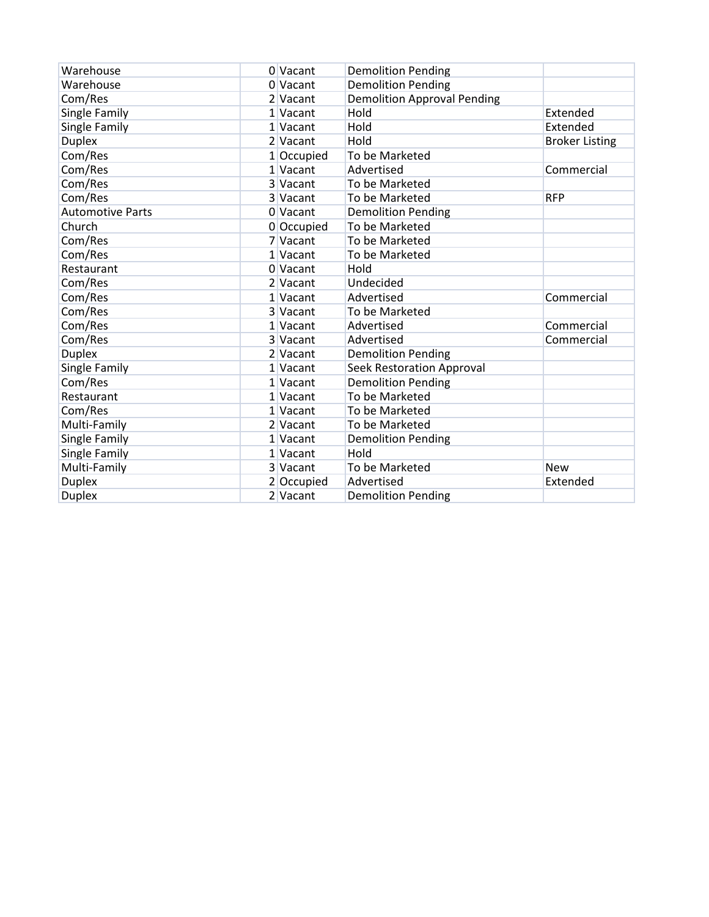| Warehouse               | 0 Vacant   | <b>Demolition Pending</b>          |                       |
|-------------------------|------------|------------------------------------|-----------------------|
| Warehouse               | 0 Vacant   | <b>Demolition Pending</b>          |                       |
| Com/Res                 | 2 Vacant   | <b>Demolition Approval Pending</b> |                       |
| Single Family           | 1 Vacant   | Hold                               | Extended              |
| Single Family           | 1 Vacant   | Hold                               | Extended              |
| <b>Duplex</b>           | 2 Vacant   | Hold                               | <b>Broker Listing</b> |
| Com/Res                 | 1 Occupied | To be Marketed                     |                       |
| Com/Res                 | 1 Vacant   | Advertised                         | Commercial            |
| Com/Res                 | 3 Vacant   | To be Marketed                     |                       |
| Com/Res                 | 3 Vacant   | To be Marketed                     | <b>RFP</b>            |
| <b>Automotive Parts</b> | 0 Vacant   | <b>Demolition Pending</b>          |                       |
| Church                  | 0 Occupied | To be Marketed                     |                       |
| Com/Res                 | 7 Vacant   | To be Marketed                     |                       |
| Com/Res                 | 1 Vacant   | To be Marketed                     |                       |
| Restaurant              | 0 Vacant   | Hold                               |                       |
| Com/Res                 | 2 Vacant   | Undecided                          |                       |
| Com/Res                 | 1 Vacant   | Advertised                         | Commercial            |
| Com/Res                 | 3 Vacant   | To be Marketed                     |                       |
| Com/Res                 | 1 Vacant   | Advertised                         | Commercial            |
| Com/Res                 | 3 Vacant   | Advertised                         | Commercial            |
| <b>Duplex</b>           | 2 Vacant   | <b>Demolition Pending</b>          |                       |
| Single Family           | 1 Vacant   | <b>Seek Restoration Approval</b>   |                       |
| Com/Res                 | 1 Vacant   | <b>Demolition Pending</b>          |                       |
| Restaurant              | 1 Vacant   | To be Marketed                     |                       |
| Com/Res                 | 1 Vacant   | To be Marketed                     |                       |
| Multi-Family            | 2 Vacant   | To be Marketed                     |                       |
| Single Family           | 1 Vacant   | <b>Demolition Pending</b>          |                       |
| Single Family           | 1 Vacant   | Hold                               |                       |
| Multi-Family            | 3 Vacant   | To be Marketed                     | <b>New</b>            |
| <b>Duplex</b>           | 2 Occupied | Advertised                         | Extended              |
| <b>Duplex</b>           | 2 Vacant   | <b>Demolition Pending</b>          |                       |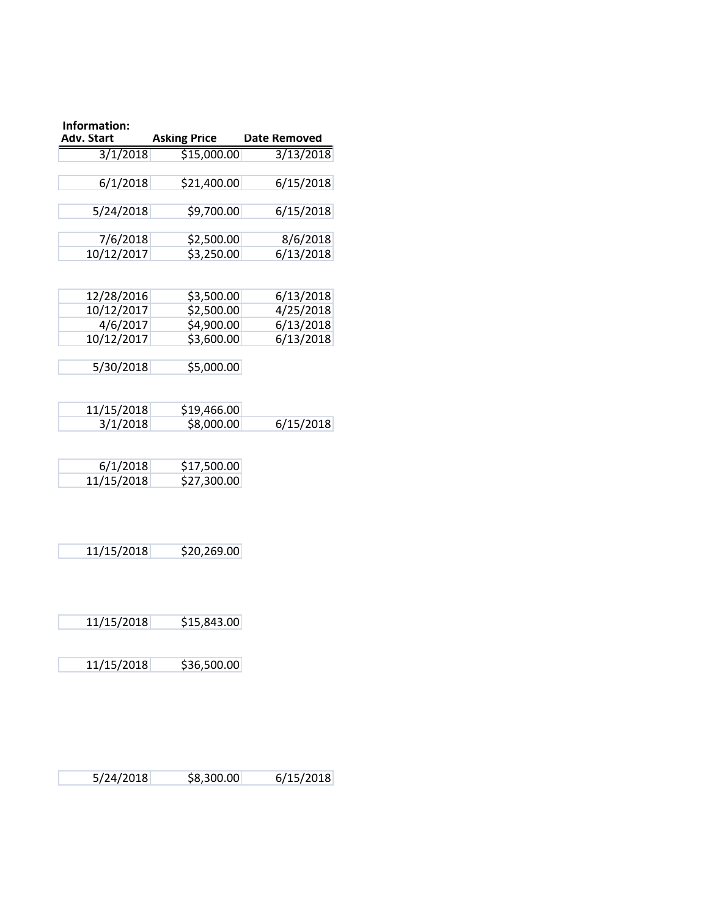| Information:<br>Adv. Start | <b>Asking Price</b>       | <b>Date Removed</b>    |
|----------------------------|---------------------------|------------------------|
| 3/1/2018                   | \$15,000.00               | 3/13/2018              |
| 6/1/2018                   | \$21,400.00               | 6/15/2018              |
| 5/24/2018                  | \$9,700.00                | 6/15/2018              |
| 7/6/2018                   | \$2,500.00                | 8/6/2018               |
| 10/12/2017                 | \$3,250.00                | 6/13/2018              |
|                            |                           |                        |
| 12/28/2016<br>10/12/2017   | \$3,500.00<br>\$2,500.00  | 6/13/2018<br>4/25/2018 |
| 4/6/2017                   | \$4,900.00                | 6/13/2018              |
| 10/12/2017                 | \$3,600.00                | 6/13/2018              |
| 5/30/2018                  | \$5,000.00                |                        |
|                            |                           |                        |
| 11/15/2018                 | \$19,466.00               |                        |
| 3/1/2018                   | \$8,000.00                | 6/15/2018              |
| 6/1/2018                   | \$17,500.00               |                        |
| 11/15/2018                 | \$27,300.00               |                        |
|                            |                           |                        |
| 11/15/2018                 | \$20,269.00               |                        |
|                            |                           |                        |
| 11/15/2018                 | \$15,843.00               |                        |
|                            | \$36,500.00<br>11/15/2018 |                        |

5/24/2018 \$8,300.00 6/15/2018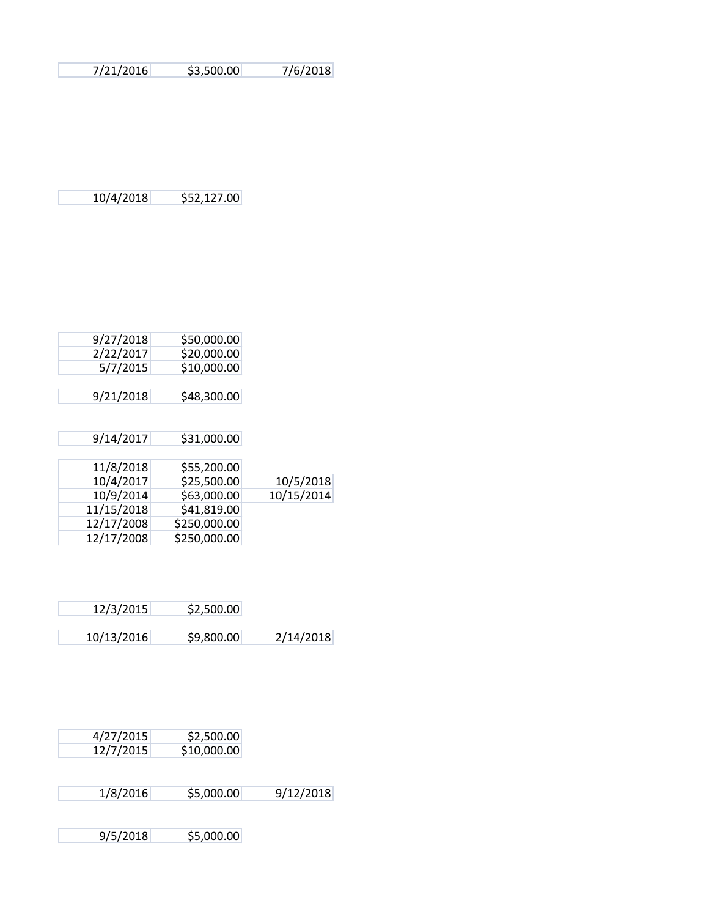7/21/2016 \$3,500.00 7/6/2018

10/4/2018 \$52,127.00

| 9/27/2018 | \$50,000.00 |
|-----------|-------------|
| 2/22/2017 | \$20,000.00 |
| 5/7/2015  | \$10,000.00 |
|           |             |
| 9/21/2018 | \$48,300.00 |

| 9/14/2017  | \$31,000.00  |            |
|------------|--------------|------------|
|            |              |            |
| 11/8/2018  | \$55,200.00  |            |
| 10/4/2017  | \$25,500.00  | 10/5/2018  |
| 10/9/2014  | \$63,000.00  | 10/15/2014 |
| 11/15/2018 | \$41,819.00  |            |
| 12/17/2008 | \$250,000.00 |            |
| 12/17/2008 | \$250,000.00 |            |

| 12/3/2015  | \$2,500.00 |           |
|------------|------------|-----------|
| 10/13/2016 | \$9,800.00 | 2/14/2018 |

| 4/27/2015 | \$2,500.00  |
|-----------|-------------|
| 12/7/2015 | \$10,000.00 |

1/8/2016 \$5,000.00 9/12/2018

9/5/2018 \$5,000.00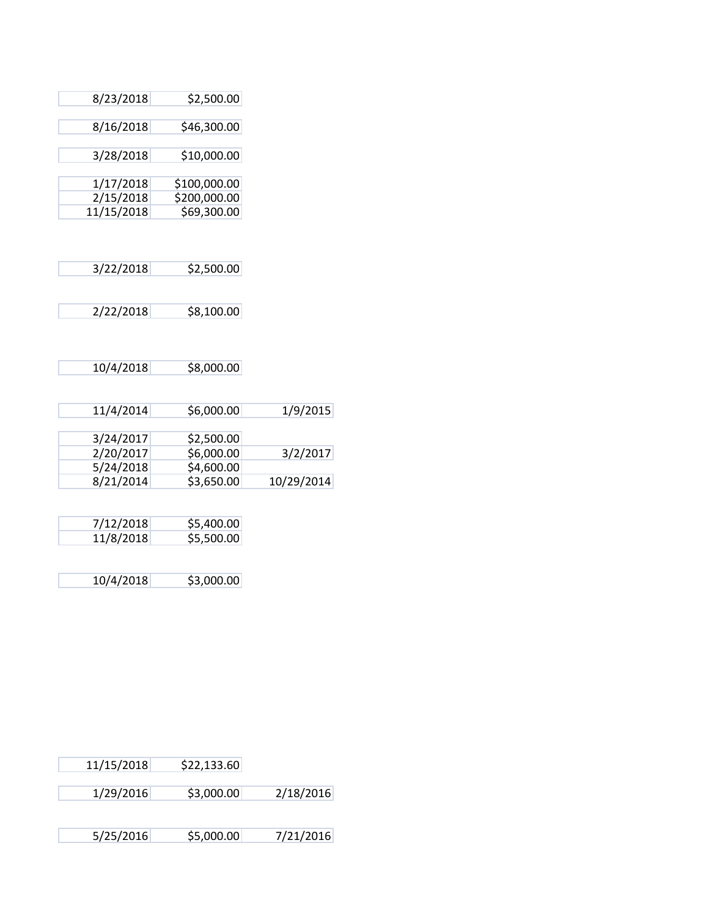| 8/23/2018  | \$2,500.00   |
|------------|--------------|
| 8/16/2018  | \$46,300.00  |
| 3/28/2018  | \$10,000.00  |
| 1/17/2018  | \$100,000.00 |
| 2/15/2018  | \$200,000.00 |
| 11/15/2018 | \$69,300.00  |
|            |              |

| 3/22/2018 | \$2,500.00 |
|-----------|------------|
|           |            |
|           |            |

2/22/2018 \$8,100.00

|            | \$8,000.00 | 10/4/2018 |
|------------|------------|-----------|
|            |            |           |
| 1/9/2015   | \$6,000.00 | 11/4/2014 |
|            |            |           |
|            | \$2,500.00 | 3/24/2017 |
| 3/2/2017   | \$6,000.00 | 2/20/2017 |
|            | \$4,600.00 | 5/24/2018 |
| 10/29/2014 | \$3,650.00 | 8/21/2014 |
|            |            |           |

| 7/12/2018 | \$5,400.00 |
|-----------|------------|
| 11/8/2018 | \$5,500.00 |
|           |            |

10/4/2018 \$3,000.00

| 11/15/2018 | \$22,133.60 |           |
|------------|-------------|-----------|
| 1/29/2016  | \$3,000.00  | 2/18/2016 |
| 5/25/2016  | \$5,000.00  | 7/21/2016 |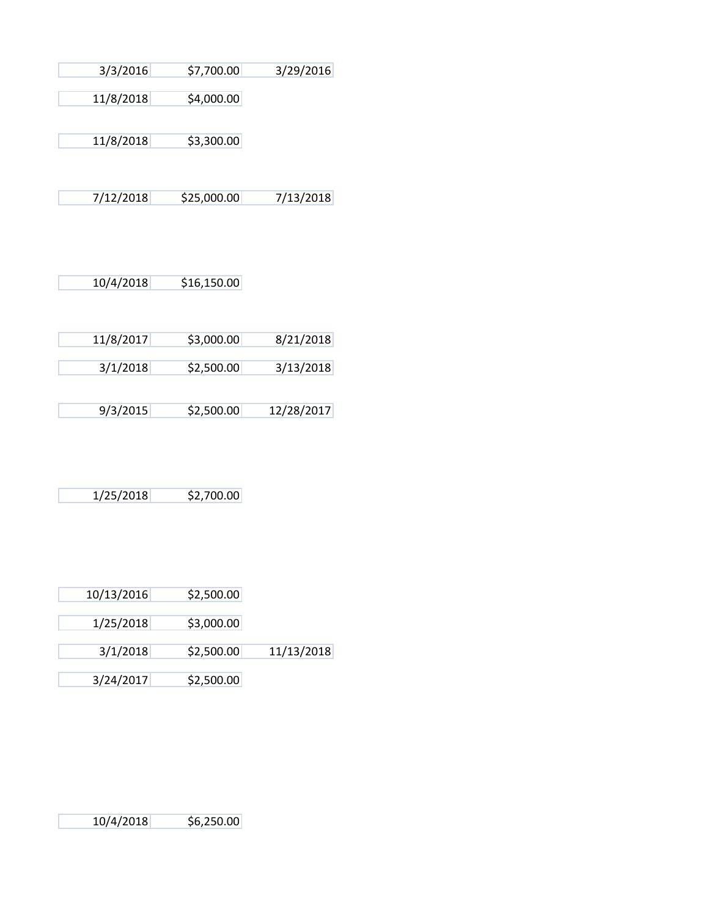| 3/3/2016      | \$7,700.00               | 3/29/2016 |
|---------------|--------------------------|-----------|
|               |                          |           |
| 11/8/2018     | \$4,000.00               |           |
|               |                          |           |
| 11/8/2018     | \$3,300.00               |           |
|               |                          |           |
| 7/12/2018     | \$25,000.00              | 7/13/2018 |
|               |                          |           |
| 10/4/2018     | \$16,150.00              |           |
|               |                          |           |
| 11 IO IO 01 7 | $\leftrightarrow$ 000.00 | 0/24/2040 |

| 11/8/2017 | \$3,000.00 | 8/21/2018  |
|-----------|------------|------------|
|           |            |            |
| 3/1/2018  | \$2,500.00 | 3/13/2018  |
|           |            |            |
|           |            |            |
| 9/3/2015  | \$2,500.00 | 12/28/2017 |

| 1/25/2018 | \$2,700.00 |
|-----------|------------|

| 10/13/2016 | \$2,500.00 |            |
|------------|------------|------------|
| 1/25/2018  | \$3,000.00 |            |
| 3/1/2018   | \$2,500.00 | 11/13/2018 |
| 3/24/2017  | \$2,500.00 |            |

10/4/2018 \$6,250.00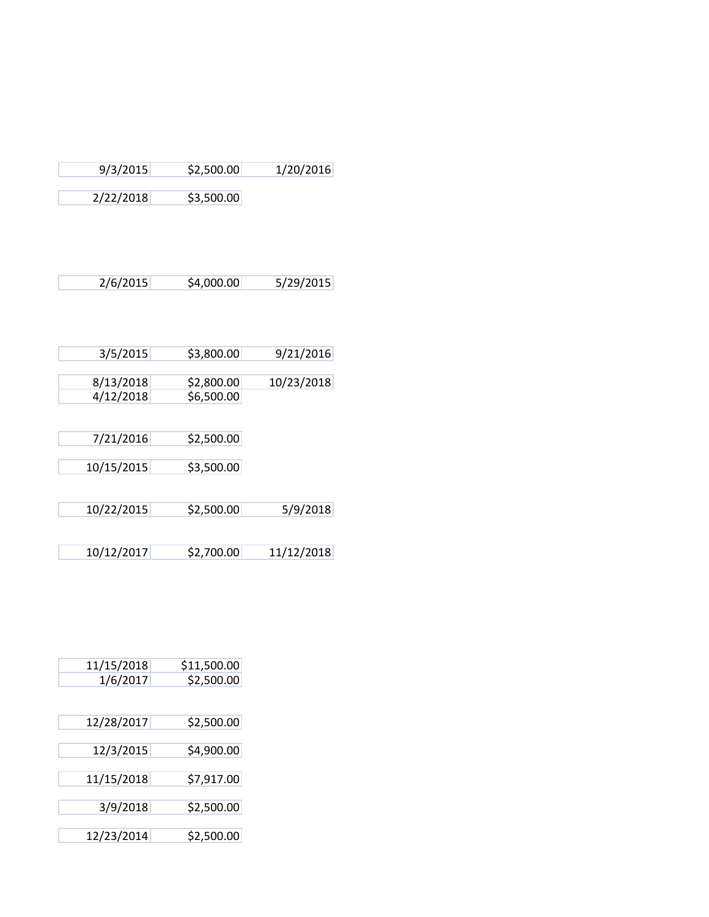| 9/3/2015   | \$2,500.00 | 1/20/2016  |
|------------|------------|------------|
| 2/22/2018  | \$3,500.00 |            |
|            |            |            |
|            |            |            |
| 2/6/2015   | \$4,000.00 | 5/29/2015  |
|            |            |            |
| 3/5/2015   | \$3,800.00 | 9/21/2016  |
| 8/13/2018  | \$2,800.00 | 10/23/2018 |
| 4/12/2018  | \$6,500.00 |            |
|            |            |            |
| 7/21/2016  | \$2,500.00 |            |
| 10/15/2015 | \$3,500.00 |            |
|            |            |            |
| 10/22/2015 | \$2,500.00 | 5/9/2018   |
|            |            |            |
| 10/12/2017 | \$2,700.00 | 11/12/2018 |

| 11/15/2018 | \$11,500.00 |
|------------|-------------|
| 1/6/2017   | \$2,500.00  |
|            |             |
| 12/28/2017 | \$2,500.00  |
|            |             |
| 12/3/2015  | \$4,900.00  |
| 11/15/2018 | \$7,917.00  |
|            |             |
| 3/9/2018   | \$2,500.00  |
| 12/23/2014 | \$2,500.00  |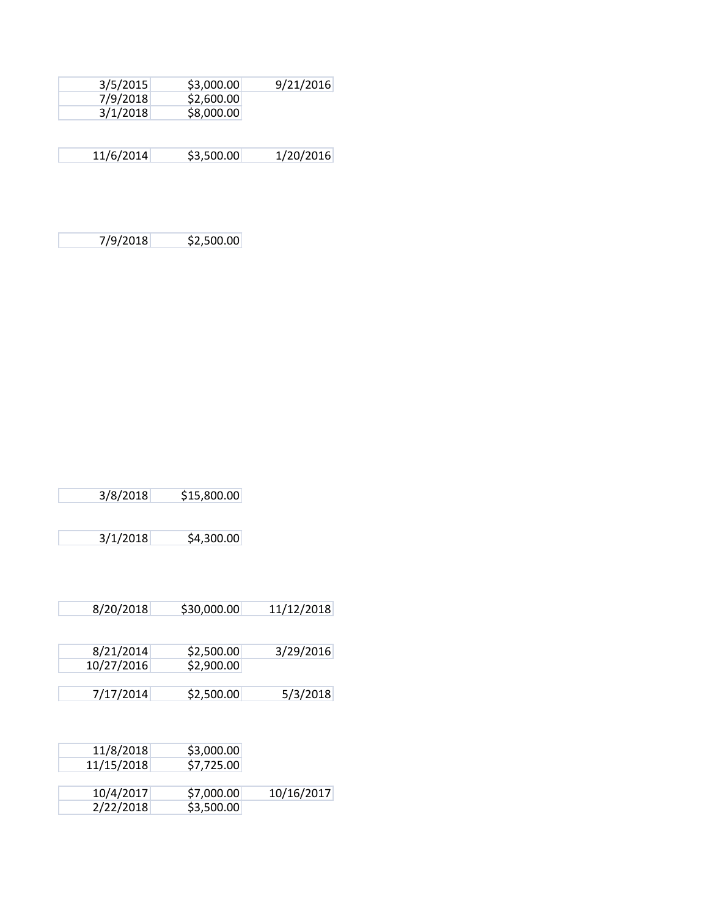| 3/5/2015  | \$3,000.00 | 9/21/2016 |
|-----------|------------|-----------|
| 7/9/2018  | \$2,600.00 |           |
| 3/1/2018  | \$8,000.00 |           |
|           |            |           |
|           |            |           |
| 11/6/2014 | \$3,500.00 | 1/20/2016 |

7/9/2018 \$2,500.00

|            | \$15,800.00 | 3/8/2018   |
|------------|-------------|------------|
|            |             |            |
|            | \$4,300.00  | 3/1/2018   |
|            |             |            |
|            |             |            |
|            |             |            |
| 11/12/2018 | \$30,000.00 | 8/20/2018  |
|            |             |            |
|            |             |            |
| 3/29/2016  | \$2,500.00  | 8/21/2014  |
|            | \$2,900.00  | 10/27/2016 |
| 5/3/2018   | \$2,500.00  | 7/17/2014  |
|            |             |            |
|            |             |            |
|            |             |            |
|            | \$3,000.00  | 11/8/2018  |
|            | \$7,725.00  | 11/15/2018 |
|            |             |            |
| 10/16/2017 | \$7,000.00  | 10/4/2017  |
|            | \$3,500.00  | 2/22/2018  |
|            |             |            |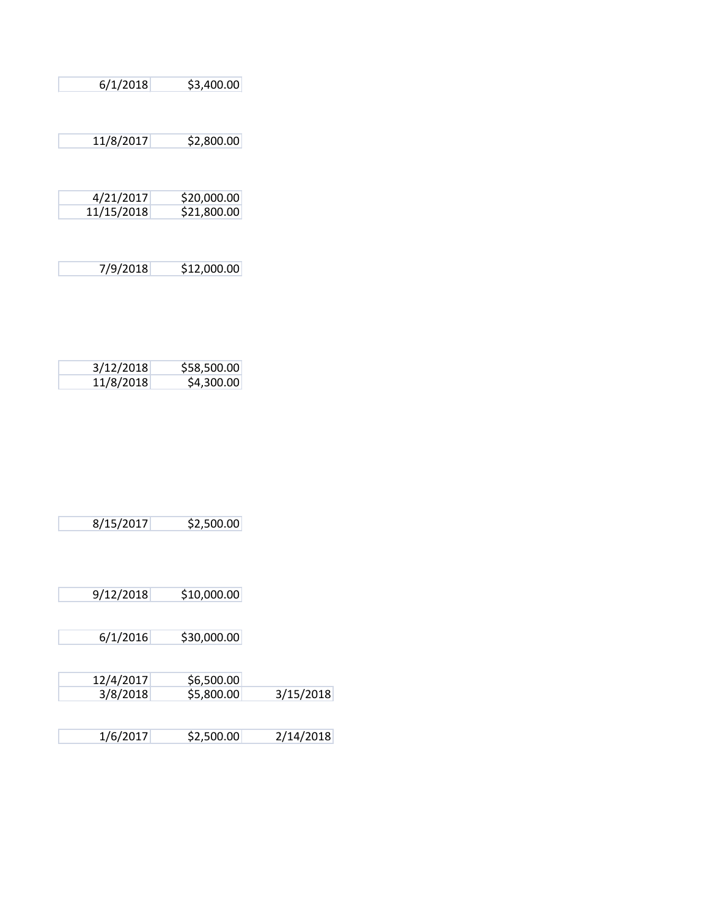| 6/1/2018   | \$3,400.00  |
|------------|-------------|
|            |             |
|            |             |
| 11/8/2017  | \$2,800.00  |
|            |             |
|            |             |
| 4/21/2017  | \$20,000.00 |
| 11/15/2018 | \$21,800.00 |
|            |             |
|            |             |
| 7/9/2018   | \$12,000.00 |
|            |             |
|            |             |
|            |             |

| 3/12/2018 | \$58,500.00 |
|-----------|-------------|
| 11/8/2018 | \$4,300.00  |

| \$2,500.00 |
|------------|
|            |

| 9/12/2018 | \$10,000.00 |
|-----------|-------------|
|           |             |

| \$30,000.00<br>6/1/2016 |
|-------------------------|
|-------------------------|

| 12/4/2017 | \$6,500.00 |           |
|-----------|------------|-----------|
| 3/8/2018  | \$5,800.00 | 3/15/2018 |
|           |            |           |

| 1/6/2017 | \$2,500.00 | 2/14/2018 |
|----------|------------|-----------|
|          |            |           |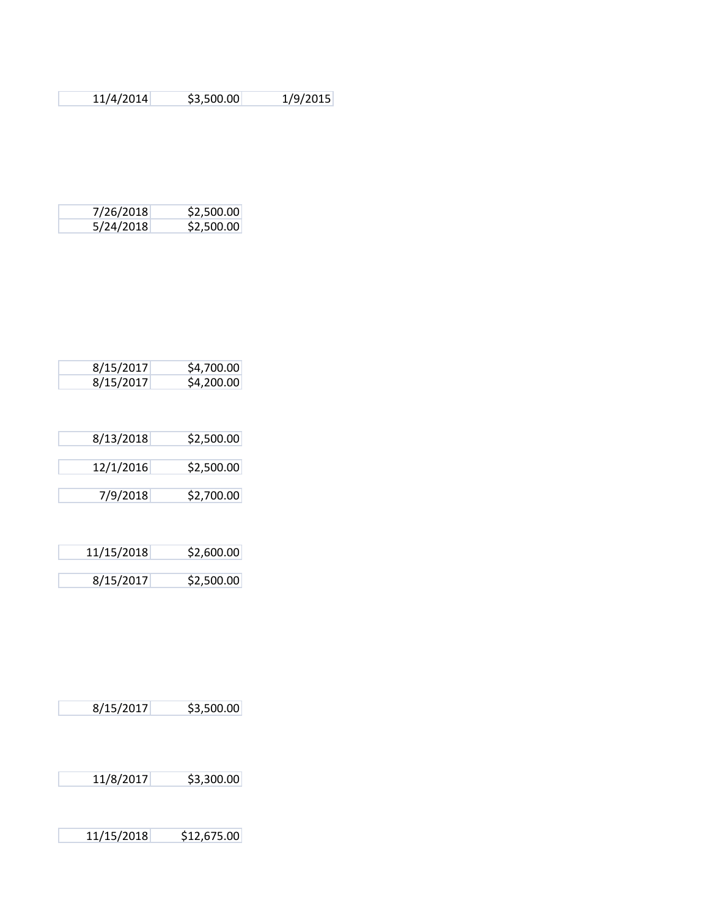| 11/4/2014 | \$3,500.00 | 1/9/2015 |
|-----------|------------|----------|
|-----------|------------|----------|

| 7/26/2018 | \$2,500.00 |
|-----------|------------|
| 5/24/2018 | \$2,500.00 |

| 8/15/2017 | \$4,700.00 |
|-----------|------------|
| 8/15/2017 | \$4,200.00 |

| 8/13/2018 | \$2,500.00 |
|-----------|------------|
| 12/1/2016 | \$2,500.00 |
| 7/9/2018  | \$2,700.00 |

| 11/15/2018 | \$2,600.00 |
|------------|------------|
| 8/15/2017  | \$2,500.00 |

| 8/15/2017 | \$3,500.00 |
|-----------|------------|
|           |            |

11/8/2017 \$3,300.00

11/15/2018 \$12,675.00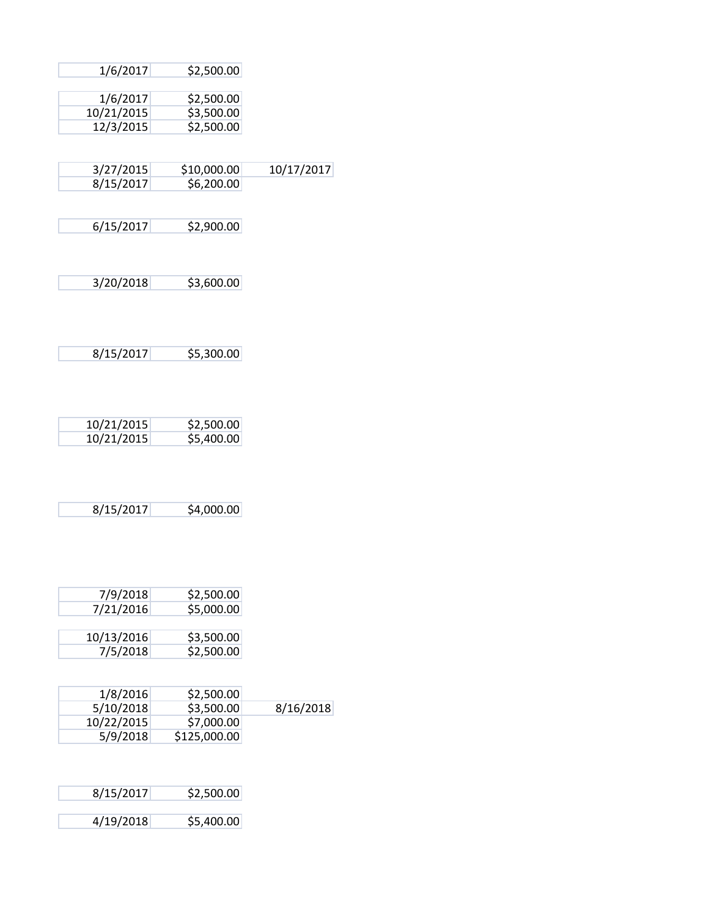|            | \$2,500.00   | 1/6/2017   |
|------------|--------------|------------|
|            | \$2,500.00   | 1/6/2017   |
|            |              |            |
|            | \$3,500.00   | 10/21/2015 |
|            | \$2,500.00   | 12/3/2015  |
|            |              |            |
| 10/17/2017 | \$10,000.00  | 3/27/2015  |
|            | \$6,200.00   | 8/15/2017  |
|            |              |            |
|            | \$2,900.00   | 6/15/2017  |
|            |              |            |
|            |              |            |
|            |              |            |
|            | \$3,600.00   | 3/20/2018  |
|            |              |            |
|            |              |            |
|            |              |            |
|            | \$5,300.00   | 8/15/2017  |
|            |              |            |
|            |              |            |
|            |              |            |
|            | \$2,500.00   | 10/21/2015 |
|            | \$5,400.00   | 10/21/2015 |
|            |              |            |
|            |              |            |
|            |              |            |
|            | \$4,000.00   | 8/15/2017  |
|            |              |            |
|            |              |            |
|            |              |            |
|            |              |            |
|            | \$2,500.00   | 7/9/2018   |
|            | \$5,000.00   | 7/21/2016  |
|            |              |            |
|            | \$3,500.00   | 10/13/2016 |
|            | \$2,500.00   | 7/5/2018   |
|            |              |            |
|            | \$2,500.00   | 1/8/2016   |
| 8/16/2018  | \$3,500.00   | 5/10/2018  |
|            | \$7,000.00   | 10/22/2015 |
|            |              |            |
|            | \$125,000.00 | 5/9/2018   |
|            |              |            |
|            |              |            |
|            | \$2,500.00   | 8/15/2017  |
|            |              |            |
|            | \$5,400.00   | 4/19/2018  |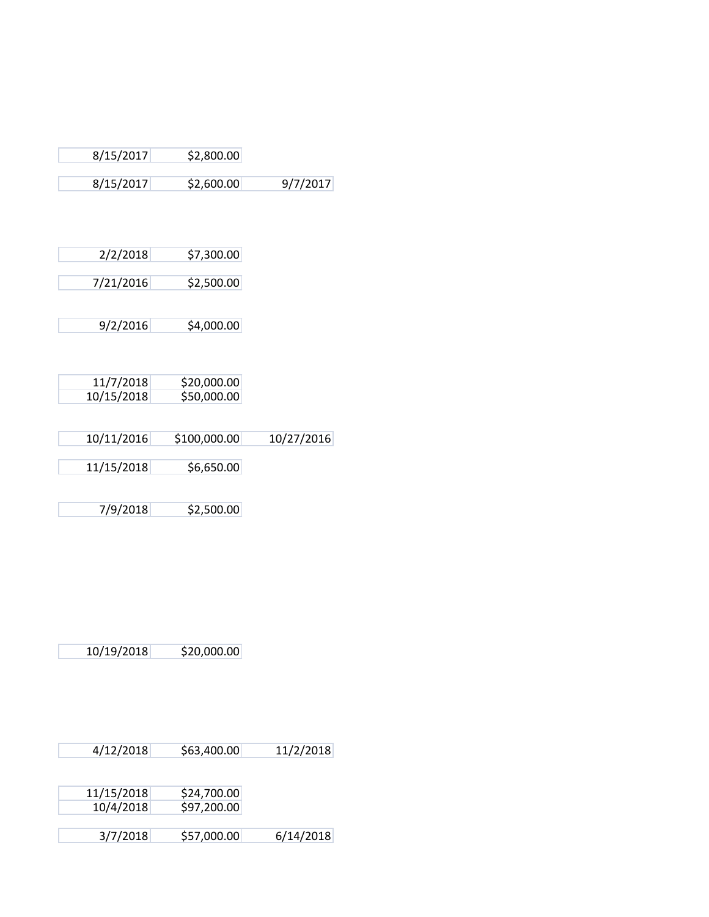| 8/15/2017 | \$2,800.00 |          |
|-----------|------------|----------|
| 8/15/2017 | \$2,600.00 | 9/7/2017 |

|            | \$7,300.00   | 2/2/2018   |
|------------|--------------|------------|
|            | \$2,500.00   | 7/21/2016  |
|            |              |            |
|            |              |            |
|            | \$4,000.00   | 9/2/2016   |
|            |              |            |
|            |              |            |
|            |              |            |
|            | \$20,000.00  | 11/7/2018  |
|            | \$50,000.00  | 10/15/2018 |
|            |              |            |
|            |              |            |
| 10/27/2016 | \$100,000.00 | 10/11/2016 |
|            |              |            |
|            | \$6,650.00   | 11/15/2018 |
|            |              |            |
|            |              |            |
|            | \$2,500.00   | 7/9/2018   |

10/19/2018 \$20,000.00

| 4/12/2018 | \$63,400.00 | 11/2/2018 |
|-----------|-------------|-----------|
|-----------|-------------|-----------|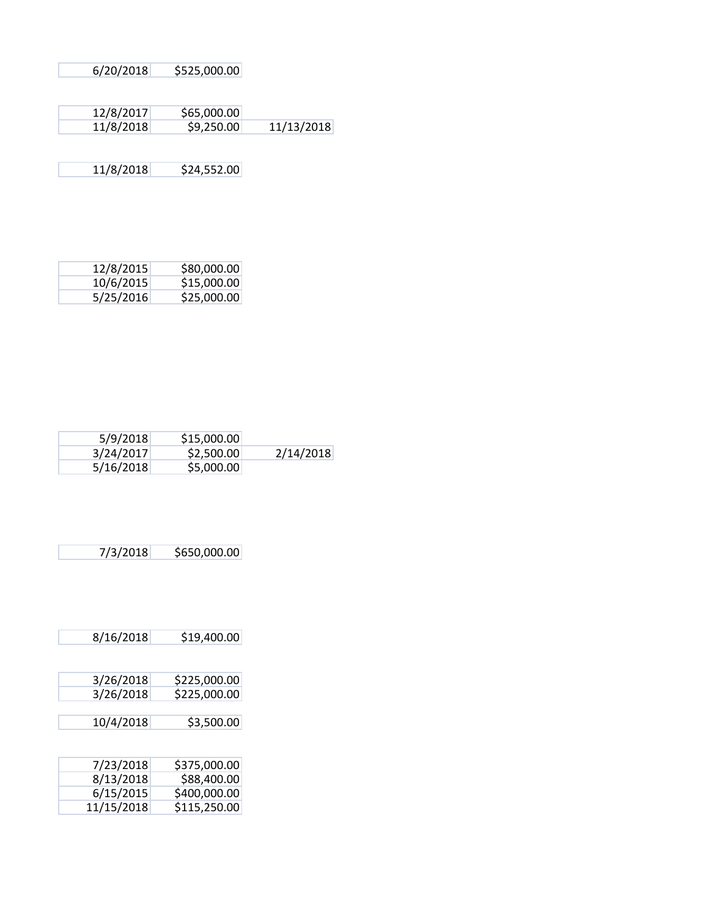| 6/20/2018 | \$525,000.00 |
|-----------|--------------|
|           |              |
|           |              |
| 12/8/2017 | SAS OOO OOL  |

| 12/0/201/ | <b>DU.UUU,COC</b> |            |
|-----------|-------------------|------------|
| 11/8/2018 | \$9,250.00        | 11/13/2018 |
|           |                   |            |

11/8/2018 \$24,552.00

| 12/8/2015 | \$80,000.00 |
|-----------|-------------|
| 10/6/2015 | \$15,000.00 |
| 5/25/2016 | \$25,000.00 |

| 5/9/2018  | \$15,000.00 |           |
|-----------|-------------|-----------|
| 3/24/2017 | \$2,500.00  | 2/14/2018 |
| 5/16/2018 | \$5,000.00  |           |

| 7/3/2018 | \$650,000.00 |
|----------|--------------|

| 8/16/2018  | \$19,400.00  |
|------------|--------------|
|            |              |
| 3/26/2018  | \$225,000.00 |
| 3/26/2018  | \$225,000.00 |
|            |              |
| 10/4/2018  | \$3,500.00   |
|            |              |
|            |              |
| 7/23/2018  | \$375,000.00 |
| 8/13/2018  | \$88,400.00  |
| 6/15/2015  | \$400,000.00 |
| 11/15/2018 | \$115,250.00 |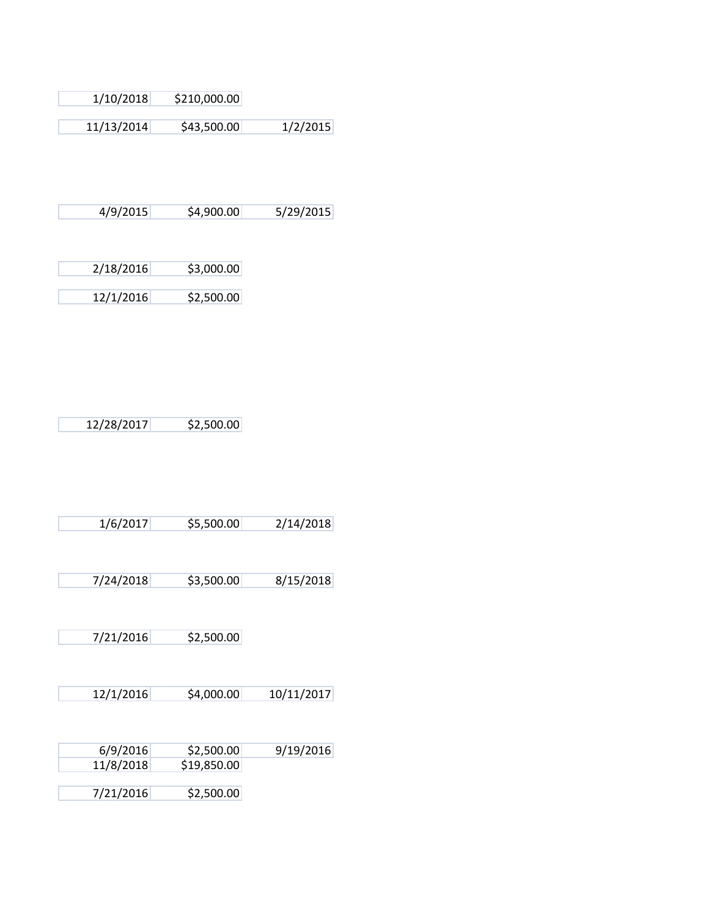| \$210,000.00<br>1/10/2018 |
|---------------------------|
|---------------------------|

11/13/2014 \$43,500.00 1/2/2015

4/9/2015 \$4,900.00 5/29/2015

| 2/18/2016 | \$3,000.00 |
|-----------|------------|
|           |            |
| 12/1/2016 | \$2,500.00 |

| 12/28/2017 | \$2,500.00 |
|------------|------------|

| 2/14/2018<br>\$5,500.00<br>1/6/2017 |
|-------------------------------------|
|-------------------------------------|

7/24/2018 \$3,500.00 8/15/2018

7/21/2016 \$2,500.00

12/1/2016 \$4,000.00 10/11/2017

| 6/9/2016  | \$2,500.00  | 9/19/2016 |
|-----------|-------------|-----------|
| 11/8/2018 | \$19,850.00 |           |
|           |             |           |
| 7/21/2016 | \$2,500.00  |           |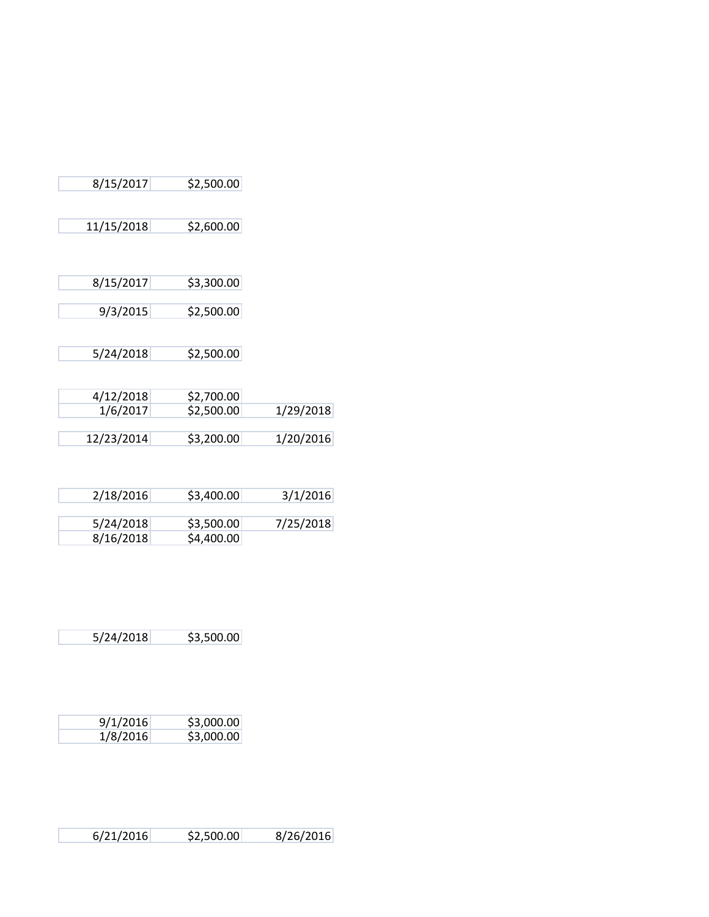| 8/15/2017             | \$2,500.00               |           |
|-----------------------|--------------------------|-----------|
| 11/15/2018            | \$2,600.00               |           |
| 8/15/2017             | \$3,300.00               |           |
| 9/3/2015              | \$2,500.00               |           |
| 5/24/2018             | \$2,500.00               |           |
| 4/12/2018<br>1/6/2017 | \$2,700.00<br>\$2,500.00 | 1/29/2018 |
| 12/23/2014            | \$3,200.00               | 1/20/2016 |

| 2/18/2016 | \$3,400.00 | 3/1/2016  |
|-----------|------------|-----------|
|           |            |           |
| 5/24/2018 | \$3,500.00 | 7/25/2018 |
| 8/16/2018 | \$4,400.00 |           |

5/24/2018 \$3,500.00

| 9/1/2016 | \$3,000.00 |
|----------|------------|
| 1/8/2016 | \$3,000.00 |

| 6/21/2016 | \$2,500.00 | 8/26/2016 |
|-----------|------------|-----------|
|-----------|------------|-----------|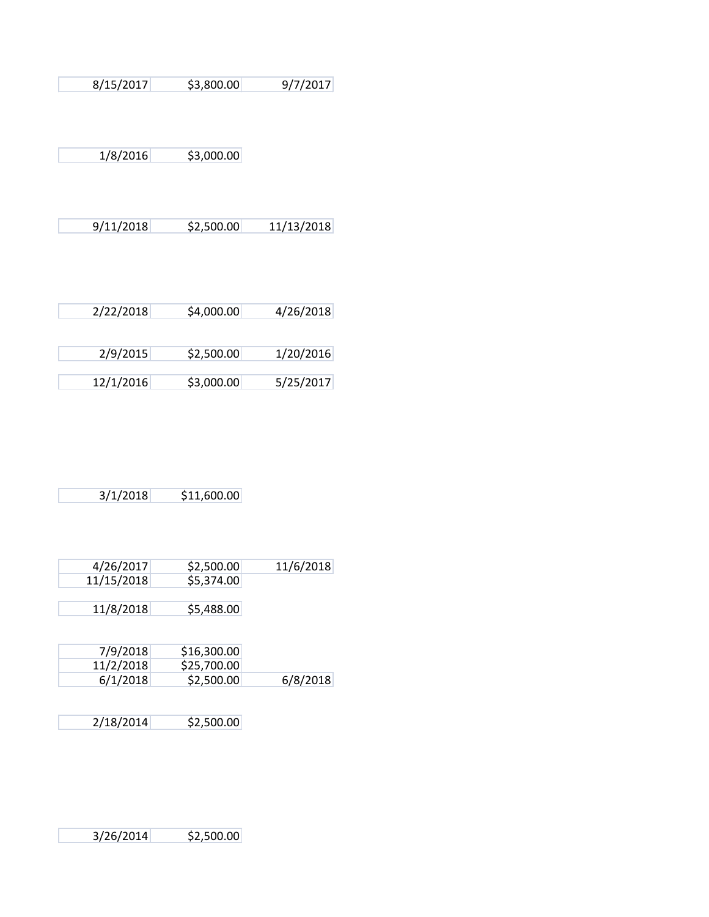| 8/15/2017 | 9/7/2017<br>\$3,800.00 |
|-----------|------------------------|
|-----------|------------------------|

1/8/2016 \$3,000.00

E

|  | 9/11/2018 | \$2,500.00 | 11/13/2018 |
|--|-----------|------------|------------|
|--|-----------|------------|------------|

| 2/22/2018 | \$4,000.00 | 4/26/2018 |
|-----------|------------|-----------|
|           |            |           |
| 2/9/2015  | \$2,500.00 | 1/20/2016 |
| 12/1/2016 | \$3,000.00 | 5/25/2017 |

| 3/1/2018 | \$11,600.00 |
|----------|-------------|

| 4/26/2017  | \$2,500.00 |  |
|------------|------------|--|
| 11/15/2018 | \$5,374.00 |  |
|            |            |  |
| 11/8/2018  | \$5,488.00 |  |
|            |            |  |

| 7/9/2018  | \$16,300.00 |          |
|-----------|-------------|----------|
| 11/2/2018 | \$25,700.00 |          |
| 6/1/2018  | \$2,500.00  | 6/8/2018 |

| 2/18/2014 | \$2,500.00 |
|-----------|------------|
|           |            |

3/26/2014 \$2,500.00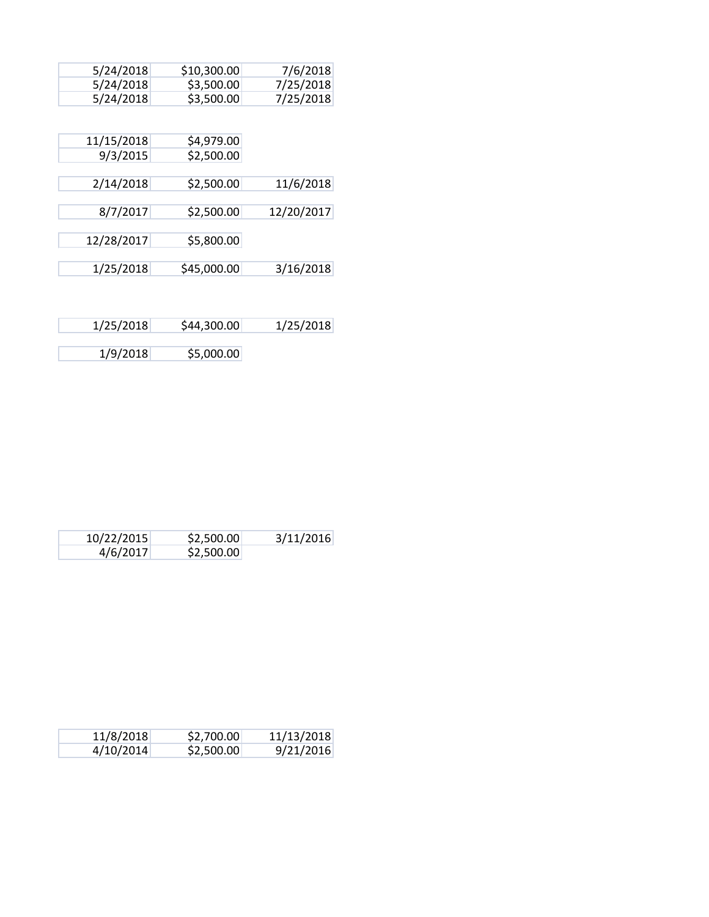| 5/24/2018  | \$10,300.00 | 7/6/2018   |
|------------|-------------|------------|
| 5/24/2018  | \$3,500.00  | 7/25/2018  |
| 5/24/2018  | \$3,500.00  | 7/25/2018  |
|            |             |            |
| 11/15/2018 | \$4,979.00  |            |
| 9/3/2015   | \$2,500.00  |            |
|            |             |            |
| 2/14/2018  | \$2,500.00  | 11/6/2018  |
|            |             |            |
| 8/7/2017   | \$2,500.00  | 12/20/2017 |
|            |             |            |
| 12/28/2017 | \$5,800.00  |            |
|            |             |            |
| 1/25/2018  | \$45,000.00 | 3/16/2018  |
|            |             |            |

| 1/25/2018 | \$44,300.00 | 1/25/2018 |
|-----------|-------------|-----------|
| 1/9/2018  |             |           |
|           | \$5,000.00  |           |

| 10/22/2015 | \$2,500.00 | 3/11/2016 |
|------------|------------|-----------|
| 4/6/2017   | \$2,500.00 |           |

| 11/8/2018 | \$2,700.00 | 11/13/2018 |
|-----------|------------|------------|
| 4/10/2014 | \$2,500.00 | 9/21/2016  |